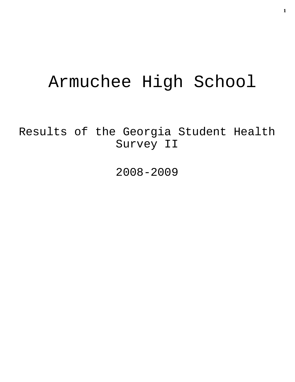# Armuchee High School

Results of the Georgia Student Health Survey II

2008-2009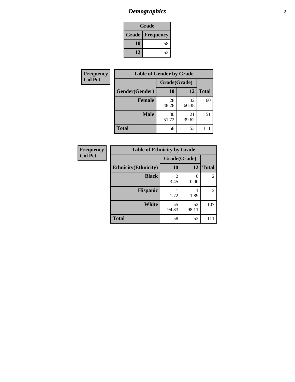## *Demographics* **2**

| Grade                    |    |  |  |
|--------------------------|----|--|--|
| <b>Grade   Frequency</b> |    |  |  |
| 10                       | 58 |  |  |
| 12                       | 53 |  |  |

| <b>Frequency</b> | <b>Table of Gender by Grade</b> |              |             |              |  |
|------------------|---------------------------------|--------------|-------------|--------------|--|
| <b>Col Pct</b>   |                                 | Grade(Grade) |             |              |  |
|                  | Gender(Gender)                  | <b>10</b>    | 12          | <b>Total</b> |  |
|                  | Female                          | 28<br>48.28  | 32<br>60.38 | 60           |  |
|                  | <b>Male</b>                     | 30<br>51.72  | 21<br>39.62 | 51           |  |
|                  | <b>Total</b>                    | 58           | 53          | $\mathbf{L}$ |  |

| <b>Frequency</b> |
|------------------|
| <b>Col Pct</b>   |

| <b>Table of Ethnicity by Grade</b> |             |              |                             |  |  |  |
|------------------------------------|-------------|--------------|-----------------------------|--|--|--|
|                                    |             | Grade(Grade) |                             |  |  |  |
| <b>Ethnicity</b> (Ethnicity)       | 10          | 12           | <b>Total</b>                |  |  |  |
| <b>Black</b>                       | 2<br>3.45   | 0<br>0.00    | $\mathcal{D}_{\mathcal{L}}$ |  |  |  |
| <b>Hispanic</b>                    | 1.72        | 1.89         | 2                           |  |  |  |
| White                              | 55<br>94.83 | 52<br>98.11  | 107                         |  |  |  |
| <b>Total</b>                       | 58          | 53           |                             |  |  |  |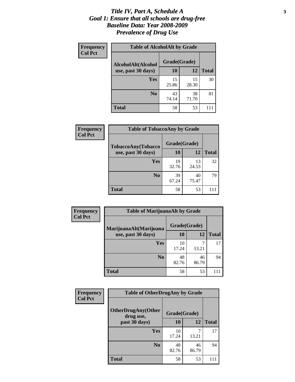#### *Title IV, Part A, Schedule A* **3** *Goal 1: Ensure that all schools are drug-free Baseline Data: Year 2008-2009 Prevalence of Drug Use*

| Frequency<br><b>Col Pct</b> | <b>Table of AlcoholAlt by Grade</b> |              |             |              |  |
|-----------------------------|-------------------------------------|--------------|-------------|--------------|--|
|                             | AlcoholAlt(Alcohol                  | Grade(Grade) |             |              |  |
|                             | use, past 30 days)                  | 10           | 12          | <b>Total</b> |  |
|                             | Yes                                 | 15<br>25.86  | 15<br>28.30 | 30           |  |
|                             | N <sub>0</sub>                      | 43<br>74.14  | 38<br>71.70 | 81           |  |
|                             | <b>Total</b>                        | 58           | 53          |              |  |

| Frequency<br><b>Col Pct</b> | <b>Table of TobaccoAny by Grade</b> |              |             |              |  |
|-----------------------------|-------------------------------------|--------------|-------------|--------------|--|
|                             | TobaccoAny(Tobacco                  | Grade(Grade) |             |              |  |
|                             | use, past 30 days)                  | <b>10</b>    | 12          | <b>Total</b> |  |
|                             | Yes                                 | 19<br>32.76  | 13<br>24.53 | 32           |  |
|                             | N <sub>0</sub>                      | 39<br>67.24  | 40<br>75.47 | 79           |  |
|                             | <b>Total</b>                        | 58           | 53          |              |  |

| Frequency<br><b>Col Pct</b> | <b>Table of MarijuanaAlt by Grade</b> |              |             |              |  |
|-----------------------------|---------------------------------------|--------------|-------------|--------------|--|
|                             | MarijuanaAlt(Marijuana                | Grade(Grade) |             |              |  |
|                             | use, past 30 days)                    | 10           | 12          | <b>Total</b> |  |
|                             | Yes                                   | 10<br>17.24  | 13.21       | 17           |  |
|                             | N <sub>0</sub>                        | 48<br>82.76  | 46<br>86.79 | 94           |  |
|                             | <b>Total</b>                          | 58           | 53          |              |  |

| Frequency      | <b>Table of OtherDrugAny by Grade</b>  |              |             |              |
|----------------|----------------------------------------|--------------|-------------|--------------|
| <b>Col Pct</b> | <b>OtherDrugAny(Other</b><br>drug use, | Grade(Grade) |             |              |
|                | past 30 days)                          | 10           | 12          | <b>Total</b> |
|                | Yes                                    | 10<br>17.24  | 13.21       | 17           |
|                | N <sub>0</sub>                         | 48<br>82.76  | 46<br>86.79 | 94           |
|                | <b>Total</b>                           | 58           | 53          | 111          |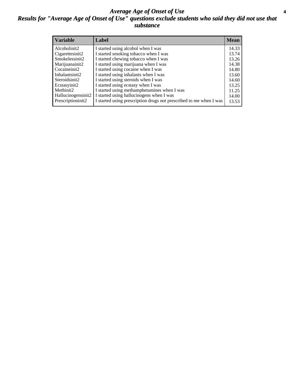#### *Average Age of Onset of Use* **4** *Results for "Average Age of Onset of Use" questions exclude students who said they did not use that substance*

| <b>Variable</b>       | Label                                                              | <b>Mean</b> |
|-----------------------|--------------------------------------------------------------------|-------------|
| Alcoholinit2          | I started using alcohol when I was                                 | 14.33       |
| Cigarettesinit2       | I started smoking tobacco when I was                               | 13.74       |
| Smokelessinit2        | I started chewing tobacco when I was                               | 13.26       |
| Marijuanainit2        | I started using marijuana when I was                               | 14.38       |
| Cocaineinit2          | I started using cocaine when I was                                 | 14.80       |
| Inhalantsinit2        | I started using inhalants when I was                               | 13.60       |
| Steroidsinit2         | I started using steroids when I was                                | 14.60       |
| Ecstasyinit2          | I started using ecstasy when I was                                 | 13.25       |
| Methinit <sub>2</sub> | I started using methamphetamines when I was                        | 11.25       |
| Hallucinogensinit2    | I started using hallucinogens when I was                           | 14.00       |
| Prescriptioninit2     | I started using prescription drugs not prescribed to me when I was | 13.53       |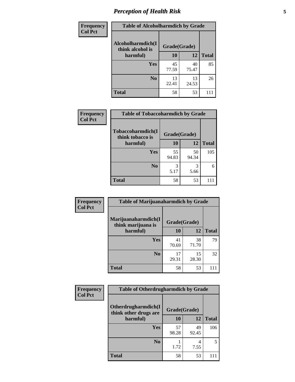### *Perception of Health Risk* **5**

| Frequency      | <b>Table of Alcoholharmdich by Grade</b> |              |             |              |  |
|----------------|------------------------------------------|--------------|-------------|--------------|--|
| <b>Col Pct</b> | Alcoholharmdich(I<br>think alcohol is    | Grade(Grade) |             |              |  |
|                | harmful)                                 | 10           | 12          | <b>Total</b> |  |
|                | Yes                                      | 45<br>77.59  | 40<br>75.47 | 85           |  |
|                | N <sub>0</sub>                           | 13<br>22.41  | 13<br>24.53 | 26           |  |
|                | <b>Total</b>                             | 58           | 53          | 111          |  |

| <b>Frequency</b> | <b>Table of Tobaccoharmdich by Grade</b> |              |             |              |  |
|------------------|------------------------------------------|--------------|-------------|--------------|--|
| <b>Col Pct</b>   | Tobaccoharmdich(I<br>think tobacco is    | Grade(Grade) |             |              |  |
|                  | harmful)                                 | 10           | 12          | <b>Total</b> |  |
|                  | <b>Yes</b>                               | 55<br>94.83  | 50<br>94.34 | 105          |  |
|                  | N <sub>0</sub>                           | 3<br>5.17    | 3<br>5.66   | 6            |  |
|                  | <b>Total</b>                             | 58           | 53          | 111          |  |

| Frequency      | <b>Table of Marijuanaharmdich by Grade</b> |              |             |              |  |
|----------------|--------------------------------------------|--------------|-------------|--------------|--|
| <b>Col Pct</b> | Marijuanaharmdich(I<br>think marijuana is  | Grade(Grade) |             |              |  |
|                | harmful)                                   | 10           | 12          | <b>Total</b> |  |
|                | <b>Yes</b>                                 | 41<br>70.69  | 38<br>71.70 | 79           |  |
|                | N <sub>0</sub>                             | 17<br>29.31  | 15<br>28.30 | 32           |  |
|                | <b>Total</b>                               | 58           | 53          | $\Box$       |  |

| <b>Frequency</b> | <b>Table of Otherdrugharmdich by Grade</b>                   |             |             |              |  |
|------------------|--------------------------------------------------------------|-------------|-------------|--------------|--|
| <b>Col Pct</b>   | Otherdrugharmdich(I<br>Grade(Grade)<br>think other drugs are |             |             |              |  |
|                  | harmful)                                                     | 10          | 12          | <b>Total</b> |  |
|                  | Yes                                                          | 57<br>98.28 | 49<br>92.45 | 106          |  |
|                  | N <sub>0</sub>                                               | 1.72        | 4<br>7.55   | 5            |  |
|                  | <b>Total</b>                                                 | 58          | 53          | $\Box$       |  |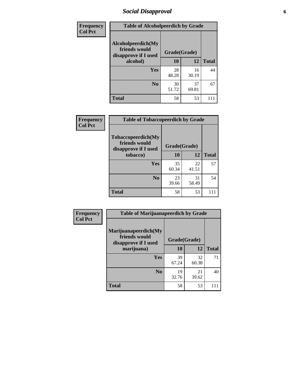### *Social Disapproval* **6**

| <b>Frequency</b> | <b>Table of Alcoholpeerdich by Grade</b>                    |              |             |              |
|------------------|-------------------------------------------------------------|--------------|-------------|--------------|
| <b>Col Pct</b>   | Alcoholpeerdich(My<br>friends would<br>disapprove if I used | Grade(Grade) |             |              |
|                  | alcohol)                                                    |              | 12          | <b>Total</b> |
|                  | <b>Yes</b>                                                  | 28<br>48.28  | 16<br>30.19 | 44           |
|                  | N <sub>0</sub>                                              | 30<br>51.72  | 37<br>69.81 | 67           |
|                  | <b>Total</b>                                                | 58           | 53          | 111          |

| <b>Frequency</b> |
|------------------|
| <b>Col Pct</b>   |

| <b>Table of Tobaccopeerdich by Grade</b>                    |              |             |              |  |
|-------------------------------------------------------------|--------------|-------------|--------------|--|
| Tobaccopeerdich(My<br>friends would<br>disapprove if I used | Grade(Grade) |             |              |  |
| tobacco)                                                    | 10           | 12          | <b>Total</b> |  |
| Yes                                                         | 35<br>60.34  | 22<br>41.51 | 57           |  |
| N <sub>0</sub>                                              | 23<br>39.66  | 31<br>58.49 | 54           |  |
| <b>Total</b>                                                | 58           | 53          |              |  |

| Frequency      | <b>Table of Marijuanapeerdich by Grade</b>                    |              |             |              |  |
|----------------|---------------------------------------------------------------|--------------|-------------|--------------|--|
| <b>Col Pct</b> | Marijuanapeerdich(My<br>friends would<br>disapprove if I used | Grade(Grade) |             |              |  |
|                | marijuana)                                                    | 10           | 12          | <b>Total</b> |  |
|                | <b>Yes</b>                                                    | 39<br>67.24  | 32<br>60.38 | 71           |  |
|                | N <sub>0</sub>                                                | 19<br>32.76  | 21<br>39.62 | 40           |  |
|                | <b>Total</b>                                                  | 58           | 53          | 111          |  |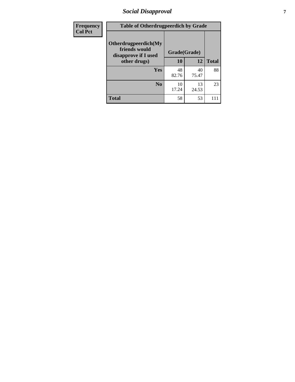### *Social Disapproval* **7**

| Frequency      | <b>Table of Otherdrugpeerdich by Grade</b>                    |              |             |              |  |
|----------------|---------------------------------------------------------------|--------------|-------------|--------------|--|
| <b>Col Pct</b> | Otherdrugpeerdich(My<br>friends would<br>disapprove if I used | Grade(Grade) |             |              |  |
|                | other drugs)                                                  | 10           | 12          | <b>Total</b> |  |
|                | <b>Yes</b>                                                    | 48<br>82.76  | 40<br>75.47 | 88           |  |
|                | N <sub>0</sub>                                                | 10<br>17.24  | 13<br>24.53 | 23           |  |
|                | <b>Total</b>                                                  | 58           | 53          |              |  |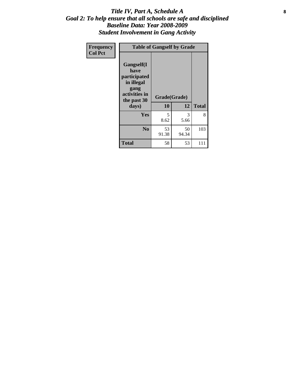#### Title IV, Part A, Schedule A **8** *Goal 2: To help ensure that all schools are safe and disciplined Baseline Data: Year 2008-2009 Student Involvement in Gang Activity*

| Frequency      | <b>Table of Gangself by Grade</b>                                                                 |                    |             |              |
|----------------|---------------------------------------------------------------------------------------------------|--------------------|-------------|--------------|
| <b>Col Pct</b> | Gangself(I<br>have<br>participated<br>in illegal<br>gang<br>activities in<br>the past 30<br>days) | Grade(Grade)<br>10 | 12          | <b>Total</b> |
|                | Yes                                                                                               | 5<br>8.62          | 3<br>5.66   | 8            |
|                | N <sub>0</sub>                                                                                    | 53<br>91.38        | 50<br>94.34 | 103          |
|                | Total                                                                                             | 58                 | 53          | 111          |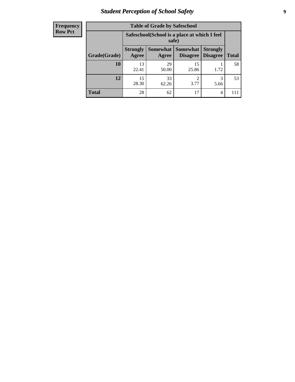### *Student Perception of School Safety* **9**

| <b>Frequency</b><br>Row Pct |
|-----------------------------|
|                             |

| <b>Table of Grade by Safeschool</b> |                          |                                                                                              |             |           |     |  |  |  |
|-------------------------------------|--------------------------|----------------------------------------------------------------------------------------------|-------------|-----------|-----|--|--|--|
|                                     |                          | Safeschool (School is a place at which I feel<br>safe)                                       |             |           |     |  |  |  |
| Grade(Grade)                        | <b>Strongly</b><br>Agree | Somewhat Somewhat<br><b>Strongly</b><br><b>Disagree</b><br>Disagree<br><b>Total</b><br>Agree |             |           |     |  |  |  |
| 10                                  | 13<br>22.41              | 29<br>50.00                                                                                  | 15<br>25.86 | 1.72      | 58  |  |  |  |
| 12                                  | 15<br>28.30              | 33<br>62.26                                                                                  | 2<br>3.77   | 3<br>5.66 | 53  |  |  |  |
| <b>Total</b>                        | 28                       | 62                                                                                           | 17          | 4         | 111 |  |  |  |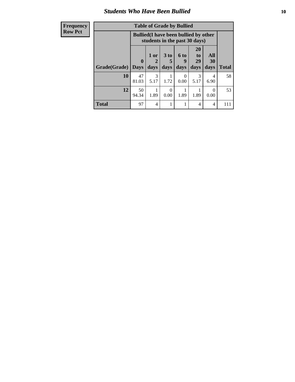### *Students Who Have Been Bullied* **10**

| <b>Frequency</b> | <b>Table of Grade by Bullied</b>                                              |              |                |                      |                      |                       |                        |              |
|------------------|-------------------------------------------------------------------------------|--------------|----------------|----------------------|----------------------|-----------------------|------------------------|--------------|
| <b>Row Pct</b>   | <b>Bullied</b> (I have been bullied by other<br>students in the past 30 days) |              |                |                      |                      |                       |                        |              |
|                  |                                                                               | $\mathbf{0}$ | $1$ or<br>2    | 3 <sub>to</sub><br>5 | 6 <sub>to</sub><br>9 | <b>20</b><br>to<br>29 | All<br>30              |              |
|                  | <b>Grade(Grade)</b>                                                           | <b>Days</b>  | days           | days                 | days                 | days                  | days                   | <b>Total</b> |
|                  | 10                                                                            | 47<br>81.03  | 3<br>5.17      | 1.72                 | $\Omega$<br>0.00     | 3<br>5.17             | $\overline{4}$<br>6.90 | 58           |
|                  | 12                                                                            | 50<br>94.34  | 1.89           | 0<br>0.00            | 1.89                 | 1.89                  | $\Omega$<br>0.00       | 53           |
|                  | <b>Total</b>                                                                  | 97           | $\overline{4}$ |                      |                      | 4                     | $\overline{4}$         | 111          |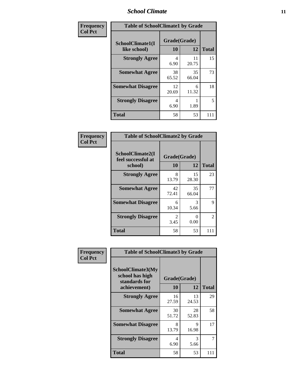#### *School Climate* **11**

| Frequency      | <b>Table of SchoolClimate1 by Grade</b> |                    |             |              |  |
|----------------|-----------------------------------------|--------------------|-------------|--------------|--|
| <b>Col Pct</b> | SchoolClimate1(I<br>like school)        | Grade(Grade)<br>10 | 12          | <b>Total</b> |  |
|                | <b>Strongly Agree</b>                   | 4<br>6.90          | 11<br>20.75 | 15           |  |
|                | <b>Somewhat Agree</b>                   | 38<br>65.52        | 35<br>66.04 | 73           |  |
|                | <b>Somewhat Disagree</b>                | 12<br>20.69        | 6<br>11.32  | 18           |  |
|                | <b>Strongly Disagree</b>                | 4<br>6.90          | 1.89        | 5            |  |
|                | <b>Total</b>                            | 58                 | 53          | 111          |  |

| Frequency      | <b>Table of SchoolClimate2 by Grade</b>           |                          |                           |              |  |
|----------------|---------------------------------------------------|--------------------------|---------------------------|--------------|--|
| <b>Col Pct</b> | SchoolClimate2(I<br>feel successful at<br>school) | Grade(Grade)<br>10<br>12 |                           | <b>Total</b> |  |
|                | <b>Strongly Agree</b>                             | 8<br>13.79               | 15<br>28.30               | 23           |  |
|                | <b>Somewhat Agree</b>                             | 42<br>72.41              | 35<br>66.04               | 77           |  |
|                | <b>Somewhat Disagree</b>                          | 6<br>10.34               | 3<br>5.66                 | 9            |  |
|                | <b>Strongly Disagree</b>                          | 2<br>3.45                | $\mathbf{\Omega}$<br>0.00 | 2            |  |
|                | <b>Total</b>                                      | 58                       | 53                        | 111          |  |

| Frequency | <b>Table of SchoolClimate3 by Grade</b>                               |                           |             |              |  |
|-----------|-----------------------------------------------------------------------|---------------------------|-------------|--------------|--|
| Col Pct   | SchoolClimate3(My<br>school has high<br>standards for<br>achievement) | Grade(Grade)<br><b>10</b> | 12          | <b>Total</b> |  |
|           | <b>Strongly Agree</b>                                                 | 16                        | 13          | 29           |  |
|           |                                                                       | 27.59                     | 24.53       |              |  |
|           | <b>Somewhat Agree</b>                                                 | 30<br>51.72               | 28<br>52.83 | 58           |  |
|           | <b>Somewhat Disagree</b>                                              | 8<br>13.79                | 9<br>16.98  | 17           |  |
|           | <b>Strongly Disagree</b>                                              | 4<br>6.90                 | 3<br>5.66   | 7            |  |
|           | Total                                                                 | 58                        | 53          | 111          |  |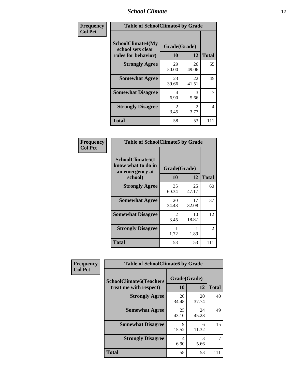#### *School Climate* **12**

| Frequency      | <b>Table of SchoolClimate4 by Grade</b>                              |                        |                        |              |
|----------------|----------------------------------------------------------------------|------------------------|------------------------|--------------|
| <b>Col Pct</b> | <b>SchoolClimate4(My</b><br>school sets clear<br>rules for behavior) | Grade(Grade)<br>10     | 12                     | <b>Total</b> |
|                | <b>Strongly Agree</b>                                                | 29<br>50.00            | 26<br>49.06            | 55           |
|                | <b>Somewhat Agree</b>                                                | 23<br>39.66            | 22<br>41.51            | 45           |
|                | <b>Somewhat Disagree</b>                                             | 4<br>6.90              | 3<br>5.66              | 7            |
|                | <b>Strongly Disagree</b>                                             | $\mathfrak{D}$<br>3.45 | $\mathfrak{D}$<br>3.77 | 4            |
|                | <b>Total</b>                                                         | 58                     | 53                     | 111          |

| <b>Table of SchoolClimate5 by Grade</b>                   |                        |             |              |  |
|-----------------------------------------------------------|------------------------|-------------|--------------|--|
| SchoolClimate5(I<br>know what to do in<br>an emergency at | Grade(Grade)           |             |              |  |
| school)                                                   | 10                     | 12          | <b>Total</b> |  |
| <b>Strongly Agree</b>                                     | 35<br>60.34            | 25<br>47.17 | 60           |  |
| <b>Somewhat Agree</b>                                     | 20<br>34.48            | 17<br>32.08 | 37           |  |
| <b>Somewhat Disagree</b>                                  | $\mathfrak{D}$<br>3.45 | 10<br>18.87 | 12           |  |
| <b>Strongly Disagree</b>                                  | 1.72                   | 1.89        | 2            |  |
| Total                                                     | 58                     | 53          | 111          |  |

| Frequency      | <b>Table of SchoolClimate6 by Grade</b>                  |                    |             |              |  |
|----------------|----------------------------------------------------------|--------------------|-------------|--------------|--|
| <b>Col Pct</b> | <b>SchoolClimate6(Teachers</b><br>treat me with respect) | Grade(Grade)<br>10 | 12          | <b>Total</b> |  |
|                | <b>Strongly Agree</b>                                    | 20<br>34.48        | 20<br>37.74 | 40           |  |
|                | <b>Somewhat Agree</b>                                    | 25<br>43.10        | 24<br>45.28 | 49           |  |
|                | <b>Somewhat Disagree</b>                                 | 9<br>15.52         | 6<br>11.32  | 15           |  |
|                | <b>Strongly Disagree</b>                                 | 4<br>6.90          | 3<br>5.66   |              |  |
|                | <b>Total</b>                                             | 58                 | 53          | 111          |  |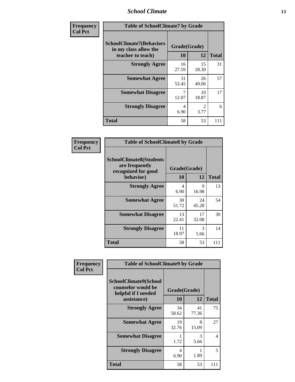#### *School Climate* **13**

| Frequency      | <b>Table of SchoolClimate7 by Grade</b>                                       |                           |                        |              |
|----------------|-------------------------------------------------------------------------------|---------------------------|------------------------|--------------|
| <b>Col Pct</b> | <b>SchoolClimate7(Behaviors</b><br>in my class allow the<br>teacher to teach) | Grade(Grade)<br><b>10</b> | 12                     | <b>Total</b> |
|                | <b>Strongly Agree</b>                                                         | 16<br>27.59               | 15<br>28.30            | 31           |
|                | <b>Somewhat Agree</b>                                                         | 31<br>53.45               | 26<br>49.06            | 57           |
|                | <b>Somewhat Disagree</b>                                                      | 7<br>12.07                | 10<br>18.87            | 17           |
|                | <b>Strongly Disagree</b>                                                      | 4<br>6.90                 | $\mathfrak{D}$<br>3.77 | 6            |
|                | <b>Total</b>                                                                  | 58                        | 53                     | 111          |

| Frequency      | <b>Table of SchoolClimate8 by Grade</b>                                              |                                  |             |              |
|----------------|--------------------------------------------------------------------------------------|----------------------------------|-------------|--------------|
| <b>Col Pct</b> | <b>SchoolClimate8(Students</b><br>are frequently<br>recognized for good<br>behavior) | Grade(Grade)<br>10               | 12          | <b>Total</b> |
|                | <b>Strongly Agree</b>                                                                | $\overline{\mathcal{A}}$<br>6.90 | 9<br>16.98  | 13           |
|                | <b>Somewhat Agree</b>                                                                | 30<br>51.72                      | 24<br>45.28 | 54           |
|                | <b>Somewhat Disagree</b>                                                             | 13<br>22.41                      | 17<br>32.08 | 30           |
|                | <b>Strongly Disagree</b>                                                             | 11<br>18.97                      | 3<br>5.66   | 14           |
|                | <b>Total</b>                                                                         | 58                               | 53          | 111          |

| Frequency      | <b>Table of SchoolClimate9 by Grade</b>                                           |                    |             |              |
|----------------|-----------------------------------------------------------------------------------|--------------------|-------------|--------------|
| <b>Col Pct</b> | SchoolClimate9(School<br>counselor would be<br>helpful if I needed<br>assistance) | Grade(Grade)<br>10 | 12          | <b>Total</b> |
|                | <b>Strongly Agree</b>                                                             | 34<br>58.62        | 41<br>77.36 | 75           |
|                | <b>Somewhat Agree</b>                                                             | 19<br>32.76        | 8<br>15.09  | 27           |
|                | <b>Somewhat Disagree</b>                                                          | 1.72               | 3<br>5.66   | 4            |
|                | <b>Strongly Disagree</b>                                                          | 4<br>6.90          | 1.89        | 5            |
|                | Total                                                                             | 58                 | 53          | 111          |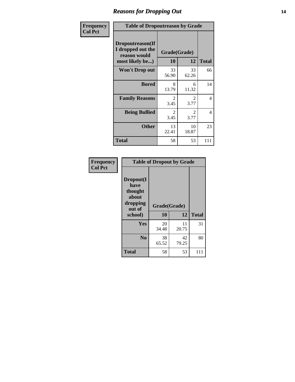### *Reasons for Dropping Out* **14**

| <b>Frequency</b> | <b>Table of Dropoutreason by Grade</b>                                   |                    |                                     |                |
|------------------|--------------------------------------------------------------------------|--------------------|-------------------------------------|----------------|
| <b>Col Pct</b>   | Dropoutreason(If<br>I dropped out the<br>reason would<br>most likely be) | Grade(Grade)<br>10 | 12                                  | <b>Total</b>   |
|                  | Won't Drop out                                                           | 33<br>56.90        | 33<br>62.26                         | 66             |
|                  | <b>Bored</b>                                                             | 8<br>13.79         | 6<br>11.32                          | 14             |
|                  | <b>Family Reasons</b>                                                    | 2<br>3.45          | $\mathcal{D}_{\mathcal{L}}$<br>3.77 | 4              |
|                  | <b>Being Bullied</b>                                                     | 2<br>3.45          | 2<br>3.77                           | $\overline{4}$ |
|                  | <b>Other</b>                                                             | 13<br>22.41        | 10<br>18.87                         | 23             |
|                  | <b>Total</b>                                                             | 58                 | 53                                  | 111            |

| Frequency<br><b>Col Pct</b> | <b>Table of Dropout by Grade</b>                            |              |             |              |  |
|-----------------------------|-------------------------------------------------------------|--------------|-------------|--------------|--|
|                             | Dropout(I<br>have<br>thought<br>about<br>dropping<br>out of | Grade(Grade) |             |              |  |
|                             | school)                                                     | 10           | 12          | <b>Total</b> |  |
|                             | Yes                                                         | 20<br>34.48  | 11<br>20.75 | 31           |  |
|                             | N <sub>0</sub>                                              | 38<br>65.52  | 42<br>79.25 | 80           |  |
|                             | <b>Total</b>                                                | 58           | 53          | 111          |  |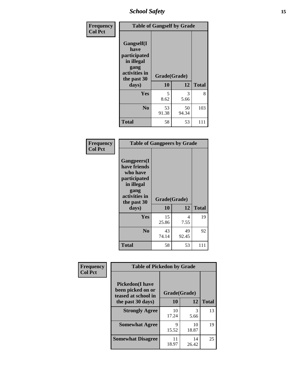*School Safety* **15**

| Frequency      | <b>Table of Gangself by Grade</b>                                                                 |                    |             |              |
|----------------|---------------------------------------------------------------------------------------------------|--------------------|-------------|--------------|
| <b>Col Pct</b> | Gangself(I<br>have<br>participated<br>in illegal<br>gang<br>activities in<br>the past 30<br>days) | Grade(Grade)<br>10 | 12          | <b>Total</b> |
|                | Yes                                                                                               | 5<br>8.62          | 3<br>5.66   | 8            |
|                | N <sub>0</sub>                                                                                    | 53<br>91.38        | 50<br>94.34 | 103          |
|                | <b>Total</b>                                                                                      | 58                 | 53          | 111          |

| Frequency<br><b>Col Pct</b> | <b>Table of Gangpeers by Grade</b>                                                                                             |                    |             |              |
|-----------------------------|--------------------------------------------------------------------------------------------------------------------------------|--------------------|-------------|--------------|
|                             | <b>Gangpeers</b> (I<br>have friends<br>who have<br>participated<br>in illegal<br>gang<br>activities in<br>the past 30<br>days) | Grade(Grade)<br>10 | 12          | <b>Total</b> |
|                             | <b>Yes</b>                                                                                                                     | 15<br>25.86        | 4<br>7.55   | 19           |
|                             | N <sub>0</sub>                                                                                                                 | 43<br>74.14        | 49<br>92.45 | 92           |
|                             | <b>Total</b>                                                                                                                   | 58                 | 53          | 111          |

| Frequency      | <b>Table of Pickedon by Grade</b>                                  |              |             |              |
|----------------|--------------------------------------------------------------------|--------------|-------------|--------------|
| <b>Col Pct</b> | <b>Pickedon(I have</b><br>been picked on or<br>teased at school in | Grade(Grade) |             |              |
|                | the past 30 days)                                                  | 10           | 12          | <b>Total</b> |
|                | <b>Strongly Agree</b>                                              | 10<br>17.24  | 3<br>5.66   | 13           |
|                | <b>Somewhat Agree</b>                                              | Q<br>15.52   | 10<br>18.87 | 19           |
|                | <b>Somewhat Disagree</b>                                           | 11<br>18.97  | 14<br>26.42 | 25           |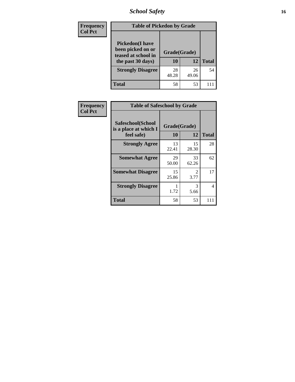*School Safety* **16**

| <b>Frequency</b> | <b>Table of Pickedon by Grade</b>                                                        |                    |             |              |  |  |  |  |  |  |
|------------------|------------------------------------------------------------------------------------------|--------------------|-------------|--------------|--|--|--|--|--|--|
| <b>Col Pct</b>   | <b>Pickedon</b> (I have<br>been picked on or<br>teased at school in<br>the past 30 days) | Grade(Grade)<br>10 | 12          | <b>Total</b> |  |  |  |  |  |  |
|                  | <b>Strongly Disagree</b>                                                                 | 28<br>48.28        | 26<br>49.06 | 54           |  |  |  |  |  |  |
|                  | Total                                                                                    | 58                 | 53          |              |  |  |  |  |  |  |

| <b>Frequency</b> | <b>Table of Safeschool by Grade</b>        |              |                                     |              |  |  |  |  |  |
|------------------|--------------------------------------------|--------------|-------------------------------------|--------------|--|--|--|--|--|
| <b>Col Pct</b>   | Safeschool(School<br>is a place at which I | Grade(Grade) |                                     |              |  |  |  |  |  |
|                  | feel safe)                                 | 10           | 12                                  | <b>Total</b> |  |  |  |  |  |
|                  | <b>Strongly Agree</b>                      | 13<br>22.41  | 15<br>28.30                         | 28           |  |  |  |  |  |
|                  | <b>Somewhat Agree</b>                      | 29<br>50.00  | 33<br>62.26                         | 62           |  |  |  |  |  |
|                  | <b>Somewhat Disagree</b>                   | 15<br>25.86  | $\mathcal{D}_{\mathcal{L}}$<br>3.77 | 17           |  |  |  |  |  |
|                  | <b>Strongly Disagree</b>                   | 1.72         | 3<br>5.66                           | 4            |  |  |  |  |  |
|                  | <b>Total</b>                               | 58           | 53                                  | 111          |  |  |  |  |  |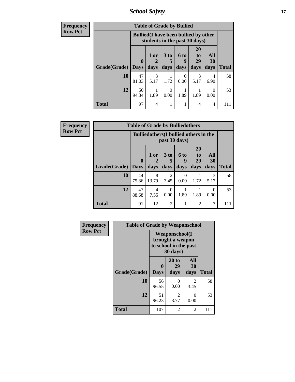*School Safety* **17**

| <b>Frequency</b> | <b>Table of Grade by Bullied</b> |             |                                                                               |                              |                   |                               |                   |              |  |
|------------------|----------------------------------|-------------|-------------------------------------------------------------------------------|------------------------------|-------------------|-------------------------------|-------------------|--------------|--|
| <b>Row Pct</b>   |                                  |             | <b>Bullied</b> (I have been bullied by other<br>students in the past 30 days) |                              |                   |                               |                   |              |  |
|                  | Grade(Grade)   Days              | $\mathbf 0$ | 1 or<br>days                                                                  | 3 <sub>to</sub><br>5<br>days | 6 to<br>9<br>days | <b>20</b><br>to<br>29<br>days | All<br>30<br>days | <b>Total</b> |  |
|                  | 10                               | 47          | 3                                                                             |                              | $\Omega$          | 3                             | 4                 | 58           |  |
|                  |                                  | 81.03       | 5.17                                                                          | 1.72                         | 0.00              | 5.17                          | 6.90              |              |  |
|                  | 12                               | 50<br>94.34 | 1.89                                                                          | 0<br>0.00                    | 1.89              | 1.89                          | $\Omega$<br>0.00  | 53           |  |
|                  | <b>Total</b>                     | 97          | 4                                                                             |                              |                   | 4                             | 4                 | 111          |  |

| Frequency      | <b>Table of Grade by Bulliedothers</b> |                  |              |                         |                          |                               |                                               |              |  |  |  |  |  |
|----------------|----------------------------------------|------------------|--------------|-------------------------|--------------------------|-------------------------------|-----------------------------------------------|--------------|--|--|--|--|--|
| <b>Row Pct</b> |                                        |                  |              |                         | past 30 days)            |                               | <b>Bulliedothers</b> (I bullied others in the |              |  |  |  |  |  |
|                | Grade(Grade)   Days                    | $\boldsymbol{0}$ | 1 or<br>days | 3 <sub>to</sub><br>days | <b>6 to</b><br>9<br>days | <b>20</b><br>to<br>29<br>days | All<br>30<br>days                             | <b>Total</b> |  |  |  |  |  |
|                | 10                                     | 44<br>75.86      | 8<br>13.79   | 2<br>3.45               | $\theta$<br>0.00         | 1.72                          | 3<br>5.17                                     | 58           |  |  |  |  |  |
|                | 12                                     | 47<br>88.68      | 4<br>7.55    | 0<br>0.00               | 1.89                     | 1.89                          | 0<br>0.00                                     | 53           |  |  |  |  |  |
|                | <b>Total</b>                           | 91               | 12           | $\overline{2}$          |                          | 2                             | 3                                             | 111          |  |  |  |  |  |

| <b>Frequency</b> | <b>Table of Grade by Weaponschool</b> |                  |                                                                         |                          |              |  |  |  |  |  |
|------------------|---------------------------------------|------------------|-------------------------------------------------------------------------|--------------------------|--------------|--|--|--|--|--|
| <b>Row Pct</b>   |                                       |                  | Weaponschool(I<br>brought a weapon<br>to school in the past<br>30 days) |                          |              |  |  |  |  |  |
|                  | Grade(Grade)                          | 0<br><b>Days</b> | 20 to<br>29<br>days                                                     | <b>All</b><br>30<br>days | <b>Total</b> |  |  |  |  |  |
|                  | 10                                    | 56<br>96.55      | $\theta$<br>0.00                                                        | 2<br>3.45                | 58           |  |  |  |  |  |
|                  | 12                                    | 51<br>96.23      | $\overline{2}$<br>3.77                                                  | 0<br>0.00                | 53           |  |  |  |  |  |
|                  | <b>Total</b>                          | 107              | $\overline{2}$                                                          | 2                        | 111          |  |  |  |  |  |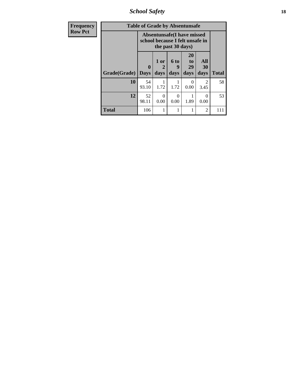*School Safety* **18**

| Frequency      | <b>Table of Grade by Absentunsafe</b> |                             |                                                                                           |                   |                        |                       |              |  |  |
|----------------|---------------------------------------|-----------------------------|-------------------------------------------------------------------------------------------|-------------------|------------------------|-----------------------|--------------|--|--|
| <b>Row Pct</b> |                                       |                             | <b>Absentunsafe(I have missed</b><br>school because I felt unsafe in<br>the past 30 days) |                   |                        |                       |              |  |  |
|                | Grade(Grade)                          | $\mathbf{0}$<br><b>Days</b> | 1 or<br>2<br>days                                                                         | 6 to<br>g<br>days | 20<br>to<br>29<br>days | All<br>30<br>days     | <b>Total</b> |  |  |
|                | 10                                    | 54<br>93.10                 | 1.72                                                                                      | 1.72              | 0.00                   | $\mathcal{L}$<br>3.45 | 58           |  |  |
|                | 12                                    | 52<br>98.11                 | 0<br>0.00                                                                                 | 0<br>0.00         | 1.89                   | $\mathcal{O}$<br>0.00 | 53           |  |  |
|                | <b>Total</b>                          | 106                         | 1                                                                                         |                   | 1                      | $\overline{2}$        | 111          |  |  |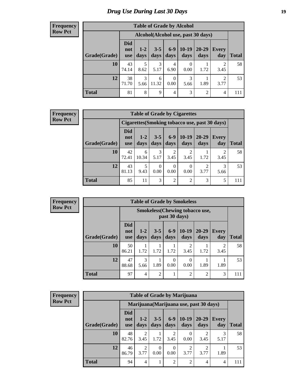### *Drug Use During Last 30 Days* **19**

#### **Frequency Row Pct**

| <b>Table of Grade by Alcohol</b> |                                 |                                    |                 |                  |                  |                   |              |              |  |  |  |
|----------------------------------|---------------------------------|------------------------------------|-----------------|------------------|------------------|-------------------|--------------|--------------|--|--|--|
|                                  |                                 | Alcohol(Alcohol use, past 30 days) |                 |                  |                  |                   |              |              |  |  |  |
| Grade(Grade)                     | <b>Did</b><br>not<br><b>use</b> | $1-2$<br>days                      | $3 - 5$<br>days | $6-9$<br>days    | $10-19$<br>days  | $20 - 29$<br>days | Every<br>day | <b>Total</b> |  |  |  |
| 10                               | 43<br>74.14                     | 5<br>8.62                          | 3<br>5.17       | 4<br>6.90        | $\Omega$<br>0.00 | 1.72              | 2<br>3.45    | 58           |  |  |  |
| 12                               | 38<br>71.70                     | 3<br>5.66                          | 6<br>11.32      | $\theta$<br>0.00 | 3<br>5.66        | 1.89              | 2<br>3.77    | 53           |  |  |  |
| <b>Total</b>                     | 81                              | 8                                  | 9               | 4                | 3                | 2                 | 4            | 111          |  |  |  |

#### **Frequency Row Pct**

| <b>Table of Grade by Cigarettes</b> |                                 |                                                |                 |                 |                 |               |                     |       |  |  |
|-------------------------------------|---------------------------------|------------------------------------------------|-----------------|-----------------|-----------------|---------------|---------------------|-------|--|--|
|                                     |                                 | Cigarettes (Smoking tobacco use, past 30 days) |                 |                 |                 |               |                     |       |  |  |
| Grade(Grade)                        | <b>Did</b><br>not<br><b>use</b> | $1-2$<br>days                                  | $3 - 5$<br>days | $6 - 9$<br>days | $10-19$<br>days | 20-29<br>days | <b>Every</b><br>day | Total |  |  |
| 10                                  | 42<br>72.41                     | 6<br>10.34                                     | 3<br>5.17       | 2<br>3.45       | 2<br>3.45       | 1.72          | 3.45                | 58    |  |  |
| 12                                  | 43<br>81.13                     | 5<br>9.43                                      | 0<br>0.00       | 0<br>0.00       | 0<br>0.00       | 3.77          | 3<br>5.66           | 53    |  |  |
| <b>Total</b>                        | 85                              | 11                                             | 3               | $\overline{2}$  | $\overline{2}$  | 3             | 5                   | 111   |  |  |

**Frequency Row Pct**

| <b>Table of Grade by Smokeless</b> |                                 |                                                        |                 |               |                        |                   |              |       |  |  |
|------------------------------------|---------------------------------|--------------------------------------------------------|-----------------|---------------|------------------------|-------------------|--------------|-------|--|--|
|                                    |                                 | <b>Smokeless</b> (Chewing tobaccouse,<br>past 30 days) |                 |               |                        |                   |              |       |  |  |
| Grade(Grade)                       | <b>Did</b><br>not<br><b>use</b> | $1 - 2$<br>days                                        | $3 - 5$<br>days | $6-9$<br>days | $10-19$<br>days        | $20 - 29$<br>days | Every<br>day | Total |  |  |
| 10                                 | 50<br>86.21                     | 1.72                                                   | 1.72            | 1.72          | $\overline{c}$<br>3.45 | 1.72              | 2<br>3.45    | 58    |  |  |
| 12                                 | 47<br>88.68                     | 3<br>5.66                                              | 1.89            | 0<br>0.00     | $\Omega$<br>0.00       | 1.89              | 1.89         | 53    |  |  |
| <b>Total</b>                       | 97                              | 4                                                      | $\overline{2}$  |               | $\overline{c}$         | $\overline{2}$    | 3            | 111   |  |  |

| <b>Frequency</b> |
|------------------|
| <b>Row Pct</b>   |

| <b>Table of Grade by Marijuana</b> |                                 |                                         |                 |                        |                 |                   |                     |              |  |  |
|------------------------------------|---------------------------------|-----------------------------------------|-----------------|------------------------|-----------------|-------------------|---------------------|--------------|--|--|
|                                    |                                 | Marijuana (Marijuana use, past 30 days) |                 |                        |                 |                   |                     |              |  |  |
| Grade(Grade)                       | <b>Did</b><br>not<br><b>use</b> | $1 - 2$<br>days                         | $3 - 5$<br>days | $6-9$<br>days          | $10-19$<br>days | $20 - 29$<br>days | <b>Every</b><br>day | <b>Total</b> |  |  |
| 10                                 | 48<br>82.76                     | 2<br>3.45                               | 1.72            | $\overline{2}$<br>3.45 | 0<br>0.00       | 3.45              | 3<br>5.17           | 58           |  |  |
| 12                                 | 46<br>86.79                     | 2<br>3.77                               | 0<br>0.00       | $\Omega$<br>0.00       | 2<br>3.77       | 3.77              | 1.89                | 53           |  |  |
| <b>Total</b>                       | 94                              | 4                                       |                 | $\overline{2}$         | $\overline{2}$  | 4                 | $\overline{4}$      | 111          |  |  |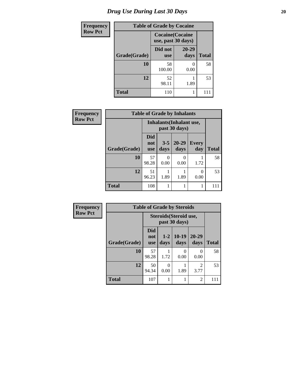### *Drug Use During Last 30 Days* 20

| <b>Frequency</b> | <b>Table of Grade by Cocaine</b> |                                               |               |              |  |  |  |  |  |  |
|------------------|----------------------------------|-----------------------------------------------|---------------|--------------|--|--|--|--|--|--|
| <b>Row Pct</b>   |                                  | <b>Cocaine</b> (Cocaine<br>use, past 30 days) |               |              |  |  |  |  |  |  |
|                  | Grade(Grade)                     | Did not<br><b>use</b>                         | 20-29<br>days | <b>Total</b> |  |  |  |  |  |  |
|                  | 10                               | 58<br>100.00                                  | 0<br>0.00     | 58           |  |  |  |  |  |  |
|                  | 12                               | 52<br>98.11                                   | 1.89          | 53           |  |  |  |  |  |  |
|                  | <b>Total</b>                     | 110                                           |               | 111          |  |  |  |  |  |  |

| Frequency      |              |                                 |                 | <b>Table of Grade by Inhalants</b>        |                     |              |
|----------------|--------------|---------------------------------|-----------------|-------------------------------------------|---------------------|--------------|
| <b>Row Pct</b> |              |                                 |                 | Inhalants (Inhalant use,<br>past 30 days) |                     |              |
|                | Grade(Grade) | <b>Did</b><br>not<br><b>use</b> | $3 - 5$<br>days | $20 - 29$<br>days                         | <b>Every</b><br>day | <b>Total</b> |
|                | 10           | 57<br>98.28                     | 0<br>0.00       | 0<br>0.00                                 | 1.72                | 58           |
|                | 12           | 51<br>96.23                     | 1.89            | 1.89                                      | 0.00                | 53           |
|                | <b>Total</b> | 108                             |                 |                                           |                     | 111          |

| <b>Frequency</b> |              |                                 |                 | <b>Table of Grade by Steroids</b>       |                        |              |
|------------------|--------------|---------------------------------|-----------------|-----------------------------------------|------------------------|--------------|
| <b>Row Pct</b>   |              |                                 |                 | Steroids (Steroid use,<br>past 30 days) |                        |              |
|                  | Grade(Grade) | <b>Did</b><br>not<br><b>use</b> | $1 - 2$<br>days | $10-19$<br>days                         | $20 - 29$<br>days      | <b>Total</b> |
|                  | 10           | 57<br>98.28                     | 1.72            | 0<br>0.00                               | $\Omega$<br>0.00       | 58           |
|                  | 12           | 50<br>94.34                     | 0<br>0.00       | 1.89                                    | $\overline{c}$<br>3.77 | 53           |
|                  | <b>Total</b> | 107                             |                 |                                         | $\overline{2}$         | 111          |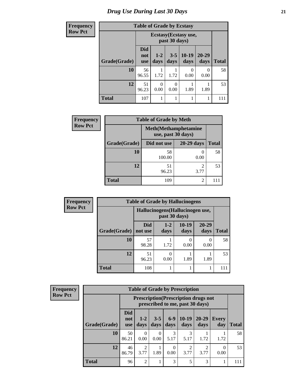| <b>Frequency</b> | <b>Table of Grade by Ecstasy</b> |                                 |                  |                  |                       |                   |              |  |  |
|------------------|----------------------------------|---------------------------------|------------------|------------------|-----------------------|-------------------|--------------|--|--|
| <b>Row Pct</b>   |                                  |                                 |                  | past 30 days)    | Ecstasy (Ecstasy use, |                   |              |  |  |
|                  | Grade(Grade)                     | <b>Did</b><br>not<br><b>use</b> | $1-2$<br>days    | $3 - 5$<br>days  | $10-19$<br>days       | $20 - 29$<br>days | <b>Total</b> |  |  |
|                  | 10                               | 56<br>96.55                     | 1.72             | 1.72             | 0<br>0.00             | 0<br>0.00         | 58           |  |  |
|                  | 12                               | 51<br>96.23                     | $\Omega$<br>0.00 | $\Omega$<br>0.00 | 1.89                  | 1.89              | 53           |  |  |
|                  | <b>Total</b>                     | 107                             | 1                |                  | 1                     | 1                 | 111          |  |  |

| Frequency      | <b>Table of Grade by Meth</b> |                                                    |                        |              |  |  |  |
|----------------|-------------------------------|----------------------------------------------------|------------------------|--------------|--|--|--|
| <b>Row Pct</b> |                               | <b>Meth</b> (Methamphetamine<br>use, past 30 days) |                        |              |  |  |  |
|                | Grade(Grade)                  | Did not use                                        | $20-29$ days           | <b>Total</b> |  |  |  |
|                | <b>10</b>                     | 58<br>100.00                                       | 0.00                   | 58           |  |  |  |
|                | 12                            | 51<br>96.23                                        | $\mathfrak{D}$<br>3.77 | 53           |  |  |  |
|                | <b>Total</b>                  | 109                                                | 2                      |              |  |  |  |

| Frequency      | <b>Table of Grade by Hallucinogens</b> |                |                                                   |                 |                   |              |  |  |
|----------------|----------------------------------------|----------------|---------------------------------------------------|-----------------|-------------------|--------------|--|--|
| <b>Row Pct</b> |                                        |                | Hallucinogens (Hallucinogen use,<br>past 30 days) |                 |                   |              |  |  |
|                | Grade(Grade)                           | Did<br>not use | $1 - 2$<br>days                                   | $10-19$<br>days | $20 - 29$<br>days | <b>Total</b> |  |  |
|                | 10                                     | 57<br>98.28    | 1.72                                              | 0.00            | 0.00              | 58           |  |  |
|                | 12                                     | 51<br>96.23    | 0.00                                              | 1.89            | 1.89              | 53           |  |  |
|                | <b>Total</b>                           | 108            |                                                   |                 |                   |              |  |  |

| Frequency      | <b>Table of Grade by Prescription</b> |                                 |                                                                                |                  |               |                   |                   |              |              |
|----------------|---------------------------------------|---------------------------------|--------------------------------------------------------------------------------|------------------|---------------|-------------------|-------------------|--------------|--------------|
| <b>Row Pct</b> |                                       |                                 | <b>Prescription</b> (Prescription drugs not<br>prescribed to me, past 30 days) |                  |               |                   |                   |              |              |
|                | Grade(Grade)                          | <b>Did</b><br>not<br><b>use</b> | $1 - 2$<br>days                                                                | $3 - 5$<br>days  | $6-9$<br>days | $10-19$<br>days   | $20 - 29$<br>days | Every<br>day | <b>Total</b> |
|                | 10                                    | 50<br>86.21                     | $\Omega$<br>0.00                                                               | $\Omega$<br>0.00 | 3<br>5.17     | 3<br>5.17         | 1.72              | 1.72         | 58           |
|                | 12                                    | 46<br>86.79                     | 2<br>3.77                                                                      | 1.89             | 0.00          | $\bigcap$<br>3.77 | ↑<br>3.77         | 0.00         | 53           |
|                | <b>Total</b>                          | 96                              | 2                                                                              |                  | 3             | 5                 | 3                 |              | 111          |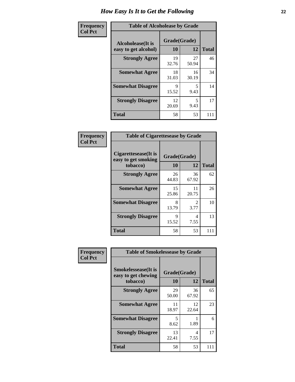| Frequency      | <b>Table of Alcoholease by Grade</b>              |                    |             |              |  |  |
|----------------|---------------------------------------------------|--------------------|-------------|--------------|--|--|
| <b>Col Pct</b> | <b>Alcoholease</b> (It is<br>easy to get alcohol) | Grade(Grade)<br>10 | 12          | <b>Total</b> |  |  |
|                | <b>Strongly Agree</b>                             | 19<br>32.76        | 27<br>50.94 | 46           |  |  |
|                | <b>Somewhat Agree</b>                             | 18<br>31.03        | 16<br>30.19 | 34           |  |  |
|                | <b>Somewhat Disagree</b>                          | 9<br>15.52         | 5<br>9.43   | 14           |  |  |
|                | <b>Strongly Disagree</b>                          | 12<br>20.69        | 5<br>9.43   | 17           |  |  |
|                | <b>Total</b>                                      | 58                 | 53          | 111          |  |  |

| Frequency      | <b>Table of Cigarettesease by Grade</b>     |              |                        |              |  |
|----------------|---------------------------------------------|--------------|------------------------|--------------|--|
| <b>Col Pct</b> | Cigarettesease(It is<br>easy to get smoking | Grade(Grade) |                        |              |  |
|                | tobacco)                                    | 10           | 12                     | <b>Total</b> |  |
|                | <b>Strongly Agree</b>                       | 26<br>44.83  | 36<br>67.92            | 62           |  |
|                | <b>Somewhat Agree</b>                       | 15<br>25.86  | 11<br>20.75            | 26           |  |
|                | <b>Somewhat Disagree</b>                    | 8<br>13.79   | $\mathfrak{D}$<br>3.77 | 10           |  |
|                | <b>Strongly Disagree</b>                    | Q<br>15.52   | 4<br>7.55              | 13           |  |
|                | <b>Total</b>                                | 58           | 53                     | 111          |  |

| Frequency      | <b>Table of Smokelessease by Grade</b>             |              |             |              |  |  |  |  |
|----------------|----------------------------------------------------|--------------|-------------|--------------|--|--|--|--|
| <b>Col Pct</b> | <b>Smokelessease</b> (It is<br>easy to get chewing | Grade(Grade) |             |              |  |  |  |  |
|                | tobacco)                                           | 10           | 12          | <b>Total</b> |  |  |  |  |
|                | <b>Strongly Agree</b>                              | 29<br>50.00  | 36<br>67.92 | 65           |  |  |  |  |
|                | <b>Somewhat Agree</b>                              | 11<br>18.97  | 12<br>22.64 | 23           |  |  |  |  |
|                | <b>Somewhat Disagree</b>                           | 5<br>8.62    | 1.89        | 6            |  |  |  |  |
|                | <b>Strongly Disagree</b>                           | 13<br>22.41  | 4<br>7.55   | 17           |  |  |  |  |
|                | <b>Total</b>                                       | 58           | 53          | 111          |  |  |  |  |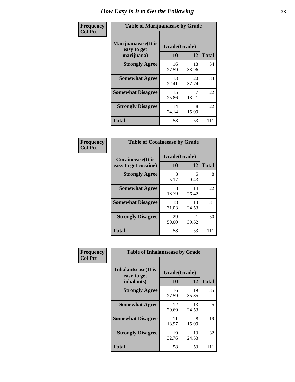| Frequency      | <b>Table of Marijuanaease by Grade</b>           |                           |             |              |  |  |  |
|----------------|--------------------------------------------------|---------------------------|-------------|--------------|--|--|--|
| <b>Col Pct</b> | Marijuanaease(It is<br>easy to get<br>marijuana) | Grade(Grade)<br><b>10</b> | 12          | <b>Total</b> |  |  |  |
|                | <b>Strongly Agree</b>                            | 16<br>27.59               | 18<br>33.96 | 34           |  |  |  |
|                | <b>Somewhat Agree</b>                            | 13<br>22.41               | 20<br>37.74 | 33           |  |  |  |
|                | <b>Somewhat Disagree</b>                         | 15<br>25.86               | 13.21       | 22           |  |  |  |
|                | <b>Strongly Disagree</b>                         | 14<br>24.14               | 8<br>15.09  | 22           |  |  |  |
|                | <b>Total</b>                                     | 58                        | 53          | 111          |  |  |  |

| <b>Table of Cocaineease by Grade</b>              |                    |              |     |  |  |  |  |  |
|---------------------------------------------------|--------------------|--------------|-----|--|--|--|--|--|
| <b>Cocaineease</b> (It is<br>easy to get cocaine) | Grade(Grade)<br>10 | <b>Total</b> |     |  |  |  |  |  |
| <b>Strongly Agree</b>                             | 3<br>5.17          | 5<br>9.43    | 8   |  |  |  |  |  |
| <b>Somewhat Agree</b>                             | 8<br>13.79         | 14<br>26.42  | 22  |  |  |  |  |  |
| <b>Somewhat Disagree</b>                          | 18<br>31.03        | 13<br>24.53  | 31  |  |  |  |  |  |
| <b>Strongly Disagree</b>                          | 29<br>50.00        | 21<br>39.62  | 50  |  |  |  |  |  |
| <b>Total</b>                                      | 58                 | 53           | 111 |  |  |  |  |  |

| Frequency      | <b>Table of Inhalantsease by Grade</b>                   |                    |             |              |  |  |
|----------------|----------------------------------------------------------|--------------------|-------------|--------------|--|--|
| <b>Col Pct</b> | <b>Inhalantsease</b> (It is<br>easy to get<br>inhalants) | Grade(Grade)<br>10 | 12          | <b>Total</b> |  |  |
|                | <b>Strongly Agree</b>                                    | 16<br>27.59        | 19<br>35.85 | 35           |  |  |
|                | <b>Somewhat Agree</b>                                    | 12<br>20.69        | 13<br>24.53 | 25           |  |  |
|                | <b>Somewhat Disagree</b>                                 | 11<br>18.97        | 8<br>15.09  | 19           |  |  |
|                | <b>Strongly Disagree</b>                                 | 19<br>32.76        | 13<br>24.53 | 32           |  |  |
|                | <b>Total</b>                                             | 58                 | 53          | 111          |  |  |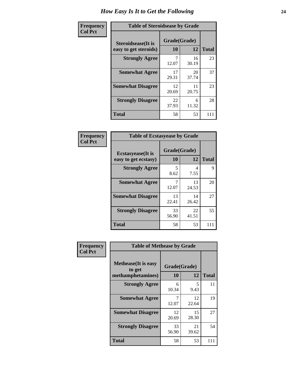| Frequency      |                                                     | <b>Table of Steroidsease by Grade</b> |             |              |  |  |  |  |  |  |
|----------------|-----------------------------------------------------|---------------------------------------|-------------|--------------|--|--|--|--|--|--|
| <b>Col Pct</b> | <b>Steroidsease</b> (It is<br>easy to get steroids) | Grade(Grade)<br>10                    | 12          | <b>Total</b> |  |  |  |  |  |  |
|                | <b>Strongly Agree</b>                               | 7<br>12.07                            | 16<br>30.19 | 23           |  |  |  |  |  |  |
|                | <b>Somewhat Agree</b>                               | 17<br>29.31                           | 20<br>37.74 | 37           |  |  |  |  |  |  |
|                | <b>Somewhat Disagree</b>                            | 12<br>20.69                           | 11<br>20.75 | 23           |  |  |  |  |  |  |
|                | <b>Strongly Disagree</b>                            | 22<br>37.93                           | 6<br>11.32  | 28           |  |  |  |  |  |  |
|                | <b>Total</b>                                        | 58                                    | 53          | 111          |  |  |  |  |  |  |

| Frequency      | <b>Table of Ecstasyease by Grade</b>              |                    |             |              |
|----------------|---------------------------------------------------|--------------------|-------------|--------------|
| <b>Col Pct</b> | <b>Ecstasyease</b> (It is<br>easy to get ecstasy) | Grade(Grade)<br>10 | 12          | <b>Total</b> |
|                | <b>Strongly Agree</b>                             | 5<br>8.62          | 4<br>7.55   | 9            |
|                | <b>Somewhat Agree</b>                             | 12.07              | 13<br>24.53 | 20           |
|                | <b>Somewhat Disagree</b>                          | 13<br>22.41        | 14<br>26.42 | 27           |
|                | <b>Strongly Disagree</b>                          | 33<br>56.90        | 22<br>41.51 | 55           |
|                | <b>Total</b>                                      | 58                 | 53          | 111          |

| Frequency      | <b>Table of Methease by Grade</b>                          |                    |             |              |
|----------------|------------------------------------------------------------|--------------------|-------------|--------------|
| <b>Col Pct</b> | <b>Methease</b> (It is easy<br>to get<br>methamphetamines) | Grade(Grade)<br>10 | 12          | <b>Total</b> |
|                | <b>Strongly Agree</b>                                      | 6<br>10.34         | 5<br>9.43   | 11           |
|                | <b>Somewhat Agree</b>                                      | 12.07              | 12<br>22.64 | 19           |
|                | <b>Somewhat Disagree</b>                                   | 12<br>20.69        | 15<br>28.30 | 27           |
|                | <b>Strongly Disagree</b>                                   | 33<br>56.90        | 21<br>39.62 | 54           |
|                | <b>Total</b>                                               | 58                 | 53          | 111          |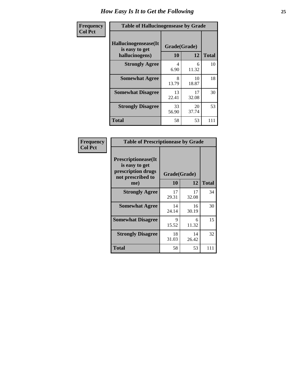| <b>Frequency</b> |                                                           | <b>Table of Hallucinogensease by Grade</b> |             |              |  |  |  |  |  |  |  |
|------------------|-----------------------------------------------------------|--------------------------------------------|-------------|--------------|--|--|--|--|--|--|--|
| <b>Col Pct</b>   | Hallucinogensease(It)<br>is easy to get<br>hallucinogens) | Grade(Grade)<br>10                         | 12          | <b>Total</b> |  |  |  |  |  |  |  |
|                  | <b>Strongly Agree</b>                                     | 4<br>6.90                                  | 6<br>11.32  | 10           |  |  |  |  |  |  |  |
|                  | <b>Somewhat Agree</b>                                     | 8<br>13.79                                 | 10<br>18.87 | 18           |  |  |  |  |  |  |  |
|                  | <b>Somewhat Disagree</b>                                  | 13<br>22.41                                | 17<br>32.08 | 30           |  |  |  |  |  |  |  |
|                  | <b>Strongly Disagree</b>                                  | 33<br>56.90                                | 20<br>37.74 | 53           |  |  |  |  |  |  |  |
|                  | <b>Total</b>                                              | 58                                         | 53          | 111          |  |  |  |  |  |  |  |

| Frequency<br>  Col Pct |
|------------------------|

| <b>Table of Prescriptionease by Grade</b>                                                |              |             |              |  |  |  |  |  |  |  |
|------------------------------------------------------------------------------------------|--------------|-------------|--------------|--|--|--|--|--|--|--|
| <b>Prescriptionease</b> (It<br>is easy to get<br>prescription drugs<br>not prescribed to | Grade(Grade) |             |              |  |  |  |  |  |  |  |
| me)                                                                                      | 10           | 12          | <b>Total</b> |  |  |  |  |  |  |  |
| <b>Strongly Agree</b>                                                                    | 17<br>29.31  | 17<br>32.08 | 34           |  |  |  |  |  |  |  |
| <b>Somewhat Agree</b>                                                                    | 14<br>24.14  | 16<br>30.19 | 30           |  |  |  |  |  |  |  |
| <b>Somewhat Disagree</b>                                                                 | 9<br>15.52   | 6<br>11.32  | 15           |  |  |  |  |  |  |  |
| <b>Strongly Disagree</b>                                                                 | 18<br>31.03  | 14<br>26.42 | 32           |  |  |  |  |  |  |  |
| Total                                                                                    | 58           | 53          | 111          |  |  |  |  |  |  |  |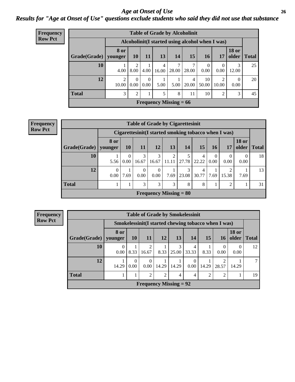#### *Age at Onset of Use* **26** *Results for "Age at Onset of Use" questions exclude students who said they did not use that substance*

| <b>Frequency</b> | <b>Table of Grade by Alcoholinit</b> |                         |                  |                  |            |                               |            |                                                  |                  |                  |             |  |
|------------------|--------------------------------------|-------------------------|------------------|------------------|------------|-------------------------------|------------|--------------------------------------------------|------------------|------------------|-------------|--|
| <b>Row Pct</b>   |                                      |                         |                  |                  |            |                               |            | Alcoholinit (I started using alcohol when I was) |                  |                  |             |  |
|                  | Grade(Grade)                         | <b>8 or</b><br>younger  | <b>10</b>        | 11               | 13         | 14                            | 15         | <b>16</b>                                        | 17               | <b>18 or</b>     | older Total |  |
|                  | <b>10</b>                            | 4.00                    | ∍<br>8.00        | 4.00             | 4<br>16.00 | 28.00                         | 28.00      | $\theta$<br>0.00                                 | $\theta$<br>0.00 | 3<br>12.00       | 25          |  |
|                  | 12                                   | $\overline{2}$<br>10.00 | $\Omega$<br>0.00 | $\Omega$<br>0.00 | 5.00       | 5.00                          | 4<br>20.00 | 10<br>50.00                                      | 2<br>10.00       | $\Omega$<br>0.00 | 20          |  |
|                  | <b>Total</b>                         | 3                       | 2                |                  | 5          | 8                             | 11         | 10                                               | 2                | 3                | 45          |  |
|                  |                                      |                         |                  |                  |            | <b>Frequency Missing = 66</b> |            |                                                  |                  |                  |             |  |

#### **Frequency Row Pct**

| <b>Table of Grade by Cigarettesinit</b> |                  |                                                      |                  |                               |                         |            |            |                  |       |                       |              |  |
|-----------------------------------------|------------------|------------------------------------------------------|------------------|-------------------------------|-------------------------|------------|------------|------------------|-------|-----------------------|--------------|--|
|                                         |                  | Cigarettesinit(I started smoking tobacco when I was) |                  |                               |                         |            |            |                  |       |                       |              |  |
| Grade(Grade)                            | 8 or<br>younger  | 10                                                   | <b>11</b>        | <b>12</b>                     | 13                      | 14         | <b>15</b>  | 16               | 17    | <b>18 or</b><br>older | <b>Total</b> |  |
| 10                                      | 5.56             | $\Omega$<br>$0.00\,$                                 | 3<br>16.67       | 3<br>16.67                    | $\overline{2}$<br>11.11 | 5<br>27.78 | 4<br>22.22 | $\Omega$<br>0.00 | 0.00  | 0.00                  | 18           |  |
| 12                                      | $\theta$<br>0.00 | 7.69                                                 | $\theta$<br>0.00 | $\Omega$<br>0.00              | 7.69                    | 3<br>23.08 | 4<br>30.77 | 7.69             | 15.38 | 7.69                  | 13           |  |
| <b>Total</b>                            | T                |                                                      | 3                | 3                             | 3                       | 8          | 8          | T                | 2     |                       | 31           |  |
|                                         |                  |                                                      |                  | <b>Frequency Missing = 80</b> |                         |            |            |                  |       |                       |              |  |

**Frequency Row Pct**

|              | <b>Table of Grade by Smokelessinit</b>               |                  |                               |       |                |            |                |                  |                       |              |  |  |
|--------------|------------------------------------------------------|------------------|-------------------------------|-------|----------------|------------|----------------|------------------|-----------------------|--------------|--|--|
|              | Smokelessinit (I started chewing tobacco when I was) |                  |                               |       |                |            |                |                  |                       |              |  |  |
| Grade(Grade) | 8 or<br>  younger                                    | 10               | <b>11</b>                     | 12    | 13             | 14         | 15             | <b>16</b>        | <b>18 or</b><br>older | <b>Total</b> |  |  |
| 10           | $\theta$<br>0.00                                     | 8.33             | $\overline{2}$<br>16.67       | 8.33  | 3<br>25.00     | 4<br>33.33 | 8.33           | $\Omega$<br>0.00 | 0.00                  | 12           |  |  |
| 12           | 14.29                                                | $\Omega$<br>0.00 | $\Omega$<br>0.00              | 14.29 | 14.29          | 0.00       | 14.29          | 28.57            | 14.29                 |              |  |  |
| <b>Total</b> |                                                      |                  | $\overline{c}$                | 2     | $\overline{4}$ | 4          | $\mathfrak{D}$ | $\mathfrak{D}$   |                       | 19           |  |  |
|              |                                                      |                  | <b>Frequency Missing = 92</b> |       |                |            |                |                  |                       |              |  |  |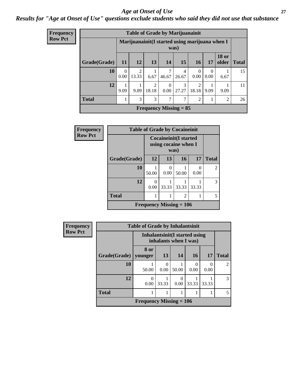#### *Age at Onset of Use* **27**

*Results for "Age at Onset of Use" questions exclude students who said they did not use that substance*

| <b>Frequency</b> |              |                  | <b>Table of Grade by Marijuanainit</b>         |                         |                  |                               |                        |                  |                       |              |
|------------------|--------------|------------------|------------------------------------------------|-------------------------|------------------|-------------------------------|------------------------|------------------|-----------------------|--------------|
| <b>Row Pct</b>   |              |                  | Marijuanainit(I started using marijuana when I |                         |                  | was)                          |                        |                  |                       |              |
|                  | Grade(Grade) | 11               | <b>12</b>                                      | 13                      | <b>14</b>        | 15                            | <b>16</b>              | 17               | <b>18 or</b><br>older | <b>Total</b> |
|                  | 10           | $\Omega$<br>0.00 | $\overline{2}$<br>13.33                        | 1<br>6.67               | 7<br>46.67       | 4<br>26.67                    | $\Omega$<br>0.00       | $\Omega$<br>0.00 | 6.67                  | 15           |
|                  | 12           | 9.09             | 9.09                                           | $\overline{2}$<br>18.18 | $\Omega$<br>0.00 | $\mathcal{R}$<br>27.27        | $\mathcal{L}$<br>18.18 | 9.09             | 9.09                  | 11           |
|                  | <b>Total</b> |                  | 3                                              | 3                       | 7                | 7                             | $\overline{2}$         |                  | $\overline{c}$        | 26           |
|                  |              |                  |                                                |                         |                  | <b>Frequency Missing = 85</b> |                        |                  |                       |              |

| Frequency      |              | <b>Table of Grade by Cocaineinit</b> |                                                              |                |                           |                |  |  |  |  |
|----------------|--------------|--------------------------------------|--------------------------------------------------------------|----------------|---------------------------|----------------|--|--|--|--|
| <b>Row Pct</b> |              |                                      | <b>Cocaineinit(I started</b><br>using cocaine when I<br>was) |                |                           |                |  |  |  |  |
|                | Grade(Grade) | 12                                   | 13                                                           | 16             | 17                        | <b>Total</b>   |  |  |  |  |
|                | 10           | 50.00                                | 0<br>0.00                                                    | 50.00          | $\mathbf{\Omega}$<br>0.00 | $\overline{2}$ |  |  |  |  |
|                | 12           | $\Omega$<br>0.00                     | 33.33                                                        | 33.33          | 33.33                     | 3              |  |  |  |  |
|                | <b>Total</b> |                                      |                                                              | $\overline{c}$ |                           | 5              |  |  |  |  |
|                |              | Frequency Missing $= 106$            |                                                              |                |                           |                |  |  |  |  |

| <b>Frequency</b> | <b>Table of Grade by Inhalantsinit</b> |                           |                       |       |                                |       |                |
|------------------|----------------------------------------|---------------------------|-----------------------|-------|--------------------------------|-------|----------------|
| <b>Row Pct</b>   |                                        |                           | inhalants when I was) |       | Inhalantsinit (I started using |       |                |
|                  | Grade(Grade)                           | 8 or<br>younger           | 13                    | 14    | 16                             | 17    | <b>Total</b>   |
|                  | 10                                     | 50.00                     | 0<br>0.00             | 50.00 | 0<br>0.00                      | 0.00  | $\mathfrak{D}$ |
|                  | 12                                     | $\left( \right)$<br>0.00  | 33.33                 | 0.001 | 33.33                          | 33.33 | 3              |
|                  | <b>Total</b>                           |                           |                       | 1     |                                |       | 5              |
|                  |                                        | Frequency Missing $= 106$ |                       |       |                                |       |                |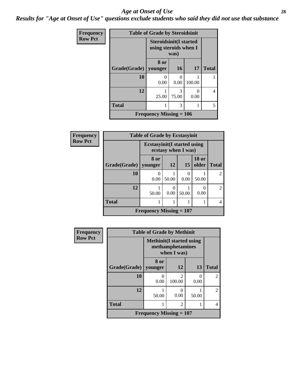#### *Age at Onset of Use* **28**

*Results for "Age at Onset of Use" questions exclude students who said they did not use that substance*

| Frequency      | <b>Table of Grade by Steroidsinit</b> |                                                                |            |                           |                |  |
|----------------|---------------------------------------|----------------------------------------------------------------|------------|---------------------------|----------------|--|
| <b>Row Pct</b> |                                       | <b>Steroidsinit(I started</b><br>using steroids when I<br>was) |            |                           |                |  |
|                | Grade(Grade)   younger                | 8 or                                                           | <b>16</b>  | <b>17</b>                 | <b>Total</b>   |  |
|                | 10                                    | 0<br>0.00                                                      | ∩<br>0.00  | 100.00                    |                |  |
|                | 12                                    | 25.00                                                          | 3<br>75.00 | $\mathbf{\Omega}$<br>0.00 | $\overline{4}$ |  |
|                | <b>Total</b>                          | 1                                                              | 3          |                           | 5              |  |
|                |                                       | <b>Frequency Missing <math>= 106</math></b>                    |            |                           |                |  |

| Frequency      | <b>Table of Grade by Ecstasyinit</b> |                                     |                       |                     |                       |                |
|----------------|--------------------------------------|-------------------------------------|-----------------------|---------------------|-----------------------|----------------|
| <b>Row Pct</b> |                                      | <b>Ecstasyinit</b> (I started using |                       | ecstasy when I was) |                       |                |
|                | Grade(Grade)                         | 8 or<br>vounger                     | <b>12</b>             | 15                  | <b>18 or</b><br>older | <b>Total</b>   |
|                | 10                                   | 0.00                                | 50.00                 | 0<br>0.00           | 50.00                 | $\overline{c}$ |
|                | 12                                   | 50.00                               | $\mathcal{O}$<br>0.00 | 50.00               | 0<br>0.00             | $\mathfrak{D}$ |
|                | <b>Total</b>                         | 1                                   |                       |                     |                       | $\overline{4}$ |
|                |                                      | Frequency Missing $= 107$           |                       |                     |                       |                |

| <b>Frequency</b> | <b>Table of Grade by Methinit</b> |                                                                     |                          |           |                             |  |
|------------------|-----------------------------------|---------------------------------------------------------------------|--------------------------|-----------|-----------------------------|--|
| <b>Row Pct</b>   |                                   | <b>Methinit</b> (I started using<br>methamphetamines<br>when I was) |                          |           |                             |  |
|                  | Grade(Grade)                      | 8 or<br>vounger                                                     | 12                       | 13        | <b>Total</b>                |  |
|                  | 10                                | 0.00                                                                | $\mathfrak{D}$<br>100.00 | 0<br>0.00 | $\mathfrak{D}$              |  |
|                  | 12                                | 50.00                                                               | 0.00                     | 50.00     | $\mathcal{D}_{\mathcal{A}}$ |  |
|                  | <b>Total</b>                      |                                                                     | 2                        |           |                             |  |
|                  |                                   | Frequency Missing $= 107$                                           |                          |           |                             |  |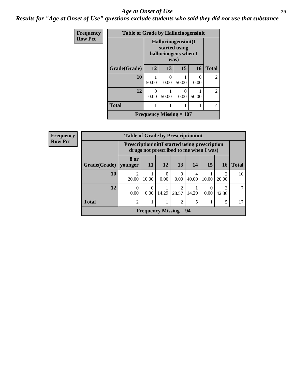#### *Age at Onset of Use* **29**

*Results for "Age at Onset of Use" questions exclude students who said they did not use that substance*

| <b>Frequency</b> | <b>Table of Grade by Hallucinogensinit</b> |                                                                      |                  |       |           |                             |
|------------------|--------------------------------------------|----------------------------------------------------------------------|------------------|-------|-----------|-----------------------------|
| <b>Row Pct</b>   |                                            | Hallucinogensinit(I<br>started using<br>hallucinogens when I<br>was) |                  |       |           |                             |
|                  | Grade(Grade)                               | 12                                                                   | 13               | 15    | 16        | <b>Total</b>                |
|                  | 10                                         | 50.00                                                                | $\Omega$<br>0.00 | 50.00 | 0<br>0.00 | $\mathfrak{D}$              |
|                  | 12                                         | 0<br>0.00                                                            | 50.00            | 0.00  | 50.00     | $\mathcal{D}_{\mathcal{L}}$ |
|                  | <b>Total</b>                               |                                                                      |                  |       |           | 4                           |
|                  |                                            | Frequency Missing $= 107$                                            |                  |       |           |                             |

| Frequency      |              | <b>Table of Grade by Prescriptioninit</b> |                                                                                                |                  |                  |            |       |                        |              |
|----------------|--------------|-------------------------------------------|------------------------------------------------------------------------------------------------|------------------|------------------|------------|-------|------------------------|--------------|
| <b>Row Pct</b> |              |                                           | <b>Prescriptioninit(I started using prescription</b><br>drugs not prescribed to me when I was) |                  |                  |            |       |                        |              |
|                | Grade(Grade) | 8 or<br>younger                           | <b>11</b>                                                                                      | <b>12</b>        | 13               | 14         | 15    | <b>16</b>              | <b>Total</b> |
|                | 10           | $\mathcal{D}$<br>20.00                    | 10.00                                                                                          | $\Omega$<br>0.00 | $\Omega$<br>0.00 | 4<br>40.00 | 10.00 | $\mathcal{D}$<br>20.00 | 10           |
|                | 12           | $\Omega$<br>0.00                          | $\Omega$<br>0.00                                                                               | 14.29            | 28.57            | 14.29      | 0.00  | 3<br>42.86             |              |
|                | <b>Total</b> | $\overline{2}$                            |                                                                                                | 1.               | 2                |            |       |                        | 17           |
|                |              |                                           | <b>Frequency Missing = 94</b>                                                                  |                  |                  |            |       |                        |              |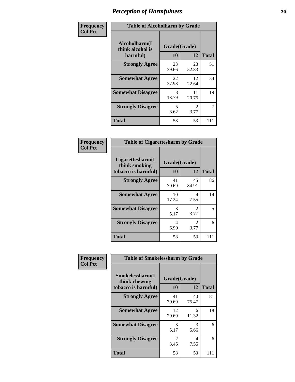| Frequency      | <b>Table of Alcoholharm by Grade</b>          |                    |                                     |              |  |
|----------------|-----------------------------------------------|--------------------|-------------------------------------|--------------|--|
| <b>Col Pct</b> | Alcoholharm(I<br>think alcohol is<br>harmful) | Grade(Grade)<br>10 | 12                                  | <b>Total</b> |  |
|                | <b>Strongly Agree</b>                         | 23<br>39.66        | 28<br>52.83                         | 51           |  |
|                | <b>Somewhat Agree</b>                         | 22<br>37.93        | 12<br>22.64                         | 34           |  |
|                | <b>Somewhat Disagree</b>                      | 8<br>13.79         | 11<br>20.75                         | 19           |  |
|                | <b>Strongly Disagree</b>                      | 5<br>8.62          | $\mathcal{D}_{\mathcal{L}}$<br>3.77 | 7            |  |
|                | <b>Total</b>                                  | 58                 | 53                                  | 111          |  |

| <b>Table of Cigarettesharm by Grade</b>                  |                    |                        |              |  |  |  |
|----------------------------------------------------------|--------------------|------------------------|--------------|--|--|--|
| Cigarettesharm(I<br>think smoking<br>tobacco is harmful) | Grade(Grade)<br>10 | 12                     | <b>Total</b> |  |  |  |
| <b>Strongly Agree</b>                                    | 41<br>70.69        | 45<br>84.91            | 86           |  |  |  |
| <b>Somewhat Agree</b>                                    | 10<br>17.24        | 4<br>7.55              | 14           |  |  |  |
| <b>Somewhat Disagree</b>                                 | 3<br>5.17          | $\mathfrak{D}$<br>3.77 | 5            |  |  |  |
| <b>Strongly Disagree</b>                                 | 4<br>6.90          | $\mathfrak{D}$<br>3.77 | 6            |  |  |  |
| <b>Total</b>                                             | 58                 | 53                     | 111          |  |  |  |

| Frequency      | <b>Table of Smokelessharm by Grade</b>                  |                    |             |              |  |
|----------------|---------------------------------------------------------|--------------------|-------------|--------------|--|
| <b>Col Pct</b> | Smokelessharm(I<br>think chewing<br>tobacco is harmful) | Grade(Grade)<br>10 | 12          | <b>Total</b> |  |
|                | <b>Strongly Agree</b>                                   | 41<br>70.69        | 40<br>75.47 | 81           |  |
|                | <b>Somewhat Agree</b>                                   | 12<br>20.69        | 6<br>11.32  | 18           |  |
|                | <b>Somewhat Disagree</b>                                | 3<br>5.17          | 3<br>5.66   | 6            |  |
|                | <b>Strongly Disagree</b>                                | 2<br>3.45          | 4<br>7.55   | 6            |  |
|                | <b>Total</b>                                            | 58                 | 53          | 111          |  |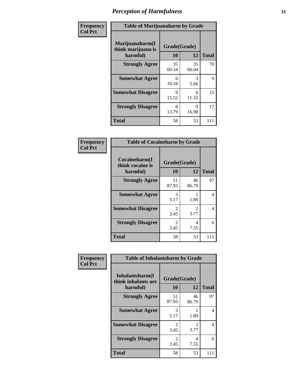| Frequency      | <b>Table of Marijuanaharm by Grade</b>            |                    |             |              |  |
|----------------|---------------------------------------------------|--------------------|-------------|--------------|--|
| <b>Col Pct</b> | Marijuanaharm(I<br>think marijuana is<br>harmful) | Grade(Grade)<br>10 | 12          | <b>Total</b> |  |
|                | <b>Strongly Agree</b>                             | 35<br>60.34        | 35<br>66.04 | 70           |  |
|                | <b>Somewhat Agree</b>                             | 6<br>10.34         | 3<br>5.66   | 9            |  |
|                | <b>Somewhat Disagree</b>                          | 9<br>15.52         | 6<br>11.32  | 15           |  |
|                | <b>Strongly Disagree</b>                          | 8<br>13.79         | 9<br>16.98  | 17           |  |
|                | <b>Total</b>                                      | 58                 | 53          | 111          |  |

| <b>Table of Cocaineharm by Grade</b>          |                           |             |              |  |  |  |  |
|-----------------------------------------------|---------------------------|-------------|--------------|--|--|--|--|
| Cocaineharm(I<br>think cocaine is<br>harmful) | Grade(Grade)<br><b>10</b> | 12          | <b>Total</b> |  |  |  |  |
| <b>Strongly Agree</b>                         | 51<br>87.93               | 46<br>86.79 | 97           |  |  |  |  |
| <b>Somewhat Agree</b>                         | 3<br>5.17                 | 1.89        | 4            |  |  |  |  |
| <b>Somewhat Disagree</b>                      | 2<br>3.45                 | 2<br>3.77   | 4            |  |  |  |  |
| <b>Strongly Disagree</b>                      | $\mathfrak{D}$<br>3.45    | 4<br>7.55   | 6            |  |  |  |  |
| <b>Total</b>                                  | 58                        | 53          | 111          |  |  |  |  |

| Frequency      | <b>Table of Inhalantsharm by Grade</b>             |                           |                                     |              |
|----------------|----------------------------------------------------|---------------------------|-------------------------------------|--------------|
| <b>Col Pct</b> | Inhalantsharm(I<br>think inhalants are<br>harmful) | Grade(Grade)<br><b>10</b> | 12                                  | <b>Total</b> |
|                | <b>Strongly Agree</b>                              | 51<br>87.93               | 46<br>86.79                         | 97           |
|                | <b>Somewhat Agree</b>                              | 3<br>5.17                 | 1.89                                | 4            |
|                | <b>Somewhat Disagree</b>                           | $\mathfrak{D}$<br>3.45    | $\mathcal{D}_{\mathcal{L}}$<br>3.77 | 4            |
|                | <b>Strongly Disagree</b>                           | $\mathfrak{D}$<br>3.45    | 4<br>7.55                           | 6            |
|                | <b>Total</b>                                       | 58                        | 53                                  | 111          |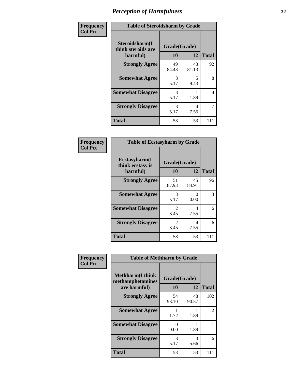| Frequency      | <b>Table of Steroidsharm by Grade</b>            |                    |             |              |  |
|----------------|--------------------------------------------------|--------------------|-------------|--------------|--|
| <b>Col Pct</b> | Steroidsharm(I<br>think steroids are<br>harmful) | Grade(Grade)<br>10 | 12          | <b>Total</b> |  |
|                | <b>Strongly Agree</b>                            | 49<br>84.48        | 43<br>81.13 | 92           |  |
|                | <b>Somewhat Agree</b>                            | 3<br>5.17          | 5<br>9.43   | 8            |  |
|                | <b>Somewhat Disagree</b>                         | 3<br>5.17          | 1.89        | 4            |  |
|                | <b>Strongly Disagree</b>                         | 3<br>5.17          | 4<br>7.55   | 7            |  |
|                | <b>Total</b>                                     | 58                 | 53          | 111          |  |

| <b>Table of Ecstasyharm by Grade</b>          |                    |              |     |  |  |  |
|-----------------------------------------------|--------------------|--------------|-----|--|--|--|
| Ecstasyharm(I<br>think ecstasy is<br>harmful) | Grade(Grade)<br>10 | <b>Total</b> |     |  |  |  |
| <b>Strongly Agree</b>                         | 51<br>87.93        | 45<br>84.91  | 96  |  |  |  |
| <b>Somewhat Agree</b>                         | 3<br>5.17          | 0<br>0.00    | 3   |  |  |  |
| <b>Somewhat Disagree</b>                      | 2<br>3.45          | 4<br>7.55    | 6   |  |  |  |
| <b>Strongly Disagree</b>                      | 2<br>3.45          | 4<br>7.55    | 6   |  |  |  |
| Total                                         | 58                 | 53           | 111 |  |  |  |

| Frequency      | <b>Table of Methharm by Grade</b>                           |                    |             |              |  |
|----------------|-------------------------------------------------------------|--------------------|-------------|--------------|--|
| <b>Col Pct</b> | <b>Methharm(I think</b><br>methamphetamines<br>are harmful) | Grade(Grade)<br>10 | 12          | <b>Total</b> |  |
|                | <b>Strongly Agree</b>                                       | 54<br>93.10        | 48<br>90.57 | 102          |  |
|                | <b>Somewhat Agree</b>                                       | 1.72               | 1.89        | 2            |  |
|                | <b>Somewhat Disagree</b>                                    | 0<br>0.00          | 1.89        |              |  |
|                | <b>Strongly Disagree</b>                                    | 3<br>5.17          | 3<br>5.66   | 6            |  |
|                | <b>Total</b>                                                | 58                 | 53          | 111          |  |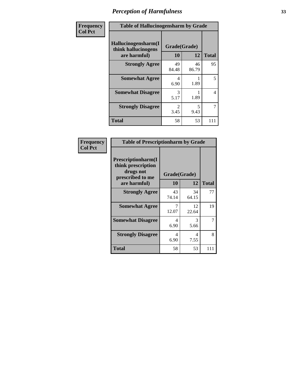| Frequency      | <b>Table of Hallucinogensharm by Grade</b>                 |                    |             |                |  |
|----------------|------------------------------------------------------------|--------------------|-------------|----------------|--|
| <b>Col Pct</b> | Hallucinogensharm(I<br>think hallucinogens<br>are harmful) | Grade(Grade)<br>10 | 12          | <b>Total</b>   |  |
|                | <b>Strongly Agree</b>                                      | 49<br>84.48        | 46<br>86.79 | 95             |  |
|                | <b>Somewhat Agree</b>                                      | 4<br>6.90          | 1.89        | 5              |  |
|                | <b>Somewhat Disagree</b>                                   | 3<br>5.17          | 1.89        | 4              |  |
|                | <b>Strongly Disagree</b>                                   | 2<br>3.45          | 5<br>9.43   | $\overline{7}$ |  |
|                | <b>Total</b>                                               | 58                 | 53          | 111            |  |

| Frequency<br>Col Pct |
|----------------------|
|                      |

| <b>Table of Prescriptionharm by Grade</b>                                 |             |              |              |  |  |
|---------------------------------------------------------------------------|-------------|--------------|--------------|--|--|
| Prescriptionharm(I<br>think prescription<br>drugs not<br>prescribed to me |             | Grade(Grade) |              |  |  |
| are harmful)                                                              | 10          | 12           | <b>Total</b> |  |  |
| <b>Strongly Agree</b>                                                     | 43<br>74.14 | 34<br>64.15  | 77           |  |  |
| <b>Somewhat Agree</b>                                                     | 12.07       | 12<br>22.64  | 19           |  |  |
| <b>Somewhat Disagree</b>                                                  | 4<br>6.90   | 3<br>5.66    |              |  |  |
| <b>Strongly Disagree</b>                                                  | 4<br>6.90   | 4<br>7.55    | 8            |  |  |
| Total                                                                     | 58          | 53           |              |  |  |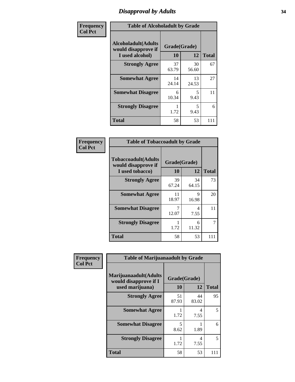### *Disapproval by Adults* **34**

| Frequency      | <b>Table of Alcoholadult by Grade</b>                                 |                    |             |              |  |
|----------------|-----------------------------------------------------------------------|--------------------|-------------|--------------|--|
| <b>Col Pct</b> | <b>Alcoholadult</b> (Adults<br>would disapprove if<br>I used alcohol) | Grade(Grade)<br>10 | 12          | <b>Total</b> |  |
|                | <b>Strongly Agree</b>                                                 | 37<br>63.79        | 30<br>56.60 | 67           |  |
|                | <b>Somewhat Agree</b>                                                 | 14<br>24.14        | 13<br>24.53 | 27           |  |
|                | <b>Somewhat Disagree</b>                                              | 6<br>10.34         | 5<br>9.43   | 11           |  |
|                | <b>Strongly Disagree</b>                                              | 1<br>1.72          | 5<br>9.43   | 6            |  |
|                | <b>Total</b>                                                          | 58                 | 53          | 111          |  |

| <b>Table of Tobaccoadult by Grade</b>                                 |             |                    |              |  |  |  |
|-----------------------------------------------------------------------|-------------|--------------------|--------------|--|--|--|
| <b>Tobaccoadult</b> (Adults<br>would disapprove if<br>I used tobacco) | 10          | Grade(Grade)<br>12 | <b>Total</b> |  |  |  |
| <b>Strongly Agree</b>                                                 | 39<br>67.24 | 34<br>64.15        | 73           |  |  |  |
| <b>Somewhat Agree</b>                                                 | 11<br>18.97 | 9<br>16.98         | 20           |  |  |  |
| <b>Somewhat Disagree</b>                                              | 7<br>12.07  | 4<br>7.55          | 11           |  |  |  |
| <b>Strongly Disagree</b>                                              | 1.72        | 6<br>11.32         | 7            |  |  |  |
| <b>Total</b>                                                          | 58          | 53                 | 111          |  |  |  |

| Frequency<br><b>Col Pct</b> | <b>Table of Marijuanaadult by Grade</b>                           |                    |             |              |  |
|-----------------------------|-------------------------------------------------------------------|--------------------|-------------|--------------|--|
|                             | Marijuanaadult(Adults<br>would disapprove if I<br>used marijuana) | Grade(Grade)<br>10 | 12          | <b>Total</b> |  |
|                             | <b>Strongly Agree</b>                                             | 51<br>87.93        | 44<br>83.02 | 95           |  |
|                             | <b>Somewhat Agree</b>                                             | 1.72               | 4<br>7.55   | 5            |  |
|                             | <b>Somewhat Disagree</b>                                          | 5<br>8.62          | 1.89        | 6            |  |
|                             | <b>Strongly Disagree</b>                                          | 1.72               | 4<br>7.55   | 5            |  |
|                             | <b>Total</b>                                                      | 58                 | 53          | 111          |  |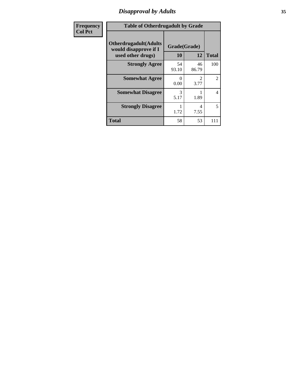### *Disapproval by Adults* **35**

| <b>Frequency</b> | <b>Table of Otherdrugadult by Grade</b>                                     |                    |                                     |                |  |
|------------------|-----------------------------------------------------------------------------|--------------------|-------------------------------------|----------------|--|
| <b>Col Pct</b>   | <b>Otherdrugadult</b> (Adults<br>would disapprove if I<br>used other drugs) | Grade(Grade)<br>10 | 12                                  | <b>Total</b>   |  |
|                  | <b>Strongly Agree</b>                                                       | 54<br>93.10        | 46<br>86.79                         | 100            |  |
|                  | <b>Somewhat Agree</b>                                                       | 0<br>0.00          | $\mathcal{D}_{\mathcal{L}}$<br>3.77 | $\overline{2}$ |  |
|                  | <b>Somewhat Disagree</b>                                                    | 3<br>5.17          | 1.89                                | 4              |  |
|                  | <b>Strongly Disagree</b>                                                    | 1.72               | 4<br>7.55                           | 5              |  |
|                  | <b>Total</b>                                                                | 58                 | 53                                  | 111            |  |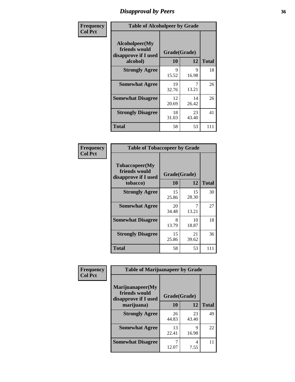### *Disapproval by Peers* **36**

| Frequency      | <b>Table of Alcoholpeer by Grade</b>                    |              |             |              |  |
|----------------|---------------------------------------------------------|--------------|-------------|--------------|--|
| <b>Col Pct</b> | Alcoholpeer(My<br>friends would<br>disapprove if I used | Grade(Grade) |             |              |  |
|                | alcohol)                                                | 10           | 12          | <b>Total</b> |  |
|                | <b>Strongly Agree</b>                                   | 9<br>15.52   | 9<br>16.98  | 18           |  |
|                | <b>Somewhat Agree</b>                                   | 19<br>32.76  | 13.21       | 26           |  |
|                | <b>Somewhat Disagree</b>                                | 12<br>20.69  | 14<br>26.42 | 26           |  |
|                | <b>Strongly Disagree</b>                                | 18<br>31.03  | 23<br>43.40 | 41           |  |
|                | Total                                                   | 58           | 53          | 111          |  |

| Frequency      | <b>Table of Tobaccopeer by Grade</b>                                |                    |             |              |
|----------------|---------------------------------------------------------------------|--------------------|-------------|--------------|
| <b>Col Pct</b> | Tobaccopeer(My<br>friends would<br>disapprove if I used<br>tobacco) | Grade(Grade)<br>10 | 12          | <b>Total</b> |
|                | <b>Strongly Agree</b>                                               | 15<br>25.86        | 15<br>28.30 | 30           |
|                | <b>Somewhat Agree</b>                                               | 20<br>34.48        | 7<br>13.21  | 27           |
|                | <b>Somewhat Disagree</b>                                            | 8<br>13.79         | 10<br>18.87 | 18           |
|                | <b>Strongly Disagree</b>                                            | 15<br>25.86        | 21<br>39.62 | 36           |
|                | <b>Total</b>                                                        | 58                 | 53          | 111          |

| Frequency      | <b>Table of Marijuanapeer by Grade</b>                    |              |             |              |
|----------------|-----------------------------------------------------------|--------------|-------------|--------------|
| <b>Col Pct</b> | Marijuanapeer(My<br>friends would<br>disapprove if I used | Grade(Grade) |             |              |
|                | marijuana)                                                | 10           | 12          | <b>Total</b> |
|                | <b>Strongly Agree</b>                                     | 26<br>44.83  | 23<br>43.40 | 49           |
|                | <b>Somewhat Agree</b>                                     | 13<br>22.41  | 9<br>16.98  | 22           |
|                | <b>Somewhat Disagree</b>                                  | 12.07        | 4<br>7.55   | 11           |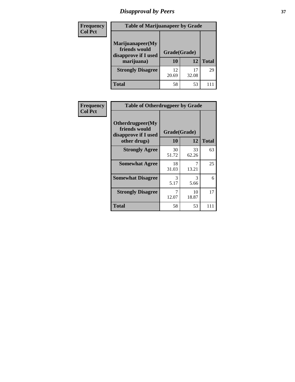# *Disapproval by Peers* **37**

| Frequency<br><b>Col Pct</b> | <b>Table of Marijuanapeer by Grade</b>                                  |                    |       |              |
|-----------------------------|-------------------------------------------------------------------------|--------------------|-------|--------------|
|                             | Marijuanapeer(My<br>friends would<br>disapprove if I used<br>marijuana) | Grade(Grade)<br>10 | 12    | <b>Total</b> |
|                             | <b>Strongly Disagree</b>                                                | 12<br>20.69        | 32.08 | 29           |
|                             | Total                                                                   | 58                 | 53    |              |

| Frequency      | <b>Table of Otherdrugpeer by Grade</b>                                    |                    |             |              |  |
|----------------|---------------------------------------------------------------------------|--------------------|-------------|--------------|--|
| <b>Col Pct</b> | Otherdrugpeer(My<br>friends would<br>disapprove if I used<br>other drugs) | Grade(Grade)<br>10 | 12          | <b>Total</b> |  |
|                | <b>Strongly Agree</b>                                                     | 30<br>51.72        | 33<br>62.26 | 63           |  |
|                | <b>Somewhat Agree</b>                                                     | 18<br>31.03        | 7<br>13.21  | 25           |  |
|                | <b>Somewhat Disagree</b>                                                  | 3<br>5.17          | 3<br>5.66   | 6            |  |
|                | <b>Strongly Disagree</b>                                                  | 12.07              | 10<br>18.87 | 17           |  |
|                | <b>Total</b>                                                              | 58                 | 53          | 111          |  |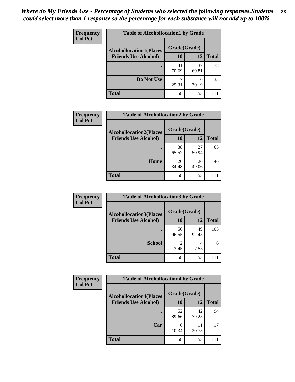| <b>Frequency</b> | <b>Table of Alcohollocation1 by Grade</b> |              |             |              |
|------------------|-------------------------------------------|--------------|-------------|--------------|
| <b>Col Pct</b>   | <b>Alcohollocation1(Places</b>            | Grade(Grade) |             |              |
|                  | <b>Friends Use Alcohol)</b>               | 10           | 12          | <b>Total</b> |
|                  |                                           | 41<br>70.69  | 37<br>69.81 | 78           |
|                  | Do Not Use                                | 17<br>29.31  | 16<br>30.19 | 33           |
|                  | <b>Total</b>                              | 58           | 53          |              |

| Frequency      | <b>Table of Alcohollocation2 by Grade</b>                     |                    |             |              |
|----------------|---------------------------------------------------------------|--------------------|-------------|--------------|
| <b>Col Pct</b> | <b>Alcohollocation2(Places</b><br><b>Friends Use Alcohol)</b> | Grade(Grade)<br>10 | <b>12</b>   | <b>Total</b> |
|                |                                                               | 38                 | 27          | 65           |
|                |                                                               | 65.52              | 50.94       |              |
|                | Home                                                          | 20<br>34.48        | 26<br>49.06 | 46           |
|                | <b>Total</b>                                                  | 58                 | 53          |              |

| <b>Frequency</b><br><b>Col Pct</b> | <b>Table of Alcohollocation 3 by Grade</b>                    |                    |             |              |
|------------------------------------|---------------------------------------------------------------|--------------------|-------------|--------------|
|                                    | <b>Alcohollocation3(Places</b><br><b>Friends Use Alcohol)</b> | Grade(Grade)<br>10 | 12          | <b>Total</b> |
|                                    |                                                               | 56<br>96.55        | 49<br>92.45 | 105          |
|                                    | <b>School</b>                                                 | 3.45               | 4<br>7.55   | 6            |
|                                    | <b>Total</b>                                                  | 58                 | 53          |              |

| <b>Frequency</b> | <b>Table of Alcohollocation4 by Grade</b> |              |             |              |  |
|------------------|-------------------------------------------|--------------|-------------|--------------|--|
| <b>Col Pct</b>   | <b>Alcohollocation4(Places</b>            | Grade(Grade) |             |              |  |
|                  | <b>Friends Use Alcohol)</b>               | 10           | 12          | <b>Total</b> |  |
|                  |                                           | 52<br>89.66  | 42<br>79.25 | 94           |  |
|                  | Car                                       | 6<br>10.34   | 11<br>20.75 | 17           |  |
|                  | <b>Total</b>                              | 58           | 53          |              |  |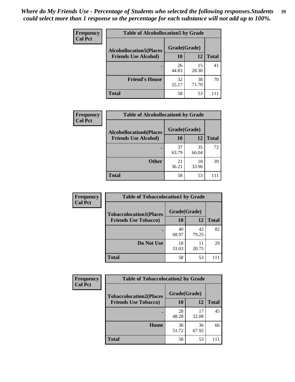| Frequency<br><b>Col Pct</b> | <b>Table of Alcohollocation5 by Grade</b>      |             |             |              |  |
|-----------------------------|------------------------------------------------|-------------|-------------|--------------|--|
|                             | Grade(Grade)<br><b>Alcohollocation5(Places</b> |             |             |              |  |
|                             | <b>Friends Use Alcohol)</b>                    | 10          | 12          | <b>Total</b> |  |
|                             |                                                | 26<br>44.83 | 15<br>28.30 | 41           |  |
|                             | <b>Friend's House</b>                          | 32<br>55.17 | 38<br>71.70 | 70           |  |
|                             | <b>Total</b>                                   | 58          | 53          |              |  |

| <b>Frequency</b> | <b>Table of Alcohollocation6 by Grade</b>                     |                    |             |              |
|------------------|---------------------------------------------------------------|--------------------|-------------|--------------|
| <b>Col Pct</b>   | <b>Alcohollocation6(Places</b><br><b>Friends Use Alcohol)</b> | Grade(Grade)<br>10 | 12          | <b>Total</b> |
|                  |                                                               |                    |             |              |
|                  |                                                               | 37<br>63.79        | 35<br>66.04 | 72           |
|                  | <b>Other</b>                                                  | 21<br>36.21        | 18<br>33.96 | 39           |
|                  | Total                                                         | 58                 | 53          |              |

| Frequency<br><b>Col Pct</b> | <b>Table of Tobaccolocation1 by Grade</b> |              |             |              |
|-----------------------------|-------------------------------------------|--------------|-------------|--------------|
|                             | <b>Tobaccolocation1(Places</b>            | Grade(Grade) |             |              |
|                             | <b>Friends Use Tobacco)</b>               | <b>10</b>    | 12          | <b>Total</b> |
|                             |                                           | 40<br>68.97  | 42<br>79.25 | 82           |
|                             | Do Not Use                                | 18<br>31.03  | 11<br>20.75 | 29           |
|                             | <b>Total</b>                              | 58           | 53          |              |

| <b>Frequency</b> | <b>Table of Tobaccolocation2 by Grade</b> |              |             |              |
|------------------|-------------------------------------------|--------------|-------------|--------------|
| <b>Col Pct</b>   | <b>Tobaccolocation2(Places</b>            | Grade(Grade) |             |              |
|                  | <b>Friends Use Tobacco)</b>               | 10           | 12          | <b>Total</b> |
|                  |                                           | 28<br>48.28  | 17<br>32.08 | 45           |
|                  | Home                                      | 30<br>51.72  | 36<br>67.92 | 66           |
|                  | <b>Total</b>                              | 58           | 53          |              |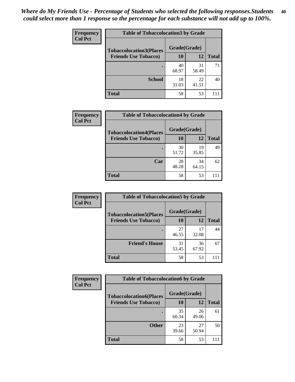| Frequency      | <b>Table of Tobaccolocation 3 by Grade</b> |              |             |              |
|----------------|--------------------------------------------|--------------|-------------|--------------|
| <b>Col Pct</b> | <b>Tobaccolocation3(Places</b>             | Grade(Grade) |             |              |
|                | <b>Friends Use Tobacco)</b>                | 10           | <b>12</b>   | <b>Total</b> |
|                |                                            | 40<br>68.97  | 31<br>58.49 | 71           |
|                | <b>School</b>                              | 18<br>31.03  | 22<br>41.51 | 40           |
|                | <b>Total</b>                               | 58           | 53          |              |

| <b>Frequency</b> | <b>Table of Tobaccolocation4 by Grade</b> |              |             |              |
|------------------|-------------------------------------------|--------------|-------------|--------------|
| <b>Col Pct</b>   | <b>Tobaccolocation4(Places</b>            | Grade(Grade) |             |              |
|                  | <b>Friends Use Tobacco)</b>               | 10           | 12          | <b>Total</b> |
|                  |                                           | 30<br>51.72  | 19<br>35.85 | 49           |
|                  | Car                                       | 28<br>48.28  | 34<br>64.15 | 62           |
|                  | <b>Total</b>                              | 58           | 53          |              |

| Frequency      | <b>Table of Tobaccolocation5 by Grade</b> |              |             |              |  |
|----------------|-------------------------------------------|--------------|-------------|--------------|--|
| <b>Col Pct</b> | <b>Tobaccolocation5(Places</b>            | Grade(Grade) |             |              |  |
|                | <b>Friends Use Tobacco)</b>               | 10           | <b>12</b>   | <b>Total</b> |  |
|                |                                           | 27<br>46.55  | 17<br>32.08 | 44           |  |
|                | <b>Friend's House</b>                     | 31<br>53.45  | 36<br>67.92 | 67           |  |
|                | <b>Total</b>                              | 58           | 53          |              |  |

| Frequency      | <b>Table of Tobaccolocation6 by Grade</b> |              |             |              |
|----------------|-------------------------------------------|--------------|-------------|--------------|
| <b>Col Pct</b> | <b>Tobaccolocation6(Places</b>            | Grade(Grade) |             |              |
|                | <b>Friends Use Tobacco)</b>               | 10           | 12          | <b>Total</b> |
|                |                                           | 35<br>60.34  | 26<br>49.06 | 61           |
|                | <b>Other</b>                              | 23<br>39.66  | 27<br>50.94 | 50           |
|                | <b>Total</b>                              | 58           | 53          |              |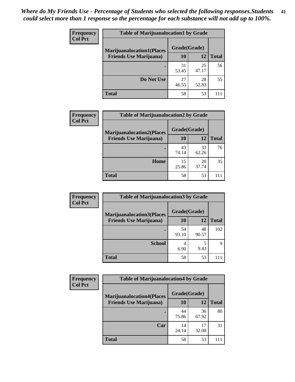| <b>Frequency</b> | <b>Table of Marijuanalocation1 by Grade</b> |              |             |              |
|------------------|---------------------------------------------|--------------|-------------|--------------|
| <b>Col Pct</b>   | <b>Marijuanalocation1(Places</b>            | Grade(Grade) |             |              |
|                  | <b>Friends Use Marijuana</b> )              | <b>10</b>    | 12          | <b>Total</b> |
|                  |                                             | 31<br>53.45  | 25<br>47.17 | 56           |
|                  | Do Not Use                                  | 27<br>46.55  | 28<br>52.83 | 55           |
|                  | <b>Total</b>                                | 58           | 53          |              |

| <b>Frequency</b> | <b>Table of Marijuanalocation2 by Grade</b>                        |                    |             |              |
|------------------|--------------------------------------------------------------------|--------------------|-------------|--------------|
| <b>Col Pct</b>   | <b>Marijuanalocation2(Places</b><br><b>Friends Use Marijuana</b> ) | Grade(Grade)<br>10 | 12          | <b>Total</b> |
|                  |                                                                    | 43<br>74.14        | 33<br>62.26 | 76           |
|                  | Home                                                               | 15<br>25.86        | 20<br>37.74 | 35           |
|                  | <b>Total</b>                                                       | 58                 | 53          |              |

| <b>Frequency</b><br><b>Col Pct</b> | <b>Table of Marijuanalocation3 by Grade</b> |              |       |              |
|------------------------------------|---------------------------------------------|--------------|-------|--------------|
|                                    | <b>Marijuanalocation3</b> (Places           | Grade(Grade) |       |              |
|                                    | <b>Friends Use Marijuana</b> )              | <b>10</b>    | 12    | <b>Total</b> |
|                                    |                                             | 54           | 48    | 102          |
|                                    |                                             | 93.10        | 90.57 |              |
|                                    | <b>School</b>                               | 4            |       | Q            |
|                                    |                                             | 6.90         | 9.43  |              |
|                                    | <b>Total</b>                                | 58           | 53    |              |

| <b>Frequency</b> | <b>Table of Marijuanalocation4 by Grade</b> |              |             |              |
|------------------|---------------------------------------------|--------------|-------------|--------------|
| <b>Col Pct</b>   | <b>Marijuanalocation4(Places</b>            | Grade(Grade) |             |              |
|                  | <b>Friends Use Marijuana</b> )              | <b>10</b>    | 12          | <b>Total</b> |
|                  |                                             | 44<br>75.86  | 36<br>67.92 | 80           |
|                  | Car                                         | 14<br>24.14  | 17<br>32.08 | 31           |
|                  | <b>Total</b>                                | 58           | 53          |              |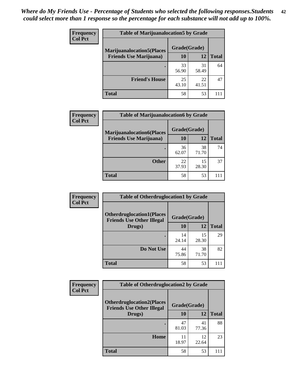| <b>Frequency</b>               | <b>Table of Marijuanalocation5 by Grade</b> |              |              |    |
|--------------------------------|---------------------------------------------|--------------|--------------|----|
| <b>Col Pct</b>                 | <b>Marijuanalocation5</b> (Places           | Grade(Grade) |              |    |
| <b>Friends Use Marijuana</b> ) | 10                                          | 12           | <b>Total</b> |    |
|                                |                                             | 33<br>56.90  | 31<br>58.49  | 64 |
|                                | <b>Friend's House</b>                       | 25<br>43.10  | 22<br>41.51  | 47 |
|                                | <b>Total</b>                                | 58           | 53           |    |

| <b>Frequency</b> | <b>Table of Marijuanalocation6 by Grade</b>                        |                    |             |              |
|------------------|--------------------------------------------------------------------|--------------------|-------------|--------------|
| <b>Col Pct</b>   | <b>Marijuanalocation6(Places</b><br><b>Friends Use Marijuana</b> ) | Grade(Grade)<br>10 | 12          | <b>Total</b> |
|                  |                                                                    | 36<br>62.07        | 38<br>71.70 | 74           |
|                  | <b>Other</b>                                                       | 22<br>37.93        | 15<br>28.30 | 37           |
|                  | <b>Total</b>                                                       | 58                 | 53          |              |

| <b>Frequency</b> | <b>Table of Otherdruglocation1 by Grade</b>                          |              |             |              |
|------------------|----------------------------------------------------------------------|--------------|-------------|--------------|
| <b>Col Pct</b>   | <b>Otherdruglocation1(Places</b><br><b>Friends Use Other Illegal</b> | Grade(Grade) |             |              |
|                  | Drugs)                                                               | <b>10</b>    | 12          | <b>Total</b> |
|                  |                                                                      | 14<br>24.14  | 15<br>28.30 | 29           |
|                  | Do Not Use                                                           | 44<br>75.86  | 38<br>71.70 | 82           |
|                  | <b>Total</b>                                                         | 58           | 53          |              |

| Frequency      | <b>Table of Otherdruglocation2 by Grade</b>                          |              |             |              |
|----------------|----------------------------------------------------------------------|--------------|-------------|--------------|
| <b>Col Pct</b> | <b>Otherdruglocation2(Places</b><br><b>Friends Use Other Illegal</b> | Grade(Grade) |             |              |
|                | Drugs)                                                               | 10           | 12          | <b>Total</b> |
|                |                                                                      | 47<br>81.03  | 41<br>77.36 | 88           |
|                | Home                                                                 | 11<br>18.97  | 12<br>22.64 | 23           |
|                | <b>Total</b>                                                         | 58           | 53          | 111          |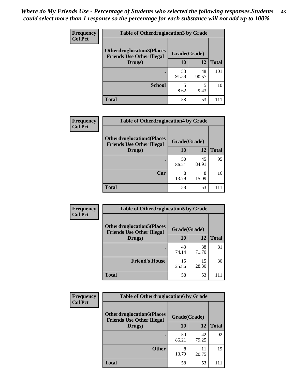| <b>Frequency</b> | <b>Table of Otherdruglocation3 by Grade</b>                           |              |             |              |
|------------------|-----------------------------------------------------------------------|--------------|-------------|--------------|
| <b>Col Pct</b>   | <b>Otherdruglocation3(Places)</b><br><b>Friends Use Other Illegal</b> | Grade(Grade) |             |              |
|                  | Drugs)                                                                | 10           | 12          | <b>Total</b> |
|                  |                                                                       | 53<br>91.38  | 48<br>90.57 | 101          |
|                  | <b>School</b>                                                         | 5<br>8.62    | 9.43        | 10           |
|                  | <b>Total</b>                                                          | 58           | 53          |              |

| <b>Frequency</b> | <b>Table of Otherdruglocation4 by Grade</b>                          |              |             |              |
|------------------|----------------------------------------------------------------------|--------------|-------------|--------------|
| <b>Col Pct</b>   | <b>Otherdruglocation4(Places</b><br><b>Friends Use Other Illegal</b> | Grade(Grade) |             |              |
|                  | Drugs)                                                               | 10           | 12          | <b>Total</b> |
|                  |                                                                      | 50<br>86.21  | 45<br>84.91 | 95           |
|                  | Car                                                                  | 8<br>13.79   | 8<br>15.09  | 16           |
|                  | <b>Total</b>                                                         | 58           | 53          | 111          |

| <b>Frequency</b> | <b>Table of Otherdruglocation5 by Grade</b>                          |              |             |              |
|------------------|----------------------------------------------------------------------|--------------|-------------|--------------|
| <b>Col Pct</b>   | <b>Otherdruglocation5(Places</b><br><b>Friends Use Other Illegal</b> | Grade(Grade) |             |              |
|                  | Drugs)                                                               | <b>10</b>    | 12          | <b>Total</b> |
|                  |                                                                      | 43<br>74.14  | 38<br>71.70 | 81           |
|                  | <b>Friend's House</b>                                                | 15<br>25.86  | 15<br>28.30 | 30           |
|                  | <b>Total</b>                                                         | 58           | 53          |              |

| <b>Frequency</b> | <b>Table of Otherdruglocation6 by Grade</b>                          |              |             |              |
|------------------|----------------------------------------------------------------------|--------------|-------------|--------------|
| <b>Col Pct</b>   | <b>Otherdruglocation6(Places</b><br><b>Friends Use Other Illegal</b> | Grade(Grade) |             |              |
|                  | Drugs)                                                               | 10           | 12          | <b>Total</b> |
|                  |                                                                      | 50<br>86.21  | 42<br>79.25 | 92           |
|                  | <b>Other</b>                                                         | 8<br>13.79   | 11<br>20.75 | 19           |
|                  | <b>Total</b>                                                         | 58           | 53          |              |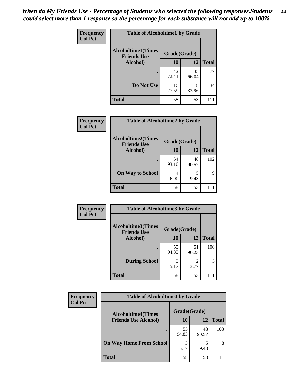| Frequency      | <b>Table of Alcoholtime1 by Grade</b>           |              |             |              |
|----------------|-------------------------------------------------|--------------|-------------|--------------|
| <b>Col Pct</b> | <b>Alcoholtime1(Times</b><br><b>Friends Use</b> | Grade(Grade) |             |              |
|                | Alcohol)                                        | 10           | 12          | <b>Total</b> |
|                |                                                 | 42<br>72.41  | 35<br>66.04 | 77           |
|                | Do Not Use                                      | 16<br>27.59  | 18<br>33.96 | 34           |
|                | <b>Total</b>                                    | 58           | 53          | 111          |

| Frequency      | <b>Table of Alcoholtime2 by Grade</b>           |              |             |              |
|----------------|-------------------------------------------------|--------------|-------------|--------------|
| <b>Col Pct</b> | <b>Alcoholtime2(Times</b><br><b>Friends Use</b> | Grade(Grade) |             |              |
|                | Alcohol)                                        | 10           | 12          | <b>Total</b> |
|                |                                                 | 54<br>93.10  | 48<br>90.57 | 102          |
|                | <b>On Way to School</b>                         | 4<br>6.90    | 5<br>9.43   | Q            |
|                | <b>Total</b>                                    | 58           | 53          |              |

| Frequency      | <b>Table of Alcoholtime3 by Grade</b>           |              |             |              |  |
|----------------|-------------------------------------------------|--------------|-------------|--------------|--|
| <b>Col Pct</b> | <b>Alcoholtime3(Times</b><br><b>Friends Use</b> | Grade(Grade) |             |              |  |
|                | Alcohol)                                        | 10           | 12          | <b>Total</b> |  |
|                |                                                 | 55<br>94.83  | 51<br>96.23 | 106          |  |
|                | <b>During School</b>                            | 3<br>5.17    | 2<br>3.77   | 5            |  |
|                | <b>Total</b>                                    | 58           | 53          |              |  |

| <b>Frequency</b><br><b>Col Pct</b> | <b>Table of Alcoholtime4 by Grade</b> |              |             |              |
|------------------------------------|---------------------------------------|--------------|-------------|--------------|
|                                    | <b>Alcoholtime4(Times</b>             | Grade(Grade) |             |              |
|                                    | <b>Friends Use Alcohol)</b>           | 10           | 12          | <b>Total</b> |
|                                    |                                       | 55<br>94.83  | 48<br>90.57 | 103          |
|                                    | <b>On Way Home From School</b>        | 3<br>5.17    | 9.43        | 8            |
|                                    | <b>Total</b>                          | 58           | 53          | 111          |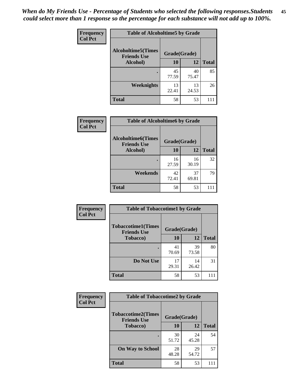*When do My Friends Use - Percentage of Students who selected the following responses.Students could select more than 1 response so the percentage for each substance will not add up to 100%.* **45**

| Frequency      | <b>Table of Alcoholtime5 by Grade</b>           |              |             |              |
|----------------|-------------------------------------------------|--------------|-------------|--------------|
| <b>Col Pct</b> | <b>Alcoholtime5(Times</b><br><b>Friends Use</b> | Grade(Grade) |             |              |
|                | Alcohol)                                        | 10           | 12          | <b>Total</b> |
|                |                                                 | 45<br>77.59  | 40<br>75.47 | 85           |
|                | Weeknights                                      | 13<br>22.41  | 13<br>24.53 | 26           |
|                | <b>Total</b>                                    | 58           | 53          | 111          |

| <b>Frequency</b> | <b>Table of Alcoholtime6 by Grade</b>           |             |              |              |  |
|------------------|-------------------------------------------------|-------------|--------------|--------------|--|
| <b>Col Pct</b>   | <b>Alcoholtime6(Times</b><br><b>Friends Use</b> |             | Grade(Grade) |              |  |
|                  | Alcohol)                                        | 10          | 12           | <b>Total</b> |  |
|                  |                                                 | 16<br>27.59 | 16<br>30.19  | 32           |  |
|                  | Weekends                                        | 42<br>72.41 | 37<br>69.81  | 79           |  |
|                  | <b>Total</b>                                    | 58          | 53           |              |  |

| Frequency      | <b>Table of Tobaccotime1 by Grade</b>           |              |             |              |  |
|----------------|-------------------------------------------------|--------------|-------------|--------------|--|
| <b>Col Pct</b> | <b>Tobaccotime1(Times</b><br><b>Friends Use</b> | Grade(Grade) |             |              |  |
|                | <b>Tobacco</b> )                                | 10           | 12          | <b>Total</b> |  |
|                | $\bullet$                                       | 41<br>70.69  | 39<br>73.58 | 80           |  |
|                | Do Not Use                                      | 17<br>29.31  | 14<br>26.42 | 31           |  |
|                | <b>Total</b>                                    | 58           | 53          |              |  |

| <b>Frequency</b> | <b>Table of Tobaccotime2 by Grade</b>           |              |             |              |
|------------------|-------------------------------------------------|--------------|-------------|--------------|
| <b>Col Pct</b>   | <b>Tobaccotime2(Times</b><br><b>Friends Use</b> | Grade(Grade) |             |              |
|                  | <b>Tobacco</b> )                                | 10           | 12          | <b>Total</b> |
|                  |                                                 | 30<br>51.72  | 24<br>45.28 | 54           |
|                  | <b>On Way to School</b>                         | 28<br>48.28  | 29<br>54.72 | 57           |
|                  | <b>Total</b>                                    | 58           | 53          | 111          |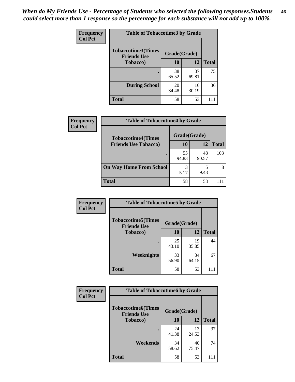| <b>Frequency</b> | <b>Table of Tobaccotime3 by Grade</b>           |             |              |              |  |
|------------------|-------------------------------------------------|-------------|--------------|--------------|--|
| <b>Col Pct</b>   | <b>Tobaccotime3(Times</b><br><b>Friends Use</b> |             | Grade(Grade) |              |  |
|                  | <b>Tobacco</b> )                                | 10          | 12           | <b>Total</b> |  |
|                  |                                                 | 38<br>65.52 | 37<br>69.81  | 75           |  |
|                  | <b>During School</b>                            | 20<br>34.48 | 16<br>30.19  | 36           |  |
|                  | <b>Total</b>                                    | 58          | 53           | 111          |  |

| <b>Frequency</b><br><b>Col Pct</b> | <b>Table of Tobaccotime4 by Grade</b> |              |             |              |  |
|------------------------------------|---------------------------------------|--------------|-------------|--------------|--|
|                                    | <b>Tobaccotime4(Times</b>             | Grade(Grade) |             |              |  |
|                                    | <b>Friends Use Tobacco)</b>           | 10           | 12          | <b>Total</b> |  |
|                                    |                                       | 55<br>94.83  | 48<br>90.57 | 103          |  |
|                                    | <b>On Way Home From School</b>        | 3<br>5.17    | 9.43        |              |  |
|                                    | <b>Total</b>                          | 58           | 53          |              |  |

| Frequency      | <b>Table of Tobaccotime5 by Grade</b>           |              |             |              |
|----------------|-------------------------------------------------|--------------|-------------|--------------|
| <b>Col Pct</b> | <b>Tobaccotime5(Times</b><br><b>Friends Use</b> | Grade(Grade) |             |              |
|                | <b>Tobacco</b> )                                | 10           | 12          | <b>Total</b> |
|                |                                                 | 25<br>43.10  | 19<br>35.85 | 44           |
|                | Weeknights                                      | 33<br>56.90  | 34<br>64.15 | 67           |
|                | <b>Total</b>                                    | 58           | 53          | 111          |

| Frequency      | <b>Table of Tobaccotime6 by Grade</b>           |              |             |              |  |
|----------------|-------------------------------------------------|--------------|-------------|--------------|--|
| <b>Col Pct</b> | <b>Tobaccotime6(Times</b><br><b>Friends Use</b> | Grade(Grade) |             |              |  |
|                | <b>Tobacco</b> )                                | 10           | 12          | <b>Total</b> |  |
|                | ٠                                               | 24<br>41.38  | 13<br>24.53 | 37           |  |
|                | Weekends                                        | 34<br>58.62  | 40<br>75.47 | 74           |  |
|                | <b>Total</b>                                    | 58           | 53          | 111          |  |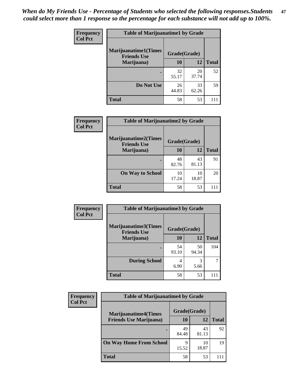| <b>Frequency</b> | <b>Table of Marijuanatime1 by Grade</b>            |              |             |              |
|------------------|----------------------------------------------------|--------------|-------------|--------------|
| <b>Col Pct</b>   | <b>Marijuanatime1</b> (Times<br><b>Friends Use</b> | Grade(Grade) |             |              |
|                  | Marijuana)                                         | 10           | 12          | <b>Total</b> |
|                  |                                                    | 32<br>55.17  | 20<br>37.74 | 52           |
|                  | Do Not Use                                         | 26<br>44.83  | 33<br>62.26 | 59           |
|                  | <b>Total</b>                                       | 58           | 53          |              |

| Frequency      | <b>Table of Marijuanatime2 by Grade</b>           |              |             |              |
|----------------|---------------------------------------------------|--------------|-------------|--------------|
| <b>Col Pct</b> | <b>Marijuanatime2(Times</b><br><b>Friends Use</b> | Grade(Grade) |             |              |
|                | Marijuana)                                        | 10           | 12          | <b>Total</b> |
|                |                                                   | 48<br>82.76  | 43<br>81.13 | 91           |
|                | <b>On Way to School</b>                           | 10<br>17.24  | 10<br>18.87 | 20           |
|                | <b>Total</b>                                      | 58           | 53          | 111          |

| Frequency      | <b>Table of Marijuanatime3 by Grade</b>    |              |             |              |
|----------------|--------------------------------------------|--------------|-------------|--------------|
| <b>Col Pct</b> | Marijuanatime3(Times<br><b>Friends Use</b> | Grade(Grade) |             |              |
|                | Marijuana)                                 | 10           | 12          | <b>Total</b> |
|                |                                            | 54<br>93.10  | 50<br>94.34 | 104          |
|                | <b>During School</b>                       | 4<br>6.90    | 3<br>5.66   |              |
|                | <b>Total</b>                               | 58           | 53          |              |

| <b>Frequency</b> | <b>Table of Marijuanatime4 by Grade</b> |              |             |              |
|------------------|-----------------------------------------|--------------|-------------|--------------|
| <b>Col Pct</b>   | <b>Marijuanatime4</b> (Times            | Grade(Grade) |             |              |
|                  | <b>Friends Use Marijuana</b> )          | 10           | 12          | <b>Total</b> |
|                  |                                         | 49<br>84.48  | 43<br>81.13 | 92           |
|                  | <b>On Way Home From School</b>          | 9<br>15.52   | 10<br>18.87 | 19           |
|                  | <b>Total</b>                            | 58           | 53          | 111          |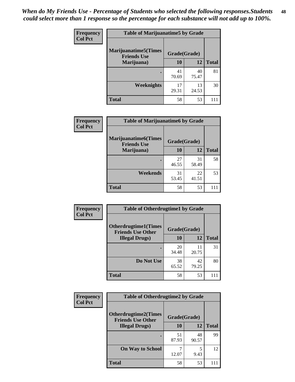| Frequency      | <b>Table of Marijuanatime5 by Grade</b>            |              |             |              |  |
|----------------|----------------------------------------------------|--------------|-------------|--------------|--|
| <b>Col Pct</b> | <b>Marijuanatime5</b> (Times<br><b>Friends Use</b> | Grade(Grade) |             |              |  |
|                | Marijuana)                                         | 10           | 12          | <b>Total</b> |  |
|                |                                                    | 41<br>70.69  | 40<br>75.47 | 81           |  |
|                | Weeknights                                         | 17<br>29.31  | 13<br>24.53 | 30           |  |
|                | <b>Total</b>                                       | 58           | 53          |              |  |

| Frequency      | <b>Table of Marijuanatime6 by Grade</b>            |              |             |              |  |  |
|----------------|----------------------------------------------------|--------------|-------------|--------------|--|--|
| <b>Col Pct</b> | <b>Marijuanatime6</b> (Times<br><b>Friends Use</b> | Grade(Grade) |             |              |  |  |
|                | Marijuana)                                         | 10           | 12          | <b>Total</b> |  |  |
|                |                                                    | 27<br>46.55  | 31<br>58.49 | 58           |  |  |
|                | Weekends                                           | 31<br>53.45  | 22<br>41.51 | 53           |  |  |
|                | <b>Total</b>                                       | 58           | 53          | 111          |  |  |

| <b>Frequency</b> | <b>Table of Otherdrugtime1 by Grade</b>                  |              |             |              |
|------------------|----------------------------------------------------------|--------------|-------------|--------------|
| <b>Col Pct</b>   | <b>Otherdrugtime1</b> (Times<br><b>Friends Use Other</b> | Grade(Grade) |             |              |
|                  | <b>Illegal Drugs</b> )                                   | 10           | 12          | <b>Total</b> |
|                  |                                                          | 20<br>34.48  | 11<br>20.75 | 31           |
|                  | Do Not Use                                               | 38<br>65.52  | 42<br>79.25 | 80           |
|                  | <b>Total</b>                                             | 58           | 53          |              |

| Frequency      | <b>Table of Otherdrugtime2 by Grade</b>                 |              |             |              |  |
|----------------|---------------------------------------------------------|--------------|-------------|--------------|--|
| <b>Col Pct</b> | <b>Otherdrugtime2(Times</b><br><b>Friends Use Other</b> | Grade(Grade) |             |              |  |
|                | <b>Illegal Drugs</b> )                                  | 10           | 12          | <b>Total</b> |  |
|                |                                                         | 51<br>87.93  | 48<br>90.57 | 99           |  |
|                | <b>On Way to School</b>                                 | 12.07        | 5<br>9.43   | 12           |  |
|                | <b>Total</b>                                            | 58           | 53          |              |  |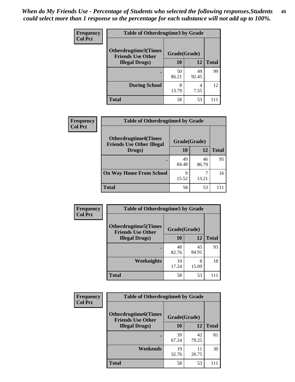| <b>Frequency</b> | <b>Table of Otherdrugtime3 by Grade</b>          |              |             |              |  |
|------------------|--------------------------------------------------|--------------|-------------|--------------|--|
| <b>Col Pct</b>   | Otherdrugtime3(Times<br><b>Friends Use Other</b> | Grade(Grade) |             |              |  |
|                  | <b>Illegal Drugs</b> )                           | 10           | 12          | <b>Total</b> |  |
|                  |                                                  | 50<br>86.21  | 49<br>92.45 | 99           |  |
|                  | <b>During School</b>                             | 8<br>13.79   | 4<br>7.55   | 12           |  |
|                  | <b>Total</b>                                     | 58           | 53          |              |  |

| Frequency<br><b>Col Pct</b> | <b>Table of Otherdrugtime4 by Grade</b>                         |              |             |              |
|-----------------------------|-----------------------------------------------------------------|--------------|-------------|--------------|
|                             | <b>Otherdrugtime4(Times</b><br><b>Friends Use Other Illegal</b> | Grade(Grade) |             |              |
|                             | Drugs)                                                          | 10           | 12          | <b>Total</b> |
|                             | ٠                                                               | 49<br>84.48  | 46<br>86.79 | 95           |
|                             | <b>On Way Home From School</b>                                  | 9<br>15.52   | 13.21       | 16           |
|                             | <b>Total</b>                                                    | 58           | 53          |              |

| Frequency      | <b>Table of Otherdrugtime5 by Grade</b>                  |              |             |              |  |
|----------------|----------------------------------------------------------|--------------|-------------|--------------|--|
| <b>Col Pct</b> | <b>Otherdrugtime5</b> (Times<br><b>Friends Use Other</b> | Grade(Grade) |             |              |  |
|                | <b>Illegal Drugs</b> )                                   | 10           | 12          | <b>Total</b> |  |
|                |                                                          | 48<br>82.76  | 45<br>84.91 | 93           |  |
|                | Weeknights                                               | 10<br>17.24  | 8<br>15.09  | 18           |  |
|                | <b>Total</b>                                             | 58           | 53          |              |  |

| Frequency      | <b>Table of Otherdrugtime6 by Grade</b>                 |              |             |              |  |
|----------------|---------------------------------------------------------|--------------|-------------|--------------|--|
| <b>Col Pct</b> | <b>Otherdrugtime6(Times</b><br><b>Friends Use Other</b> | Grade(Grade) |             |              |  |
|                | <b>Illegal Drugs</b> )                                  | 10           | 12          | <b>Total</b> |  |
|                |                                                         | 39<br>67.24  | 42<br>79.25 | 81           |  |
|                | Weekends                                                | 19<br>32.76  | 11<br>20.75 | 30           |  |
|                | Total                                                   | 58           | 53          |              |  |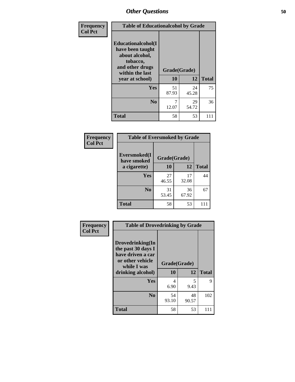| Frequency      | <b>Table of Educationalcohol by Grade</b>                                                                  |              |             |              |
|----------------|------------------------------------------------------------------------------------------------------------|--------------|-------------|--------------|
| <b>Col Pct</b> | Educationalcohol(I<br>have been taught<br>about alcohol,<br>tobacco,<br>and other drugs<br>within the last | Grade(Grade) |             |              |
|                | year at school)                                                                                            | 10           | 12          | <b>Total</b> |
|                | <b>Yes</b>                                                                                                 | 51<br>87.93  | 24<br>45.28 | 75           |
|                | N <sub>0</sub>                                                                                             | 7<br>12.07   | 29<br>54.72 | 36           |
|                | <b>Total</b>                                                                                               | 58           | 53          | 111          |

| Frequency      | <b>Table of Eversmoked by Grade</b> |              |             |              |  |  |
|----------------|-------------------------------------|--------------|-------------|--------------|--|--|
| <b>Col Pct</b> | Eversmoked(I<br>have smoked         | Grade(Grade) |             |              |  |  |
|                | a cigarette)                        | 10           | 12          | <b>Total</b> |  |  |
|                | Yes                                 | 27<br>46.55  | 17<br>32.08 | 44           |  |  |
|                | N <sub>0</sub>                      | 31<br>53.45  | 36<br>67.92 | 67           |  |  |
|                | <b>Total</b>                        | 58           | 53          | 111          |  |  |

| Frequency      | <b>Table of Drovedrinking by Grade</b>                                                                              |                    |             |              |  |
|----------------|---------------------------------------------------------------------------------------------------------------------|--------------------|-------------|--------------|--|
| <b>Col Pct</b> | Drovedrinking(In<br>the past 30 days I<br>have driven a car<br>or other vehicle<br>while I was<br>drinking alcohol) | Grade(Grade)<br>10 | 12          | <b>Total</b> |  |
|                | <b>Yes</b>                                                                                                          | 4<br>6.90          | 5<br>9.43   | 9            |  |
|                | N <sub>0</sub>                                                                                                      | 54<br>93.10        | 48<br>90.57 | 102          |  |
|                | <b>Total</b>                                                                                                        | 58                 | 53          | 111          |  |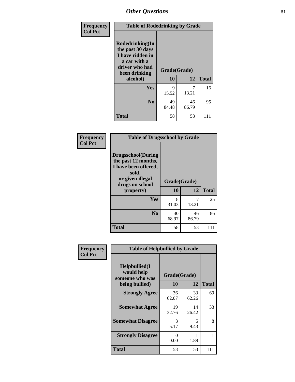| Frequency      | <b>Table of Rodedrinking by Grade</b>                                                                     |             |             |               |  |  |
|----------------|-----------------------------------------------------------------------------------------------------------|-------------|-------------|---------------|--|--|
| <b>Col Pct</b> | Rodedrinking(In<br>the past 30 days<br>I have ridden in<br>a car with a<br>driver who had<br>Grade(Grade) |             |             | been drinking |  |  |
|                | alcohol)                                                                                                  | 10          | 12          | <b>Total</b>  |  |  |
|                | <b>Yes</b>                                                                                                | 9<br>15.52  | 7<br>13.21  | 16            |  |  |
|                | N <sub>0</sub>                                                                                            | 49<br>84.48 | 46<br>86.79 | 95            |  |  |
|                | <b>Total</b>                                                                                              | 58          | 53          | 111           |  |  |

#### **Frequency Col Pct**

| <b>Table of Drugsschool by Grade</b>                                                                                      |              |       |              |  |  |
|---------------------------------------------------------------------------------------------------------------------------|--------------|-------|--------------|--|--|
| <b>Drugsschool</b> (During<br>the past 12 months,<br>I have been offered,<br>sold,<br>or given illegal<br>drugs on school | Grade(Grade) |       |              |  |  |
|                                                                                                                           |              |       |              |  |  |
| property)                                                                                                                 | 10           | 12    | <b>Total</b> |  |  |
| Yes                                                                                                                       | 18           |       | 25           |  |  |
|                                                                                                                           | 31.03        | 13.21 |              |  |  |
| N <sub>0</sub>                                                                                                            | 40           | 46    | 86           |  |  |
|                                                                                                                           | 68.97        | 86.79 |              |  |  |

| Frequency      | <b>Table of Helpbullied by Grade</b>            |                           |             |              |  |  |  |  |
|----------------|-------------------------------------------------|---------------------------|-------------|--------------|--|--|--|--|
| <b>Col Pct</b> | Helpbullied(I)<br>would help<br>someone who was | Grade(Grade)              |             |              |  |  |  |  |
|                | being bullied)                                  | 10                        | 12          | <b>Total</b> |  |  |  |  |
|                | <b>Strongly Agree</b>                           | 36<br>62.07               | 33<br>62.26 | 69           |  |  |  |  |
|                | <b>Somewhat Agree</b>                           | 19<br>32.76               | 14<br>26.42 | 33           |  |  |  |  |
|                | <b>Somewhat Disagree</b>                        | 3<br>5.17                 | 5<br>9.43   | 8            |  |  |  |  |
|                | <b>Strongly Disagree</b>                        | $\mathbf{\Omega}$<br>0.00 | 1<br>1.89   |              |  |  |  |  |
|                | <b>Total</b>                                    | 58                        | 53          | 111          |  |  |  |  |
|                |                                                 |                           |             |              |  |  |  |  |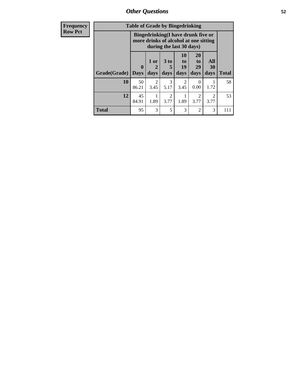*Other Questions* **52**

| <b>Frequency</b> | <b>Table of Grade by Bingedrinking</b>                                                                  |                         |                             |                                     |                                   |                               |                        |              |
|------------------|---------------------------------------------------------------------------------------------------------|-------------------------|-----------------------------|-------------------------------------|-----------------------------------|-------------------------------|------------------------|--------------|
| <b>Row Pct</b>   | Bingedrinking(I have drunk five or<br>more drinks of alcohol at one sitting<br>during the last 30 days) |                         |                             |                                     |                                   |                               |                        |              |
|                  | Grade(Grade)                                                                                            | $\bf{0}$<br><b>Days</b> | 1 or<br>$\mathbf 2$<br>days | $3$ to $ $<br>5<br>days             | 10<br>$\mathbf{to}$<br>19<br>days | <b>20</b><br>to<br>29<br>days | All<br>30<br>days      | <b>Total</b> |
|                  | 10                                                                                                      | 50<br>86.21             | $\mathfrak{D}$<br>3.45      | 3<br>5.17                           | 3.45                              | $\Omega$<br>0.00              | 1.72                   | 58           |
|                  | 12                                                                                                      | 45<br>84.91             | 1.89                        | $\mathcal{D}_{\mathcal{A}}$<br>3.77 | 1.89                              | 3.77                          | $\overline{2}$<br>3.77 | 53           |
|                  | <b>Total</b>                                                                                            | 95                      | 3                           | 5                                   | 3                                 | 2                             | 3                      | 111          |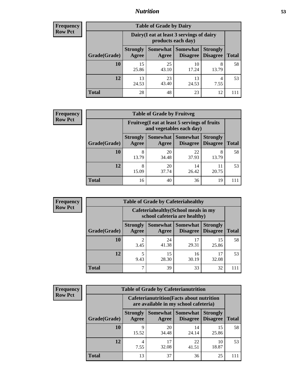### *Nutrition* **53**

| <b>Frequency</b><br>Row Pct |
|-----------------------------|
|                             |

| <b>Table of Grade by Dairy</b> |                                                                                                                    |                                                                 |             |            |    |  |  |
|--------------------------------|--------------------------------------------------------------------------------------------------------------------|-----------------------------------------------------------------|-------------|------------|----|--|--|
|                                |                                                                                                                    | Dairy (I eat at least 3 servings of dairy<br>products each day) |             |            |    |  |  |
| Grade(Grade)                   | Somewhat<br><b>Somewhat</b><br><b>Strongly</b><br><b>Strongly</b><br><b>Disagree</b><br>Agree<br>Disagree<br>Agree |                                                                 |             |            |    |  |  |
| 10                             | 15<br>25.86                                                                                                        | 25<br>43.10                                                     | 10<br>17.24 | 8<br>13.79 | 58 |  |  |
| 12                             | 13<br>24.53                                                                                                        | 23<br>43.40                                                     | 13<br>24.53 | 4<br>7.55  | 53 |  |  |
| <b>Total</b>                   | 28                                                                                                                 | 48                                                              | 23          | 12         |    |  |  |

| <b>Frequency</b> |  |
|------------------|--|
| <b>Row Pct</b>   |  |

| 'V | <b>Table of Grade by Fruitveg</b> |                          |                                                                          |                                    |                                    |              |  |  |
|----|-----------------------------------|--------------------------|--------------------------------------------------------------------------|------------------------------------|------------------------------------|--------------|--|--|
|    |                                   |                          | Fruitveg(I eat at least 5 servings of fruits<br>and vegetables each day) |                                    |                                    |              |  |  |
|    | Grade(Grade)                      | <b>Strongly</b><br>Agree | Somewhat  <br>Agree                                                      | <b>Somewhat</b><br><b>Disagree</b> | <b>Strongly</b><br><b>Disagree</b> | <b>Total</b> |  |  |
|    | <b>10</b>                         | 8<br>13.79               | 20<br>34.48                                                              | 22<br>37.93                        | 8<br>13.79                         | 58           |  |  |
|    | 12                                | 8<br>15.09               | 20<br>37.74                                                              | 14<br>26.42                        | 20.75                              | 53           |  |  |
|    | <b>Total</b>                      | 16                       | 40                                                                       | 36                                 | 19                                 |              |  |  |

| <b>Frequency</b><br>Row Pct |
|-----------------------------|

| <b>Table of Grade by Cafeteriahealthy</b> |                                                                                                                      |                                                                       |             |             |    |  |  |  |
|-------------------------------------------|----------------------------------------------------------------------------------------------------------------------|-----------------------------------------------------------------------|-------------|-------------|----|--|--|--|
|                                           |                                                                                                                      | Cafeteriahealthy (School meals in my<br>school cafeteria are healthy) |             |             |    |  |  |  |
| Grade(Grade)                              | Somewhat  <br><b>Somewhat</b><br><b>Strongly</b><br><b>Strongly</b><br><b>Disagree</b><br>Agree<br>Disagree<br>Agree |                                                                       |             |             |    |  |  |  |
| 10                                        | $\overline{c}$<br>3.45                                                                                               | 24<br>41.38                                                           | 17<br>29.31 | 15<br>25.86 | 58 |  |  |  |
| 12                                        | 5<br>9.43                                                                                                            | 15<br>28.30                                                           | 16<br>30.19 | 32.08       | 53 |  |  |  |
| <b>Total</b>                              | 7                                                                                                                    | 39                                                                    | 33          | 32          |    |  |  |  |

| <b>Frequency</b> |
|------------------|
| <b>Row Pct</b>   |

| <b>Table of Grade by Cafeterianutrition</b>                                               |                          |                   |                             |                                    |              |  |  |  |
|-------------------------------------------------------------------------------------------|--------------------------|-------------------|-----------------------------|------------------------------------|--------------|--|--|--|
| <b>Cafeterianutrition</b> (Facts about nutrition<br>are available in my school cafeteria) |                          |                   |                             |                                    |              |  |  |  |
| Grade(Grade)                                                                              | <b>Strongly</b><br>Agree | Somewhat<br>Agree | <b>Somewhat</b><br>Disagree | <b>Strongly</b><br><b>Disagree</b> | <b>Total</b> |  |  |  |
| 10                                                                                        | Q<br>15.52               | 20<br>34.48       | 14<br>24.14                 | 15<br>25.86                        | 58           |  |  |  |
| 12                                                                                        | 4<br>7.55                | 17<br>32.08       | 22<br>41.51                 | 10<br>18.87                        | 53           |  |  |  |
| <b>Total</b>                                                                              | 13                       | 37                | 36                          | 25                                 |              |  |  |  |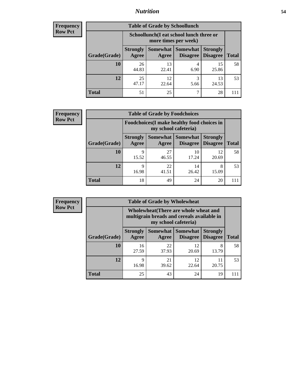### *Nutrition* **54**

| Frequency |
|-----------|
| Row Pct   |

| <b>Table of Grade by Schoollunch</b> |                                                                                                                                      |                                                                 |           |             |    |  |  |  |
|--------------------------------------|--------------------------------------------------------------------------------------------------------------------------------------|-----------------------------------------------------------------|-----------|-------------|----|--|--|--|
|                                      |                                                                                                                                      | Schoollunch(I eat school lunch three or<br>more times per week) |           |             |    |  |  |  |
| Grade(Grade)                         | Somewhat  <br><b>Somewhat</b><br><b>Strongly</b><br><b>Strongly</b><br><b>Disagree</b><br><b>Total</b><br>Disagree<br>Agree<br>Agree |                                                                 |           |             |    |  |  |  |
| 10                                   | 26<br>44.83                                                                                                                          | 13<br>22.41                                                     | 4<br>6.90 | 15<br>25.86 | 58 |  |  |  |
| 12                                   | 25<br>47.17                                                                                                                          | 12<br>22.64                                                     | 3<br>5.66 | 13<br>24.53 | 53 |  |  |  |
| <b>Total</b>                         | 51                                                                                                                                   | 25                                                              | ┑         | 28          |    |  |  |  |

| <b>Frequency</b> |  |
|------------------|--|
| <b>Row Pct</b>   |  |

| V | <b>Table of Grade by Foodchoices</b> |                                                                     |             |                                   |                                    |              |  |  |
|---|--------------------------------------|---------------------------------------------------------------------|-------------|-----------------------------------|------------------------------------|--------------|--|--|
|   |                                      | Foodchoices (I make healthy food choices in<br>my school cafeteria) |             |                                   |                                    |              |  |  |
|   | Grade(Grade)                         | <b>Strongly</b><br>Agree                                            | Agree       | Somewhat   Somewhat  <br>Disagree | <b>Strongly</b><br><b>Disagree</b> | <b>Total</b> |  |  |
|   | 10                                   | 9<br>15.52                                                          | 27<br>46.55 | 10<br>17.24                       | 12<br>20.69                        | 58           |  |  |
|   | 12                                   | 9<br>16.98                                                          | 22<br>41.51 | 14<br>26.42                       | 8<br>15.09                         | 53           |  |  |
|   | <b>Total</b>                         | 18                                                                  | 49          | 24                                | 20                                 | 111          |  |  |

| <b>Frequency</b> | <b>Table of Grade by Wholewheat</b> |                                                                                                             |                     |                                    |                                    |              |  |  |  |
|------------------|-------------------------------------|-------------------------------------------------------------------------------------------------------------|---------------------|------------------------------------|------------------------------------|--------------|--|--|--|
| <b>Row Pct</b>   |                                     | Wholewheat (There are whole wheat and<br>multigrain breads and cereals available in<br>my school cafeteria) |                     |                                    |                                    |              |  |  |  |
|                  | Grade(Grade)                        | <b>Strongly</b><br>Agree                                                                                    | Somewhat  <br>Agree | <b>Somewhat</b><br><b>Disagree</b> | <b>Strongly</b><br><b>Disagree</b> | <b>Total</b> |  |  |  |
|                  | 10                                  | 16<br>27.59                                                                                                 | 22<br>37.93         | 12<br>20.69                        | 8<br>13.79                         | 58           |  |  |  |
|                  | 12                                  | $\mathbf Q$<br>16.98                                                                                        | 21<br>39.62         | 12<br>22.64                        | 11<br>20.75                        | 53           |  |  |  |
|                  | <b>Total</b>                        | 25                                                                                                          | 43                  | 24                                 | 19                                 | 111          |  |  |  |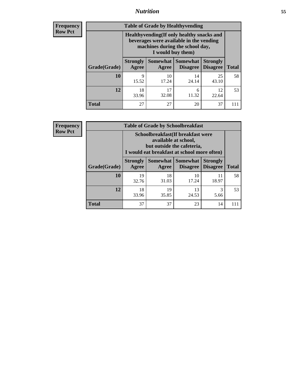### *Nutrition* **55**

**Frequency Row Pct**

| <b>Table of Grade by Healthyvending</b> |                                                                                                                                               |                          |                                    |                                    |              |  |  |  |
|-----------------------------------------|-----------------------------------------------------------------------------------------------------------------------------------------------|--------------------------|------------------------------------|------------------------------------|--------------|--|--|--|
|                                         | Healthyvending (If only healthy snacks and<br>beverages were available in the vending<br>machines during the school day,<br>I would buy them) |                          |                                    |                                    |              |  |  |  |
| Grade(Grade)                            | <b>Strongly</b><br>Agree                                                                                                                      | <b>Somewhat</b><br>Agree | <b>Somewhat</b><br><b>Disagree</b> | <b>Strongly</b><br><b>Disagree</b> | <b>Total</b> |  |  |  |
| 10                                      | 9<br>15.52                                                                                                                                    | 10<br>17.24              | 14<br>24.14                        | 25<br>43.10                        | 58           |  |  |  |
| 12                                      | 18<br>33.96                                                                                                                                   | 17<br>32.08              | 6<br>11.32                         | 12<br>22.64                        | 53           |  |  |  |
| <b>Total</b>                            | 27                                                                                                                                            | 27                       | 20                                 | 37                                 |              |  |  |  |

**Frequency Row Pct**

| <b>Table of Grade by Schoolbreakfast</b> |                                                                                                                                         |             |             |             |     |  |  |  |
|------------------------------------------|-----------------------------------------------------------------------------------------------------------------------------------------|-------------|-------------|-------------|-----|--|--|--|
|                                          | Schoolbreakfast (If breakfast were<br>available at school,<br>but outside the cafeteria,<br>I would eat breakfast at school more often) |             |             |             |     |  |  |  |
| Grade(Grade)                             | Somewhat   Somewhat<br><b>Strongly</b><br><b>Strongly</b><br>Disagree   Disagree<br><b>Agree</b><br><b>Total</b><br>Agree               |             |             |             |     |  |  |  |
| <b>10</b>                                | 19<br>32.76                                                                                                                             | 18<br>31.03 | 10<br>17.24 | 11<br>18.97 | 58  |  |  |  |
| 12                                       | 3<br>19<br>18<br>13<br>35.85<br>33.96<br>24.53<br>5.66                                                                                  |             |             |             |     |  |  |  |
| <b>Total</b>                             | 37                                                                                                                                      | 37          | 23          | 14          | 111 |  |  |  |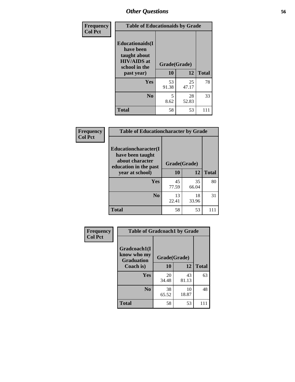| Frequency<br><b>Col Pct</b> | <b>Table of Educationaids by Grade</b>                                                                    |                    |             |              |
|-----------------------------|-----------------------------------------------------------------------------------------------------------|--------------------|-------------|--------------|
|                             | <b>Educationaids</b> (I<br>have been<br>taught about<br><b>HIV/AIDS</b> at<br>school in the<br>past year) | Grade(Grade)<br>10 | 12          | <b>Total</b> |
|                             | Yes                                                                                                       | 53<br>91.38        | 25<br>47.17 | 78           |
|                             | N <sub>0</sub>                                                                                            | 5<br>8.62          | 28<br>52.83 | 33           |
|                             | <b>Total</b>                                                                                              | 58                 | 53          | 111          |

| Frequency      | <b>Table of Educationcharacter by Grade</b> |             |              |              |  |
|----------------|---------------------------------------------|-------------|--------------|--------------|--|
| <b>Col Pct</b> | Educationcharacter(I<br>have been taught    |             |              |              |  |
|                | about character<br>education in the past    |             | Grade(Grade) |              |  |
|                | year at school)                             | <b>10</b>   | 12           | <b>Total</b> |  |
|                | Yes                                         | 45<br>77.59 | 35<br>66.04  | 80           |  |
|                | N <sub>0</sub>                              | 13<br>22.41 | 18<br>33.96  | 31           |  |
|                | <b>Total</b>                                | 58          | 53           | 111          |  |

| Frequency      | <b>Table of Gradcoach1 by Grade</b>              |              |             |              |
|----------------|--------------------------------------------------|--------------|-------------|--------------|
| <b>Col Pct</b> | Gradcoach1(I<br>know who my<br><b>Graduation</b> | Grade(Grade) |             |              |
|                | Coach is)                                        | 10           | 12          | <b>Total</b> |
|                | Yes                                              | 20<br>34.48  | 43<br>81.13 | 63           |
|                | N <sub>0</sub>                                   | 38<br>65.52  | 10<br>18.87 | 48           |
|                | <b>Total</b>                                     | 58           | 53          | 111          |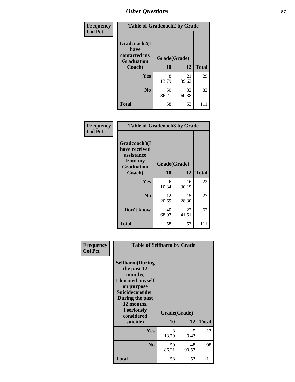| Frequency      | <b>Table of Gradcoach2 by Grade</b>  |              |             |              |
|----------------|--------------------------------------|--------------|-------------|--------------|
| <b>Col Pct</b> | Gradcoach2(I<br>have<br>contacted my |              |             |              |
|                | <b>Graduation</b>                    | Grade(Grade) |             |              |
|                | Coach)                               | 10           | 12          | <b>Total</b> |
|                | Yes                                  | 8<br>13.79   | 21<br>39.62 | 29           |
|                | N <sub>0</sub>                       | 50<br>86.21  | 32<br>60.38 | 82           |
|                | <b>Total</b>                         | 58           | 53          |              |

| <b>Frequency</b><br><b>Col Pct</b> | <b>Table of Gradcoach3 by Grade</b>                                         |              |             |              |
|------------------------------------|-----------------------------------------------------------------------------|--------------|-------------|--------------|
|                                    | Gradcoach3(I<br>have received<br>assistance<br>from my<br><b>Graduation</b> | Grade(Grade) |             |              |
|                                    | Coach)                                                                      | 10           | 12          | <b>Total</b> |
|                                    | Yes                                                                         | 6<br>10.34   | 16<br>30.19 | 22           |
|                                    | N <sub>0</sub>                                                              | 12<br>20.69  | 15<br>28.30 | 27           |
|                                    | Don't know                                                                  | 40<br>68.97  | 22<br>41.51 | 62           |
|                                    | <b>Total</b>                                                                | 58           | 53          | 111          |

| Frequency<br><b>Col Pct</b> | <b>Table of Selfharm by Grade</b>                                                                                                                                                      |             |                    |              |
|-----------------------------|----------------------------------------------------------------------------------------------------------------------------------------------------------------------------------------|-------------|--------------------|--------------|
|                             | <b>Selfharm</b> (During<br>the past 12<br>months,<br>I harmed myself<br>on purpose<br><b>Suicideconsider</b><br>During the past<br>12 months,<br>I seriously<br>considered<br>suicide) | 10          | Grade(Grade)<br>12 | <b>Total</b> |
|                             | Yes                                                                                                                                                                                    | 8<br>13.79  | 5<br>9.43          | 13           |
|                             | N <sub>0</sub>                                                                                                                                                                         | 50<br>86.21 | 48<br>90.57        | 98           |
|                             | <b>Total</b>                                                                                                                                                                           | 58          | 53                 | 111          |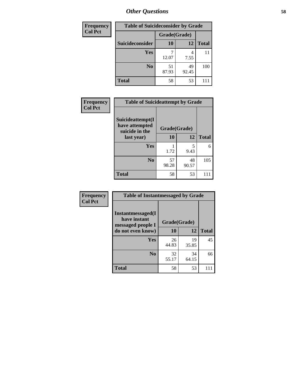| <b>Frequency</b> | <b>Table of Suicideconsider by Grade</b> |              |             |              |
|------------------|------------------------------------------|--------------|-------------|--------------|
| <b>Col Pct</b>   |                                          | Grade(Grade) |             |              |
|                  | Suicideconsider                          | <b>10</b>    | 12          | <b>Total</b> |
|                  | <b>Yes</b>                               | 12.07        | 4<br>7.55   | 11           |
|                  | N <sub>0</sub>                           | 51<br>87.93  | 49<br>92.45 | 100          |
|                  | <b>Total</b>                             | 58           | 53          | 11           |

| Frequency      | <b>Table of Suicideattempt by Grade</b>              |              |             |              |
|----------------|------------------------------------------------------|--------------|-------------|--------------|
| <b>Col Pct</b> | Suicideattempt(I<br>have attempted<br>suicide in the | Grade(Grade) |             |              |
|                | last year)                                           | 10           | 12          | <b>Total</b> |
|                | Yes                                                  | 1.72         | 5<br>9.43   | 6            |
|                | $\bf No$                                             | 57<br>98.28  | 48<br>90.57 | 105          |
|                | <b>Total</b>                                         | 58           | 53          | 111          |

| Frequency      | <b>Table of Instantmessaged by Grade</b>                       |              |             |              |
|----------------|----------------------------------------------------------------|--------------|-------------|--------------|
| <b>Col Pct</b> | <b>Instantmessaged</b> (I<br>have instant<br>messaged people I | Grade(Grade) |             |              |
|                | do not even know)                                              | 10           | 12          | <b>Total</b> |
|                | Yes                                                            | 26<br>44.83  | 19<br>35.85 | 45           |
|                | N <sub>0</sub>                                                 | 32<br>55.17  | 34<br>64.15 | 66           |
|                | <b>Total</b>                                                   | 58           | 53          | 111          |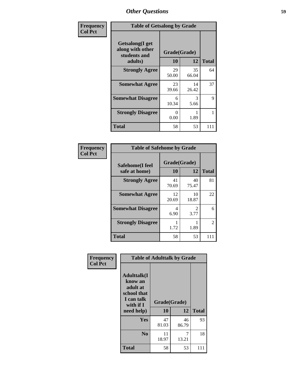| Frequency      | <b>Table of Getsalong by Grade</b>                          |              |             |              |
|----------------|-------------------------------------------------------------|--------------|-------------|--------------|
| <b>Col Pct</b> | <b>Getsalong</b> (I get<br>along with other<br>students and | Grade(Grade) |             |              |
|                | adults)                                                     | 10           | 12          | <b>Total</b> |
|                | <b>Strongly Agree</b>                                       | 29<br>50.00  | 35<br>66.04 | 64           |
|                | <b>Somewhat Agree</b>                                       | 23<br>39.66  | 14<br>26.42 | 37           |
|                | <b>Somewhat Disagree</b>                                    | 6<br>10.34   | 3<br>5.66   | 9            |
|                | <b>Strongly Disagree</b>                                    | 0<br>0.00    | 1.89        |              |
|                | <b>Total</b>                                                | 58           | 53          | 111          |

| Frequency      | <b>Table of Safehome by Grade</b> |                    |             |              |
|----------------|-----------------------------------|--------------------|-------------|--------------|
| <b>Col Pct</b> | Safehome(I feel<br>safe at home)  | Grade(Grade)<br>10 | 12          | <b>Total</b> |
|                | <b>Strongly Agree</b>             | 41<br>70.69        | 40<br>75.47 | 81           |
|                | <b>Somewhat Agree</b>             | 12<br>20.69        | 10<br>18.87 | 22           |
|                | <b>Somewhat Disagree</b>          | 4<br>6.90          | 2<br>3.77   | 6            |
|                | <b>Strongly Disagree</b>          | 1.72               | 1.89        | 2            |
|                | <b>Total</b>                      | 58                 | 53          | 111          |

| Frequency      | <b>Table of Adulttalk by Grade</b>                                                  |              |             |              |  |
|----------------|-------------------------------------------------------------------------------------|--------------|-------------|--------------|--|
| <b>Col Pct</b> | <b>Adulttalk(I</b><br>know an<br>adult at<br>school that<br>I can talk<br>with if I | Grade(Grade) |             |              |  |
|                | need help)                                                                          | 10           | 12          | <b>Total</b> |  |
|                | <b>Yes</b>                                                                          | 47<br>81.03  | 46<br>86.79 | 93           |  |
|                | N <sub>0</sub>                                                                      | 11<br>18.97  | 7<br>13.21  | 18           |  |
|                | <b>Total</b>                                                                        | 58           | 53          | 111          |  |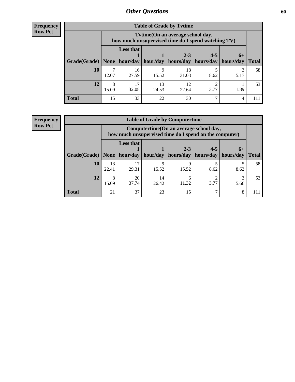**Frequency Row Pct**

| <b>Table of Grade by Tytime</b> |            |                                                                                         |       |                                 |                       |      |              |  |  |
|---------------------------------|------------|-----------------------------------------------------------------------------------------|-------|---------------------------------|-----------------------|------|--------------|--|--|
|                                 |            | Tytime (On an average school day,<br>how much unsupervised time do I spend watching TV) |       |                                 |                       |      |              |  |  |
|                                 |            | <b>Less that</b>                                                                        |       | $2 - 3$                         | $4 - 5$               | $6+$ |              |  |  |
| Grade(Grade)   None             |            |                                                                                         |       | hour/day   hour/day   hours/day | hours/day   hours/day |      | <b>Total</b> |  |  |
| 10                              | 12.07      | 16<br>27.59                                                                             | 15.52 | 18<br>31.03                     | 8.62                  | 5.17 | 58           |  |  |
| 12                              | 8<br>15.09 | 17<br>13<br>12<br>32.08<br>24.53<br>22.64<br>3.77<br>1.89                               |       |                                 |                       |      |              |  |  |
| <b>Total</b>                    | 15         | 33                                                                                      | 22    | 30                              |                       | 4    |              |  |  |

**Frequency Row Pct**

| <b>Table of Grade by Computertime</b> |             |                                                                                                                               |            |            |      |      |    |  |  |
|---------------------------------------|-------------|-------------------------------------------------------------------------------------------------------------------------------|------------|------------|------|------|----|--|--|
|                                       |             | Computertime (On an average school day,<br>how much unsupervised time do I spend on the computer)                             |            |            |      |      |    |  |  |
| Grade(Grade)   None                   |             | <b>Less that</b><br>$4 - 5$<br>$2 - 3$<br>$6+$<br>hour/day   hour/day<br>  hours/day   hours/day<br>hours/day<br><b>Total</b> |            |            |      |      |    |  |  |
| 10                                    | 13<br>22.41 | 17<br>29.31                                                                                                                   | q<br>15.52 | Q<br>15.52 | 8.62 | 8.62 | 58 |  |  |
| 12                                    | 8<br>15.09  | 20<br>14<br>◠<br>h<br>37.74<br>11.32<br>3.77<br>26.42<br>5.66                                                                 |            |            |      |      |    |  |  |
| <b>Total</b>                          | 21          | 37                                                                                                                            | 23         | 15         |      | 8    |    |  |  |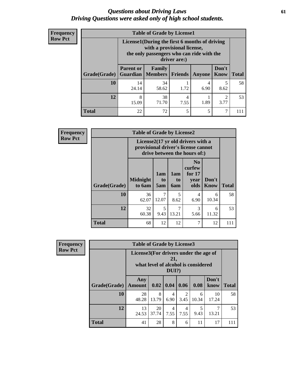### *Questions about Driving Laws* **61** *Driving Questions were asked only of high school students.*

| <b>Frequency</b> |
|------------------|
| <b>Row Pct</b>   |

| <b>Table of Grade by License1</b> |                                     |                                                                                                                                           |           |               |                      |              |  |  |  |
|-----------------------------------|-------------------------------------|-------------------------------------------------------------------------------------------------------------------------------------------|-----------|---------------|----------------------|--------------|--|--|--|
|                                   |                                     | License1(During the first 6 months of driving<br>with a provisional license,<br>the only passengers who can ride with the<br>driver are:) |           |               |                      |              |  |  |  |
| Grade(Grade)                      | <b>Parent or</b><br><b>Guardian</b> | Family<br>  Members   Friends                                                                                                             |           | <b>Anyone</b> | Don't<br><b>Know</b> | <b>Total</b> |  |  |  |
| 10                                | 14<br>24.14                         | 34<br>58.62                                                                                                                               | 1.72      | 4<br>6.90     | 5<br>8.62            | 58           |  |  |  |
| 12                                | 8<br>15.09                          | 38<br>71.70                                                                                                                               | 4<br>7.55 | 1.89          | 3.77                 | 53           |  |  |  |
| <b>Total</b>                      | 22                                  | 72                                                                                                                                        | 5         | 5             | 7                    |              |  |  |  |

| <b>Frequency</b> | <b>Table of Grade by License2</b> |                           |                  |                  |                                                                                                          |                      |              |  |  |
|------------------|-----------------------------------|---------------------------|------------------|------------------|----------------------------------------------------------------------------------------------------------|----------------------|--------------|--|--|
| <b>Row Pct</b>   |                                   |                           |                  |                  | License2(17 yr old drivers with a<br>provisional driver's license cannot<br>drive between the hours of:) |                      |              |  |  |
|                  | Grade(Grade)                      | <b>Midnight</b><br>to 6am | 1am<br>to<br>5am | 1am<br>to<br>6am | N <sub>0</sub><br>curfew<br>for $17$<br>year<br>olds                                                     | Don't<br><b>Know</b> | <b>Total</b> |  |  |
|                  | 10                                | 36<br>62.07               | 7<br>12.07       | 5<br>8.62        | 4<br>6.90                                                                                                | 6<br>10.34           | 58           |  |  |
|                  | 12                                | 32<br>60.38               | 5<br>9.43        | 7<br>13.21       | 3<br>5.66                                                                                                | 6<br>11.32           | 53           |  |  |
|                  | <b>Total</b>                      | 68                        | 12               | 12               | 7                                                                                                        | 12                   | 111          |  |  |

| Frequency      |              | <b>Table of Grade by License3</b>     |             |                 |           |                                     |               |              |  |
|----------------|--------------|---------------------------------------|-------------|-----------------|-----------|-------------------------------------|---------------|--------------|--|
| <b>Row Pct</b> |              | License3(For drivers under the age of |             | 21,<br>$DUI$ ?) |           | what level of alcohol is considered |               |              |  |
|                | Grade(Grade) | Any<br><b>Amount</b>                  | 0.02   0.04 |                 | 0.06      | 0.08                                | Don't<br>know | <b>Total</b> |  |
|                | 10           | 28<br>48.28                           | 8<br>13.79  | 4<br>6.90       | 2<br>3.45 | 6<br>10.34                          | 10<br>17.24   | 58           |  |
|                | 12           | 13<br>24.53                           | 20<br>37.74 | 4<br>7.55       | 4<br>7.55 | 5<br>9.43                           | 7<br>13.21    | 53           |  |
|                | <b>Total</b> | 41                                    | 28          | 8               | 6         | 11                                  | 17            | 111          |  |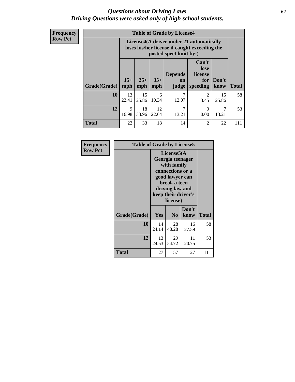### *Questions about Driving Laws* **62** *Driving Questions were asked only of high school students.*

**Frequency Row Pct**

|              |             |                                                                                                                                                                                                                                                                                |             | <b>Table of Grade by License4</b> |                                     |             |     |
|--------------|-------------|--------------------------------------------------------------------------------------------------------------------------------------------------------------------------------------------------------------------------------------------------------------------------------|-------------|-----------------------------------|-------------------------------------|-------------|-----|
|              |             | License4(A driver under 21 automatically<br>loses his/her license if caught exceeding the<br>posted speet limit by:)<br>Can't<br>lose<br>license<br><b>Depends</b><br>$15+$<br>$25+$<br>$35+$<br>Don't<br>for<br>on<br><b>Total</b><br>mph<br>speeding<br>know<br>mph<br>judge |             |                                   |                                     |             |     |
| Grade(Grade) | mph         |                                                                                                                                                                                                                                                                                |             |                                   |                                     |             |     |
| 10           | 13<br>22.41 | 15<br>25.86                                                                                                                                                                                                                                                                    | 6<br>10.34  | 7<br>12.07                        | $\mathcal{D}_{\mathcal{L}}$<br>3.45 | 15<br>25.86 | 58  |
| 12           | 9<br>16.98  | 18<br>33.96                                                                                                                                                                                                                                                                    | 12<br>22.64 | 7<br>13.21                        | $\Omega$<br>0.00                    | 7<br>13.21  | 53  |
| <b>Total</b> | 22          | 33                                                                                                                                                                                                                                                                             | 18          | 14                                | 2                                   | 22          | 111 |

| Frequency      | <b>Table of Grade by License5</b> |             |                                                                                                                                      |                     |              |
|----------------|-----------------------------------|-------------|--------------------------------------------------------------------------------------------------------------------------------------|---------------------|--------------|
| <b>Row Pct</b> |                                   |             | License5(A)<br>Georgia teenager<br>with family<br>connections or a<br>good lawyer can<br>break a teen<br>driving law and<br>license) | keep their driver's |              |
|                | Grade(Grade)                      | <b>Yes</b>  | N <sub>0</sub>                                                                                                                       | Don't<br>know       | <b>Total</b> |
|                | 10                                | 14<br>24.14 | 28<br>48.28                                                                                                                          | 16<br>27.59         | 58           |
|                | 12                                | 13<br>24.53 | 29<br>54.72                                                                                                                          | 11<br>20.75         | 53           |
|                | Total                             | 27          | 57                                                                                                                                   | 27                  | 111          |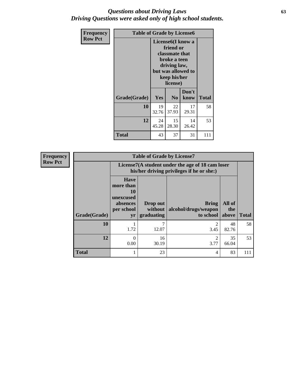### *Questions about Driving Laws* **63** *Driving Questions were asked only of high school students.*

| <b>Frequency</b> | <b>Table of Grade by License6</b> |             |                                                                                                                           |                    |              |  |
|------------------|-----------------------------------|-------------|---------------------------------------------------------------------------------------------------------------------------|--------------------|--------------|--|
| <b>Row Pct</b>   |                                   |             | License <sub>6</sub> (I know a<br>friend or<br>classmate that<br>broke a teen<br>driving law,<br>keep his/her<br>license) | but was allowed to |              |  |
|                  | Grade(Grade)                      | <b>Yes</b>  | N <sub>0</sub>                                                                                                            | Don't<br>know      | <b>Total</b> |  |
|                  | 10                                | 19<br>32.76 | 22<br>37.93                                                                                                               | 17<br>29.31        | 58           |  |
|                  | 12                                | 24<br>45.28 | 15<br>28.30                                                                                                               | 14<br>26.42        | 53           |  |
|                  | <b>Total</b>                      | 43          | 37                                                                                                                        | 31                 | 111          |  |

| <b>Frequency</b> | <b>Table of Grade by License7</b> |                                                                                               |                                   |                                                   |                        |              |  |  |  |
|------------------|-----------------------------------|-----------------------------------------------------------------------------------------------|-----------------------------------|---------------------------------------------------|------------------------|--------------|--|--|--|
| <b>Row Pct</b>   |                                   | License7(A student under the age of 18 cam loser<br>his/her driving privileges if he or she:) |                                   |                                                   |                        |              |  |  |  |
|                  | Grade(Grade)                      | <b>Have</b><br>more than<br>10<br>unexcused<br>absences<br>per school<br>yr                   | Drop out<br>without<br>graduating | <b>Bring</b><br>alcohol/drugs/weapon<br>to school | All of<br>the<br>above | <b>Total</b> |  |  |  |
|                  | 10                                | 1.72                                                                                          | ⇁<br>12.07                        | 3.45                                              | 48<br>82.76            | 58           |  |  |  |
|                  | 12                                | $\Omega$<br>0.00                                                                              | 16<br>30.19                       | 2<br>3.77                                         | 35<br>66.04            | 53           |  |  |  |
|                  | <b>Total</b>                      |                                                                                               | 23                                | 4                                                 | 83                     | 111          |  |  |  |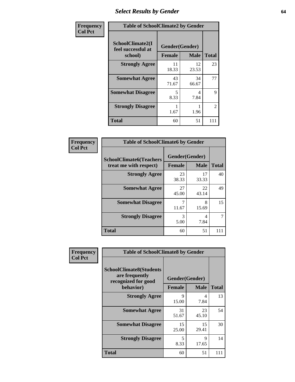# *Select Results by Gender* **64**

| Frequency      |                                        | <b>Table of SchoolClimate2 by Gender</b> |                      |                    |  |  |  |  |
|----------------|----------------------------------------|------------------------------------------|----------------------|--------------------|--|--|--|--|
| <b>Col Pct</b> | SchoolClimate2(I<br>feel successful at | Gender(Gender)                           |                      |                    |  |  |  |  |
|                | school)<br><b>Strongly Agree</b>       | <b>Female</b><br>11                      | <b>Male</b><br>12    | <b>Total</b><br>23 |  |  |  |  |
|                | <b>Somewhat Agree</b>                  | 18.33<br>43<br>71.67                     | 23.53<br>34<br>66.67 | 77                 |  |  |  |  |
|                | <b>Somewhat Disagree</b>               | 5<br>8.33                                | 4<br>7.84            | 9                  |  |  |  |  |
|                | <b>Strongly Disagree</b>               | 1.67                                     | 1.96                 | $\overline{2}$     |  |  |  |  |
|                | <b>Total</b>                           | 60                                       | 51                   | 111                |  |  |  |  |

| Frequency      | <b>Table of SchoolClimate6 by Gender</b>                 |               |                               |              |  |  |  |
|----------------|----------------------------------------------------------|---------------|-------------------------------|--------------|--|--|--|
| <b>Col Pct</b> | <b>SchoolClimate6(Teachers</b><br>treat me with respect) | <b>Female</b> | Gender(Gender)<br><b>Male</b> | <b>Total</b> |  |  |  |
|                | <b>Strongly Agree</b>                                    | 23<br>38.33   | 17<br>33.33                   | 40           |  |  |  |
|                | <b>Somewhat Agree</b>                                    | 27<br>45.00   | 22<br>43.14                   | 49           |  |  |  |
|                | <b>Somewhat Disagree</b>                                 | 7<br>11.67    | 8<br>15.69                    | 15           |  |  |  |
|                | <b>Strongly Disagree</b>                                 | 3<br>5.00     | 4<br>7.84                     |              |  |  |  |
|                | <b>Total</b>                                             | 60            | 51                            | 111          |  |  |  |

| <b>Frequency</b> | <b>Table of SchoolClimate8 by Gender</b>                                             |                                                |             |              |
|------------------|--------------------------------------------------------------------------------------|------------------------------------------------|-------------|--------------|
| <b>Col Pct</b>   | <b>SchoolClimate8(Students</b><br>are frequently<br>recognized for good<br>behavior) | Gender(Gender)<br><b>Female</b><br><b>Male</b> |             | <b>Total</b> |
|                  | <b>Strongly Agree</b>                                                                | 9<br>15.00                                     | 4<br>7.84   | 13           |
|                  | <b>Somewhat Agree</b>                                                                | 31<br>51.67                                    | 23<br>45.10 | 54           |
|                  | <b>Somewhat Disagree</b>                                                             | 15<br>25.00                                    | 15<br>29.41 | 30           |
|                  | <b>Strongly Disagree</b>                                                             | 5<br>8.33                                      | 9<br>17.65  | 14           |
|                  | Total                                                                                | 60                                             | 51          | 111          |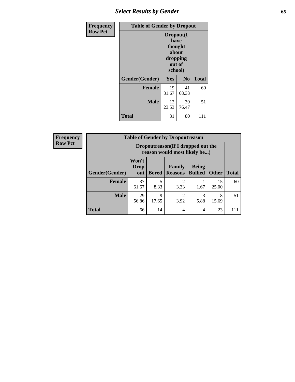## *Select Results by Gender* **65**

| Frequency      | <b>Table of Gender by Dropout</b> |                                                                        |                |              |
|----------------|-----------------------------------|------------------------------------------------------------------------|----------------|--------------|
| <b>Row Pct</b> |                                   | Dropout(I<br>have<br>thought<br>about<br>dropping<br>out of<br>school) |                |              |
|                | Gender(Gender)                    | Yes                                                                    | N <sub>0</sub> | <b>Total</b> |
|                | <b>Female</b>                     | 19<br>31.67                                                            | 41<br>68.33    | 60           |
|                | <b>Male</b>                       | 12<br>23.53                                                            | 39<br>76.47    | 51           |
|                | <b>Total</b>                      | 31                                                                     | 80             | 111          |

| <b>Frequency</b> |                       | <b>Table of Gender by Dropoutreason</b>                            |              |                          |                                |              |              |
|------------------|-----------------------|--------------------------------------------------------------------|--------------|--------------------------|--------------------------------|--------------|--------------|
| <b>Row Pct</b>   |                       | Dropoutreason(If I dropped out the<br>reason would most likely be) |              |                          |                                |              |              |
|                  | <b>Gender(Gender)</b> | Won't<br>Drop<br>out                                               | <b>Bored</b> | Family<br><b>Reasons</b> | <b>Being</b><br><b>Bullied</b> | <b>Other</b> | <b>Total</b> |
|                  | <b>Female</b>         | 37<br>61.67                                                        | 5<br>8.33    | 2<br>3.33                | 1.67                           | 15<br>25.00  | 60           |
|                  | <b>Male</b>           | 29<br>56.86                                                        | 9<br>17.65   | っ<br>3.92                | 3<br>5.88                      | 8<br>15.69   | 51           |
|                  | <b>Total</b>          | 66                                                                 | 14           | 4                        | 4                              | 23           | 111          |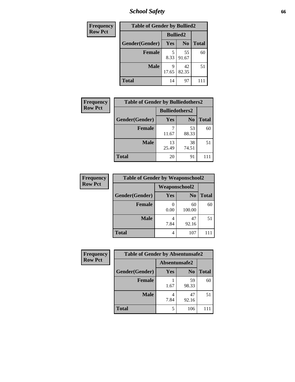*School Safety* **66**

| Frequency      | <b>Table of Gender by Bullied2</b> |                 |                |              |
|----------------|------------------------------------|-----------------|----------------|--------------|
| <b>Row Pct</b> |                                    | <b>Bullied2</b> |                |              |
|                | Gender(Gender)                     | Yes             | N <sub>0</sub> | <b>Total</b> |
|                | <b>Female</b>                      | 5<br>8.33       | 55<br>91.67    | 60           |
|                | <b>Male</b>                        | 9<br>17.65      | 42<br>82.35    | 51           |
|                | <b>Total</b>                       | 14              | 97             |              |

| Frequency      | <b>Table of Gender by Bulliedothers2</b> |                       |                |              |
|----------------|------------------------------------------|-----------------------|----------------|--------------|
| <b>Row Pct</b> |                                          | <b>Bulliedothers2</b> |                |              |
|                | Gender(Gender)                           | Yes                   | N <sub>0</sub> | <b>Total</b> |
|                | <b>Female</b>                            | 11.67                 | 53<br>88.33    | 60           |
|                | <b>Male</b>                              | 13<br>25.49           | 38<br>74.51    | 51           |
|                | <b>Total</b>                             | 20                    | 91             |              |

| Frequency      | <b>Table of Gender by Weaponschool2</b> |                      |                |              |
|----------------|-----------------------------------------|----------------------|----------------|--------------|
| <b>Row Pct</b> |                                         | <b>Weaponschool2</b> |                |              |
|                | Gender(Gender)                          | Yes                  | N <sub>0</sub> | <b>Total</b> |
|                | <b>Female</b>                           | 0.00                 | 60<br>100.00   | 60           |
|                | <b>Male</b>                             | 7.84                 | 47<br>92.16    | 51           |
|                | <b>Total</b>                            | 4                    | 107            |              |

| Frequency      | <b>Table of Gender by Absentunsafe2</b> |               |                |              |
|----------------|-----------------------------------------|---------------|----------------|--------------|
| <b>Row Pct</b> |                                         | Absentunsafe2 |                |              |
|                | Gender(Gender)                          | Yes           | N <sub>0</sub> | <b>Total</b> |
|                | <b>Female</b>                           | 1.67          | 59<br>98.33    | 60           |
|                | <b>Male</b>                             | 7.84          | 47<br>92.16    | 51           |
|                | <b>Total</b>                            | 5             | 106            | 11           |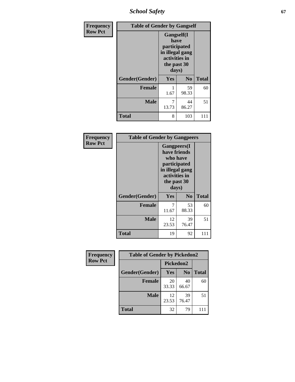*School Safety* **67**

| Frequency      | <b>Table of Gender by Gangself</b> |                                                                                                        |                |              |
|----------------|------------------------------------|--------------------------------------------------------------------------------------------------------|----------------|--------------|
| <b>Row Pct</b> |                                    | <b>Gangself</b> (I<br>have<br>participated<br>in illegal gang<br>activities in<br>the past 30<br>days) |                |              |
|                | Gender(Gender)                     | Yes                                                                                                    | N <sub>0</sub> | <b>Total</b> |
|                | <b>Female</b>                      | 1.67                                                                                                   | 59<br>98.33    | 60           |
|                | <b>Male</b>                        | 7<br>13.73                                                                                             | 44<br>86.27    | 51           |
|                | <b>Total</b>                       | 8                                                                                                      | 103            | 111          |

| Frequency      | <b>Table of Gender by Gangpeers</b> |                                                                                                                             |                |              |
|----------------|-------------------------------------|-----------------------------------------------------------------------------------------------------------------------------|----------------|--------------|
| <b>Row Pct</b> |                                     | <b>Gangpeers</b> (I<br>have friends<br>who have<br>participated<br>in illegal gang<br>activities in<br>the past 30<br>days) |                |              |
|                | Gender(Gender)                      | Yes                                                                                                                         | N <sub>0</sub> | <b>Total</b> |
|                | <b>Female</b>                       | 7<br>11.67                                                                                                                  | 53<br>88.33    | 60           |
|                | <b>Male</b>                         | 12<br>23.53                                                                                                                 | 39<br>76.47    | 51           |
|                | Total                               | 19                                                                                                                          | 92             | 111          |

| Frequency      | <b>Table of Gender by Pickedon2</b> |             |                |              |
|----------------|-------------------------------------|-------------|----------------|--------------|
| <b>Row Pct</b> |                                     | Pickedon2   |                |              |
|                | Gender(Gender)                      | <b>Yes</b>  | N <sub>0</sub> | <b>Total</b> |
|                | <b>Female</b>                       | 20<br>33.33 | 40<br>66.67    | 60           |
|                | <b>Male</b>                         | 12<br>23.53 | 39<br>76.47    | 51           |
|                | <b>Total</b>                        | 32          | 79             | 111          |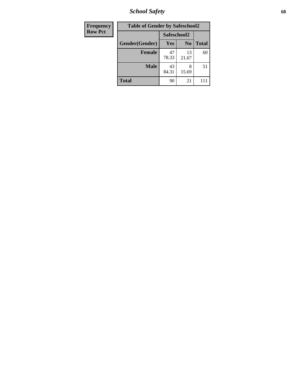*School Safety* **68**

| Frequency      | <b>Table of Gender by Safeschool2</b> |             |                |              |
|----------------|---------------------------------------|-------------|----------------|--------------|
| <b>Row Pct</b> |                                       | Safeschool2 |                |              |
|                | Gender(Gender)                        | <b>Yes</b>  | N <sub>0</sub> | <b>Total</b> |
|                | <b>Female</b>                         | 47<br>78.33 | 13<br>21.67    | 60           |
|                | <b>Male</b>                           | 43<br>84.31 | 8<br>15.69     | 51           |
|                | <b>Total</b>                          | 90          | 21             | 111          |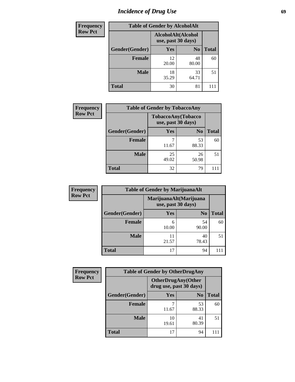# *Incidence of Drug Use* 69

| <b>Frequency</b> | <b>Table of Gender by AlcoholAlt</b> |                                          |                |              |  |
|------------------|--------------------------------------|------------------------------------------|----------------|--------------|--|
| <b>Row Pct</b>   |                                      | AlcoholAlt(Alcohol<br>use, past 30 days) |                |              |  |
|                  | Gender(Gender)                       | <b>Yes</b>                               | N <sub>0</sub> | <b>Total</b> |  |
|                  | Female                               | 12<br>20.00                              | 48<br>80.00    | 60           |  |
|                  | <b>Male</b>                          | 18<br>35.29                              | 33<br>64.71    | 51           |  |
|                  | <b>Total</b>                         | 30                                       | 81             |              |  |

| <b>Frequency</b> | <b>Table of Gender by TobaccoAny</b> |                    |                    |              |
|------------------|--------------------------------------|--------------------|--------------------|--------------|
| <b>Row Pct</b>   |                                      | use, past 30 days) | TobaccoAny(Tobacco |              |
|                  | Gender(Gender)                       | Yes                | N <sub>0</sub>     | <b>Total</b> |
|                  | <b>Female</b>                        | ┑<br>11.67         | 53<br>88.33        | 60           |
|                  | <b>Male</b>                          | 25<br>49.02        | 26<br>50.98        | 51           |
|                  | <b>Total</b>                         | 32                 | 79                 |              |

| <b>Frequency</b> | <b>Table of Gender by MarijuanaAlt</b> |                    |                        |       |
|------------------|----------------------------------------|--------------------|------------------------|-------|
| <b>Row Pct</b>   |                                        | use, past 30 days) | MarijuanaAlt(Marijuana |       |
|                  | Gender(Gender)                         | <b>Yes</b>         | N <sub>0</sub>         | Total |
|                  | Female                                 | 6<br>10.00         | 54<br>90.00            | 60    |
|                  | <b>Male</b>                            | 11<br>21.57        | 40<br>78.43            | 51    |
|                  | <b>Total</b>                           | 17                 | 94                     | 111   |

| <b>Frequency</b> | <b>Table of Gender by OtherDrugAny</b> |                                                      |                |              |
|------------------|----------------------------------------|------------------------------------------------------|----------------|--------------|
| <b>Row Pct</b>   |                                        | <b>OtherDrugAny(Other</b><br>drug use, past 30 days) |                |              |
|                  | Gender(Gender)                         | <b>Yes</b>                                           | N <sub>0</sub> | <b>Total</b> |
|                  | <b>Female</b>                          | 11.67                                                | 53<br>88.33    | 60           |
|                  | <b>Male</b>                            | 10<br>19.61                                          | 41<br>80.39    | 51           |
|                  | <b>Total</b>                           | 17                                                   | 94             |              |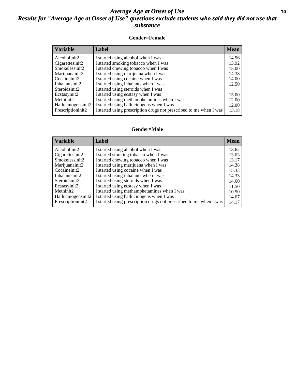### *Average Age at Onset of Use* 70 *Results for "Average Age at Onset of Use" questions exclude students who said they did not use that substance*

#### **Gender=Female**

| <i><b>Variable</b></i> | <b>Label</b>                                                       | <b>Mean</b> |
|------------------------|--------------------------------------------------------------------|-------------|
| Alcoholinit2           | I started using alcohol when I was                                 | 14.96       |
| Cigarettesinit2        | I started smoking tobacco when I was                               | 13.92       |
| Smokelessinit2         | I started chewing tobacco when I was                               | 15.00       |
| Marijuanainit2         | I started using marijuana when I was                               | 14.38       |
| Cocaineinit2           | I started using cocaine when I was                                 | 14.00       |
| Inhalantsinit2         | I started using inhalants when I was                               | 12.50       |
| Steroidsinit2          | I started using steroids when I was                                |             |
| Ecstasyinit2           | I started using ecstasy when I was                                 | 15.00       |
| Methinit2              | I started using methamphetamines when I was                        | 12.00       |
| Hallucinogensinit2     | I started using hallucinogens when I was                           | 12.00       |
| Prescription in t2     | I started using prescription drugs not prescribed to me when I was | 13.18       |

#### **Gender=Male**

| <b>Variable</b>    | Label                                                              | <b>Mean</b> |
|--------------------|--------------------------------------------------------------------|-------------|
| Alcoholinit2       | I started using alcohol when I was                                 | 13.62       |
| Cigarettesinit2    | I started smoking tobacco when I was                               | 13.63       |
| Smokelessinit2     | I started chewing tobacco when I was                               | 13.17       |
| Marijuanainit2     | I started using marijuana when I was                               | 14.38       |
| Cocaineinit2       | I started using cocaine when I was                                 | 15.33       |
| Inhalantsinit2     | I started using inhalants when I was                               | 14.33       |
| Steroidsinit2      | I started using steroids when I was                                | 14.60       |
| Ecstasyinit2       | I started using ecstasy when I was                                 | 11.50       |
| Methinit2          | I started using methamphetamines when I was                        | 10.50       |
| Hallucinogensinit2 | I started using hallucinogens when I was                           | 14.67       |
| Prescriptioninit2  | I started using prescription drugs not prescribed to me when I was | 14.17       |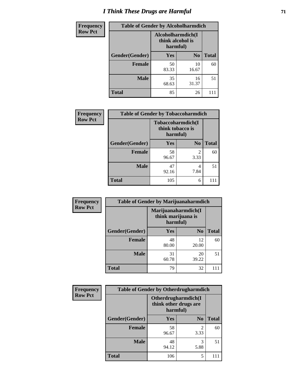# *I Think These Drugs are Harmful* **71**

| <b>Frequency</b> | <b>Table of Gender by Alcoholharmdich</b> |                                                   |                |              |
|------------------|-------------------------------------------|---------------------------------------------------|----------------|--------------|
| <b>Row Pct</b>   |                                           | Alcoholharmdich(I<br>think alcohol is<br>harmful) |                |              |
|                  | Gender(Gender)                            | <b>Yes</b>                                        | N <sub>0</sub> | <b>Total</b> |
|                  | Female                                    | 50<br>83.33                                       | 10<br>16.67    | 60           |
|                  | <b>Male</b>                               | 35<br>68.63                                       | 16<br>31.37    | 51           |
|                  | <b>Total</b>                              | 85                                                | 26             |              |

| Frequency      | <b>Table of Gender by Tobaccoharmdich</b> |                  |                               |              |
|----------------|-------------------------------------------|------------------|-------------------------------|--------------|
| <b>Row Pct</b> |                                           | think tobacco is | Tobaccoharmdich(I<br>harmful) |              |
|                | Gender(Gender)                            | Yes              | N <sub>0</sub>                | <b>Total</b> |
|                | <b>Female</b>                             | 58<br>96.67      | $\mathfrak{D}$<br>3.33        | 60           |
|                | <b>Male</b>                               | 47<br>92.16      | 4<br>7.84                     | 51           |
|                | <b>Total</b>                              | 105              | 6                             |              |

| Frequency      | <b>Table of Gender by Marijuanaharmdich</b> |             |                                           |              |  |
|----------------|---------------------------------------------|-------------|-------------------------------------------|--------------|--|
| <b>Row Pct</b> |                                             | harmful)    | Marijuanaharmdich(I<br>think marijuana is |              |  |
|                | Gender(Gender)                              | <b>Yes</b>  | N <sub>0</sub>                            | <b>Total</b> |  |
|                | <b>Female</b>                               | 48<br>80.00 | 12<br>20.00                               | 60           |  |
|                | <b>Male</b>                                 | 31<br>60.78 | 20<br>39.22                               | 51           |  |
|                | <b>Total</b>                                | 79          | 32                                        | 111          |  |

| Frequency      | <b>Table of Gender by Otherdrugharmdich</b> |                                                          |                |              |
|----------------|---------------------------------------------|----------------------------------------------------------|----------------|--------------|
| <b>Row Pct</b> |                                             | Otherdrugharmdich(I<br>think other drugs are<br>harmful) |                |              |
|                | Gender(Gender)                              | <b>Yes</b>                                               | N <sub>0</sub> | <b>Total</b> |
|                | <b>Female</b>                               | 58<br>96.67                                              | 2<br>3.33      | 60           |
|                | <b>Male</b>                                 | 48<br>94.12                                              | 3<br>5.88      | 51           |
|                | <b>Total</b>                                | 106                                                      | 5              |              |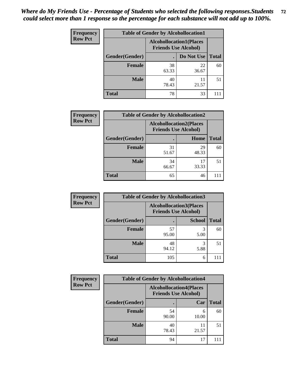| <b>Frequency</b> | <b>Table of Gender by Alcohollocation1</b> |                                                               |             |              |
|------------------|--------------------------------------------|---------------------------------------------------------------|-------------|--------------|
| <b>Row Pct</b>   |                                            | <b>Alcohollocation1(Places</b><br><b>Friends Use Alcohol)</b> |             |              |
|                  | Gender(Gender)                             |                                                               | Do Not Use  | <b>Total</b> |
|                  | <b>Female</b>                              | 38<br>63.33                                                   | 22<br>36.67 | 60           |
|                  | <b>Male</b>                                | 40<br>78.43                                                   | 11<br>21.57 | 51           |
|                  | Total                                      | 78                                                            | 33          |              |

| <b>Frequency</b> | <b>Table of Gender by Alcohollocation2</b> |             |                                                               |              |
|------------------|--------------------------------------------|-------------|---------------------------------------------------------------|--------------|
| <b>Row Pct</b>   |                                            |             | <b>Alcohollocation2(Places</b><br><b>Friends Use Alcohol)</b> |              |
|                  | Gender(Gender)                             |             | Home                                                          | <b>Total</b> |
|                  | <b>Female</b>                              | 31<br>51.67 | 29<br>48.33                                                   | 60           |
|                  | <b>Male</b>                                | 34<br>66.67 | 17<br>33.33                                                   | 51           |
|                  | <b>Total</b>                               | 65          | 46                                                            |              |

| Frequency      | <b>Table of Gender by Alcohollocation3</b> |                                                               |               |              |
|----------------|--------------------------------------------|---------------------------------------------------------------|---------------|--------------|
| <b>Row Pct</b> |                                            | <b>Alcohollocation3(Places</b><br><b>Friends Use Alcohol)</b> |               |              |
|                | Gender(Gender)                             |                                                               | <b>School</b> | <b>Total</b> |
|                | <b>Female</b>                              | 57<br>95.00                                                   | 3<br>5.00     | 60           |
|                | <b>Male</b>                                | 48<br>94.12                                                   | 5.88          | 51           |
|                | <b>Total</b>                               | 105                                                           | 6             |              |

| <b>Frequency</b> | <b>Table of Gender by Alcohollocation4</b> |                                                               |             |              |
|------------------|--------------------------------------------|---------------------------------------------------------------|-------------|--------------|
| <b>Row Pct</b>   |                                            | <b>Alcohollocation4(Places</b><br><b>Friends Use Alcohol)</b> |             |              |
|                  | Gender(Gender)                             |                                                               | Car         | <b>Total</b> |
|                  | <b>Female</b>                              | 54<br>90.00                                                   | 6<br>10.00  | 60           |
|                  | <b>Male</b>                                | 40<br>78.43                                                   | 11<br>21.57 | 51           |
|                  | <b>Total</b>                               | 94                                                            | 17          |              |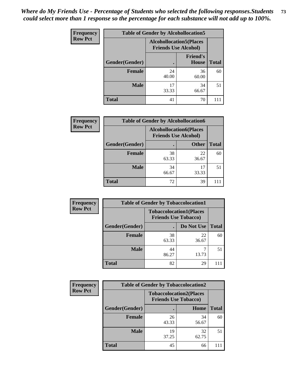| <b>Frequency</b> | <b>Table of Gender by Alcohollocation5</b>                     |             |                                 |              |
|------------------|----------------------------------------------------------------|-------------|---------------------------------|--------------|
| <b>Row Pct</b>   | <b>Alcohollocation5</b> (Places<br><b>Friends Use Alcohol)</b> |             |                                 |              |
|                  | Gender(Gender)                                                 |             | <b>Friend's</b><br><b>House</b> | <b>Total</b> |
|                  | <b>Female</b>                                                  | 24<br>40.00 | 36<br>60.00                     | 60           |
|                  | <b>Male</b>                                                    | 17<br>33.33 | 34<br>66.67                     | 51           |
|                  | <b>Total</b>                                                   | 41          | 70                              | 111          |

| <b>Frequency</b> | <b>Table of Gender by Alcohollocation6</b> |                                                               |              |              |
|------------------|--------------------------------------------|---------------------------------------------------------------|--------------|--------------|
| <b>Row Pct</b>   |                                            | <b>Alcohollocation6(Places</b><br><b>Friends Use Alcohol)</b> |              |              |
|                  | Gender(Gender)                             |                                                               | <b>Other</b> | <b>Total</b> |
|                  | <b>Female</b>                              | 38<br>63.33                                                   | 22<br>36.67  | 60           |
|                  | <b>Male</b>                                | 34<br>66.67                                                   | 17<br>33.33  | 51           |
|                  | <b>Total</b>                               | 72                                                            | 39           |              |

| Frequency      | <b>Table of Gender by Tobaccolocation1</b> |                                                               |             |              |
|----------------|--------------------------------------------|---------------------------------------------------------------|-------------|--------------|
| <b>Row Pct</b> |                                            | <b>Tobaccolocation1(Places</b><br><b>Friends Use Tobacco)</b> |             |              |
|                | Gender(Gender)                             |                                                               | Do Not Use  | <b>Total</b> |
|                | <b>Female</b>                              | 38<br>63.33                                                   | 22<br>36.67 | 60           |
|                | <b>Male</b>                                | 44<br>86.27                                                   | 13.73       | 51           |
|                | <b>Total</b>                               | 82                                                            | 29          |              |

| <b>Frequency</b> | <b>Table of Gender by Tobaccolocation2</b> |                             |                                |              |  |
|------------------|--------------------------------------------|-----------------------------|--------------------------------|--------------|--|
| <b>Row Pct</b>   |                                            | <b>Friends Use Tobacco)</b> | <b>Tobaccolocation2(Places</b> |              |  |
|                  | Gender(Gender)                             |                             | Home                           | <b>Total</b> |  |
|                  | Female                                     | 26<br>43.33                 | 34<br>56.67                    | 60           |  |
|                  | <b>Male</b>                                | 19<br>37.25                 | 32<br>62.75                    | 51           |  |
|                  | <b>Total</b>                               | 45                          | 66                             |              |  |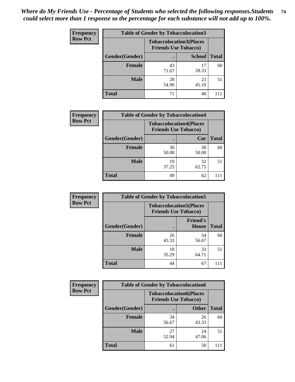| <b>Frequency</b> | <b>Table of Gender by Tobaccolocation3</b> |             |                                                               |              |
|------------------|--------------------------------------------|-------------|---------------------------------------------------------------|--------------|
| <b>Row Pct</b>   |                                            |             | <b>Tobaccolocation3(Places</b><br><b>Friends Use Tobacco)</b> |              |
|                  | Gender(Gender)                             |             | <b>School</b>                                                 | <b>Total</b> |
|                  | <b>Female</b>                              | 43<br>71.67 | 17<br>28.33                                                   | 60           |
|                  | <b>Male</b>                                | 28<br>54.90 | 23<br>45.10                                                   | 51           |
|                  | <b>Total</b>                               | 71          | 40                                                            |              |

| <b>Frequency</b> | <b>Table of Gender by Tobaccolocation4</b> |                             |                                |              |
|------------------|--------------------------------------------|-----------------------------|--------------------------------|--------------|
| <b>Row Pct</b>   |                                            | <b>Friends Use Tobacco)</b> | <b>Tobaccolocation4(Places</b> |              |
|                  | Gender(Gender)                             |                             | Car                            | <b>Total</b> |
|                  | Female                                     | 30<br>50.00                 | 30<br>50.00                    | 60           |
|                  | <b>Male</b>                                | 19<br>37.25                 | 32<br>62.75                    | 51           |
|                  | <b>Total</b>                               | 49                          | 62                             |              |

| <b>Frequency</b> | <b>Table of Gender by Tobaccolocation5</b> |                                                               |                          |              |
|------------------|--------------------------------------------|---------------------------------------------------------------|--------------------------|--------------|
| <b>Row Pct</b>   |                                            | <b>Tobaccolocation5(Places</b><br><b>Friends Use Tobacco)</b> |                          |              |
|                  | Gender(Gender)                             |                                                               | <b>Friend's</b><br>House | <b>Total</b> |
|                  | <b>Female</b>                              | 26<br>43.33                                                   | 34<br>56.67              | 60           |
|                  | <b>Male</b>                                | 18<br>35.29                                                   | 33<br>64.71              | 51           |
|                  | <b>Total</b>                               | 44                                                            | 67                       | 111          |

| <b>Frequency</b> | <b>Table of Gender by Tobaccolocation6</b> |                             |                                |              |
|------------------|--------------------------------------------|-----------------------------|--------------------------------|--------------|
| <b>Row Pct</b>   |                                            | <b>Friends Use Tobacco)</b> | <b>Tobaccolocation6(Places</b> |              |
|                  | Gender(Gender)                             |                             | <b>Other</b>                   | <b>Total</b> |
|                  | Female                                     | 34<br>56.67                 | 26<br>43.33                    | 60           |
|                  | <b>Male</b>                                | 27<br>52.94                 | 24<br>47.06                    | 51           |
|                  | <b>Total</b>                               | 61                          | 50                             |              |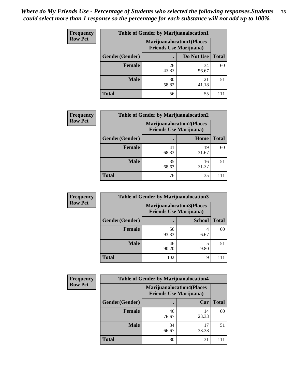| <b>Frequency</b> | <b>Table of Gender by Marijuanalocation1</b>                       |             |             |              |
|------------------|--------------------------------------------------------------------|-------------|-------------|--------------|
| <b>Row Pct</b>   | <b>Marijuanalocation1(Places</b><br><b>Friends Use Marijuana</b> ) |             |             |              |
|                  | <b>Gender</b> (Gender)                                             |             | Do Not Use  | <b>Total</b> |
|                  | <b>Female</b>                                                      | 26<br>43.33 | 34<br>56.67 | 60           |
|                  | <b>Male</b>                                                        | 30<br>58.82 | 21<br>41.18 | 51           |
|                  | <b>Total</b>                                                       | 56          | 55          | 111          |

| <b>Frequency</b> | <b>Table of Gender by Marijuanalocation2</b> |                                                                    |             |              |
|------------------|----------------------------------------------|--------------------------------------------------------------------|-------------|--------------|
| <b>Row Pct</b>   |                                              | <b>Marijuanalocation2(Places</b><br><b>Friends Use Marijuana</b> ) |             |              |
|                  | Gender(Gender)                               |                                                                    | Home        | <b>Total</b> |
|                  | <b>Female</b>                                | 41<br>68.33                                                        | 19<br>31.67 | 60           |
|                  | <b>Male</b>                                  | 35<br>68.63                                                        | 16<br>31.37 | 51           |
|                  | <b>Total</b>                                 | 76                                                                 | 35          |              |

| Frequency      | <b>Table of Gender by Marijuanalocation3</b> |             |                                                                    |              |  |
|----------------|----------------------------------------------|-------------|--------------------------------------------------------------------|--------------|--|
| <b>Row Pct</b> |                                              |             | <b>Marijuanalocation3(Places</b><br><b>Friends Use Marijuana</b> ) |              |  |
|                | Gender(Gender)                               |             | <b>School</b>                                                      | <b>Total</b> |  |
|                | Female                                       | 56<br>93.33 | 6.67                                                               | 60           |  |
|                | <b>Male</b>                                  | 46<br>90.20 | 9.80                                                               | 51           |  |
|                | <b>Total</b>                                 | 102         | Q                                                                  |              |  |

| <b>Frequency</b> | <b>Table of Gender by Marijuanalocation4</b> |                                |                                  |              |
|------------------|----------------------------------------------|--------------------------------|----------------------------------|--------------|
| <b>Row Pct</b>   |                                              | <b>Friends Use Marijuana</b> ) | <b>Marijuanalocation4(Places</b> |              |
|                  | Gender(Gender)                               |                                | Car                              | <b>Total</b> |
|                  | <b>Female</b>                                | 46<br>76.67                    | 14<br>23.33                      | 60           |
|                  | <b>Male</b>                                  | 34<br>66.67                    | 17<br>33.33                      | 51           |
|                  | <b>Total</b>                                 | 80                             | 31                               |              |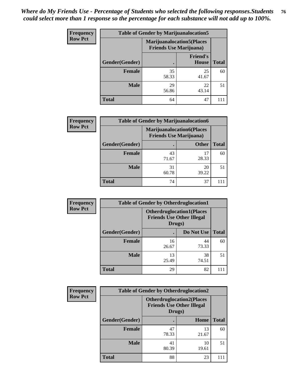| <b>Frequency</b> | <b>Table of Gender by Marijuanalocation5</b> |                                                                     |                                 |              |
|------------------|----------------------------------------------|---------------------------------------------------------------------|---------------------------------|--------------|
| <b>Row Pct</b>   |                                              | <b>Marijuanalocation5</b> (Places<br><b>Friends Use Marijuana</b> ) |                                 |              |
|                  | Gender(Gender)                               |                                                                     | <b>Friend's</b><br><b>House</b> | <b>Total</b> |
|                  | Female                                       | 35<br>58.33                                                         | 25<br>41.67                     | 60           |
|                  | <b>Male</b>                                  | 29<br>56.86                                                         | 22<br>43.14                     | 51           |
|                  | <b>Total</b>                                 | 64                                                                  | 47                              |              |

| <b>Frequency</b> | <b>Table of Gender by Marijuanalocation6</b> |                                                                    |              |              |  |
|------------------|----------------------------------------------|--------------------------------------------------------------------|--------------|--------------|--|
| <b>Row Pct</b>   |                                              | <b>Marijuanalocation6(Places</b><br><b>Friends Use Marijuana</b> ) |              |              |  |
|                  | <b>Gender</b> (Gender)                       |                                                                    | <b>Other</b> | <b>Total</b> |  |
|                  | <b>Female</b>                                | 43<br>71.67                                                        | 17<br>28.33  | 60           |  |
|                  | <b>Male</b>                                  | 31<br>60.78                                                        | 20<br>39.22  | 51           |  |
|                  | <b>Total</b>                                 | 74                                                                 | 37           |              |  |

| Frequency      | <b>Table of Gender by Otherdruglocation1</b> |                                                                                |             |              |
|----------------|----------------------------------------------|--------------------------------------------------------------------------------|-------------|--------------|
| <b>Row Pct</b> |                                              | <b>Otherdruglocation1(Places</b><br><b>Friends Use Other Illegal</b><br>Drugs) |             |              |
|                | Gender(Gender)                               |                                                                                | Do Not Use  | <b>Total</b> |
|                | <b>Female</b>                                | 16<br>26.67                                                                    | 44<br>73.33 | 60           |
|                | <b>Male</b>                                  | 13<br>25.49                                                                    | 38<br>74.51 | 51           |
|                | <b>Total</b>                                 | 29                                                                             | 82          |              |

| <b>Frequency</b> | <b>Table of Gender by Otherdruglocation2</b> |                                            |                                  |              |
|------------------|----------------------------------------------|--------------------------------------------|----------------------------------|--------------|
| <b>Row Pct</b>   |                                              | <b>Friends Use Other Illegal</b><br>Drugs) | <b>Otherdruglocation2(Places</b> |              |
|                  | Gender(Gender)                               |                                            | Home                             | <b>Total</b> |
|                  | Female                                       | 47<br>78.33                                | 13<br>21.67                      | 60           |
|                  | <b>Male</b>                                  | 41<br>80.39                                | 10<br>19.61                      | 51           |
|                  | <b>Total</b>                                 | 88                                         | 23                               | 111          |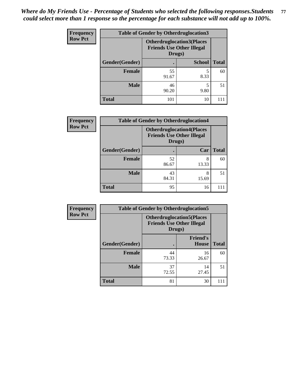| Frequency      | <b>Table of Gender by Otherdruglocation3</b> |                                                                                |               |              |
|----------------|----------------------------------------------|--------------------------------------------------------------------------------|---------------|--------------|
| <b>Row Pct</b> |                                              | <b>Otherdruglocation3(Places</b><br><b>Friends Use Other Illegal</b><br>Drugs) |               |              |
|                | Gender(Gender)                               |                                                                                | <b>School</b> | <b>Total</b> |
|                | <b>Female</b>                                | 55<br>91.67                                                                    | 8.33          | 60           |
|                | <b>Male</b>                                  | 46<br>90.20                                                                    | 9.80          | 51           |
|                | <b>Total</b>                                 | 101                                                                            | 10            |              |

| Frequency      | <b>Table of Gender by Otherdruglocation4</b> |             |                                                                      |              |
|----------------|----------------------------------------------|-------------|----------------------------------------------------------------------|--------------|
| <b>Row Pct</b> |                                              | Drugs)      | <b>Otherdruglocation4(Places</b><br><b>Friends Use Other Illegal</b> |              |
|                | Gender(Gender)                               |             | Car                                                                  | <b>Total</b> |
|                | Female                                       | 52<br>86.67 | 8<br>13.33                                                           | 60           |
|                | <b>Male</b>                                  | 43<br>84.31 | 8<br>15.69                                                           | 51           |
|                | <b>Total</b>                                 | 95          | 16                                                                   | 111          |

| <b>Frequency</b> | <b>Table of Gender by Otherdruglocation5</b> |             |                                                                      |              |
|------------------|----------------------------------------------|-------------|----------------------------------------------------------------------|--------------|
| <b>Row Pct</b>   |                                              | Drugs)      | <b>Otherdruglocation5(Places</b><br><b>Friends Use Other Illegal</b> |              |
|                  | Gender(Gender)                               |             | <b>Friend's</b><br>House                                             | <b>Total</b> |
|                  | <b>Female</b>                                | 44<br>73.33 | 16<br>26.67                                                          | 60           |
|                  | <b>Male</b>                                  | 37<br>72.55 | 14<br>27.45                                                          | 51           |
|                  | <b>Total</b>                                 | 81          | 30                                                                   | 111          |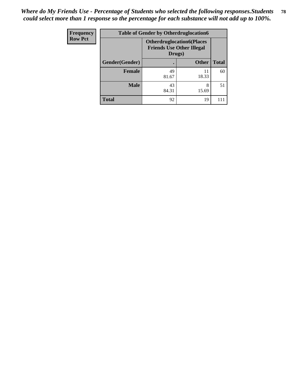| <b>Frequency</b> | <b>Table of Gender by Otherdruglocation6</b> |                                                                                |              |              |
|------------------|----------------------------------------------|--------------------------------------------------------------------------------|--------------|--------------|
| <b>Row Pct</b>   |                                              | <b>Otherdruglocation6(Places</b><br><b>Friends Use Other Illegal</b><br>Drugs) |              |              |
|                  | Gender(Gender)                               |                                                                                | <b>Other</b> | <b>Total</b> |
|                  | Female                                       | 49<br>81.67                                                                    | 11<br>18.33  | 60           |
|                  | <b>Male</b>                                  | 43<br>84.31                                                                    | 8<br>15.69   | 51           |
|                  | <b>Total</b>                                 | 92                                                                             | 19           | 111          |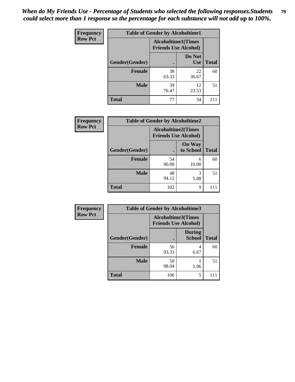| <b>Frequency</b> | <b>Table of Gender by Alcoholtime1</b> |                                                          |                      |              |
|------------------|----------------------------------------|----------------------------------------------------------|----------------------|--------------|
| <b>Row Pct</b>   |                                        | <b>Alcoholtime1(Times</b><br><b>Friends Use Alcohol)</b> |                      |              |
|                  | Gender(Gender)                         | $\bullet$                                                | Do Not<br><b>Use</b> | <b>Total</b> |
|                  | <b>Female</b>                          | 38<br>63.33                                              | 22<br>36.67          | 60           |
|                  | <b>Male</b>                            | 39<br>76.47                                              | 12<br>23.53          | 51           |
|                  | <b>Total</b>                           | 77                                                       | 34                   | 111          |

| <b>Frequency</b> | <b>Table of Gender by Alcoholtime2</b> |                                                          |                            |              |
|------------------|----------------------------------------|----------------------------------------------------------|----------------------------|--------------|
| <b>Row Pct</b>   |                                        | <b>Alcoholtime2(Times</b><br><b>Friends Use Alcohol)</b> |                            |              |
|                  | Gender(Gender)                         |                                                          | <b>On Way</b><br>to School | <b>Total</b> |
|                  | <b>Female</b>                          | 54<br>90.00                                              | 6<br>10.00                 | 60           |
|                  | <b>Male</b>                            | 48<br>94.12                                              | 3<br>5.88                  | 51           |
|                  | <b>Total</b>                           | 102                                                      | 9                          |              |

| Frequency      | <b>Table of Gender by Alcoholtime3</b> |                                                          |                                |              |
|----------------|----------------------------------------|----------------------------------------------------------|--------------------------------|--------------|
| <b>Row Pct</b> |                                        | <b>Alcoholtime3(Times</b><br><b>Friends Use Alcohol)</b> |                                |              |
|                | Gender(Gender)                         |                                                          | <b>During</b><br><b>School</b> | <b>Total</b> |
|                | Female                                 | 56<br>93.33                                              | 4<br>6.67                      | 60           |
|                | <b>Male</b>                            | 50<br>98.04                                              | 1.96                           | 51           |
|                | <b>Total</b>                           | 106                                                      | 5                              | 111          |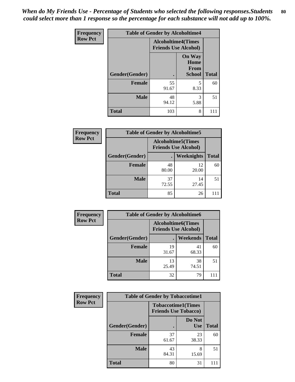*When do My Friends Use - Percentage of Students who selected the following responses.Students could select more than 1 response so the percentage for each substance will not add up to 100%.* **80**

| <b>Frequency</b> | <b>Table of Gender by Alcoholtime4</b> |                                                          |                                         |              |
|------------------|----------------------------------------|----------------------------------------------------------|-----------------------------------------|--------------|
| <b>Row Pct</b>   |                                        | <b>Alcoholtime4(Times</b><br><b>Friends Use Alcohol)</b> |                                         |              |
|                  | Gender(Gender)                         | $\bullet$                                                | <b>On Way</b><br>Home<br>From<br>School | <b>Total</b> |
|                  | <b>Female</b>                          | 55<br>91.67                                              | 5<br>8.33                               | 60           |
|                  | <b>Male</b>                            | 48<br>94.12                                              | 3<br>5.88                               | 51           |
|                  | <b>Total</b>                           | 103                                                      | 8                                       | 111          |

| <b>Frequency</b> | <b>Table of Gender by Alcoholtime5</b> |                                                   |             |              |  |
|------------------|----------------------------------------|---------------------------------------------------|-------------|--------------|--|
| <b>Row Pct</b>   |                                        | Alcoholtime5(Times<br><b>Friends Use Alcohol)</b> |             |              |  |
|                  | Gender(Gender)                         |                                                   | Weeknights  | <b>Total</b> |  |
|                  | <b>Female</b>                          | 48<br>80.00                                       | 12<br>20.00 | 60           |  |
|                  | <b>Male</b>                            | 37<br>72.55                                       | 14<br>27.45 | 51           |  |
|                  | <b>Total</b>                           | 85                                                | 26          |              |  |

| <b>Frequency</b> | <b>Table of Gender by Alcoholtime6</b> |             |                                                           |              |  |
|------------------|----------------------------------------|-------------|-----------------------------------------------------------|--------------|--|
| <b>Row Pct</b>   |                                        |             | <b>Alcoholtime6</b> (Times<br><b>Friends Use Alcohol)</b> |              |  |
|                  | Gender(Gender)                         |             | <b>Weekends</b>                                           | <b>Total</b> |  |
|                  | <b>Female</b>                          | 19<br>31.67 | 41<br>68.33                                               | 60           |  |
|                  | <b>Male</b>                            | 13<br>25.49 | 38<br>74.51                                               | 51           |  |
|                  | <b>Total</b>                           | 32          | 79                                                        | 111          |  |

| Frequency      | <b>Table of Gender by Tobaccotime1</b> |                                                          |                      |              |
|----------------|----------------------------------------|----------------------------------------------------------|----------------------|--------------|
| <b>Row Pct</b> |                                        | <b>Tobaccotime1(Times</b><br><b>Friends Use Tobacco)</b> |                      |              |
|                | Gender(Gender)                         |                                                          | Do Not<br><b>Use</b> | <b>Total</b> |
|                | Female                                 | 37<br>61.67                                              | 23<br>38.33          | 60           |
|                | <b>Male</b>                            | 43<br>84.31                                              | 8<br>15.69           | 51           |
|                | <b>Total</b>                           | 80                                                       | 31                   | 111          |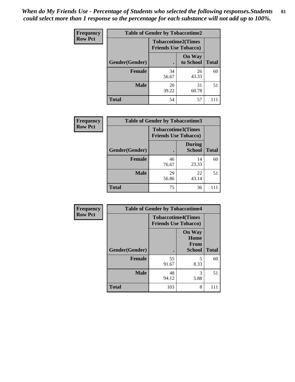| <b>Frequency</b> | <b>Table of Gender by Tobaccotime2</b> |                                                          |                            |              |
|------------------|----------------------------------------|----------------------------------------------------------|----------------------------|--------------|
| <b>Row Pct</b>   |                                        | <b>Tobaccotime2(Times</b><br><b>Friends Use Tobacco)</b> |                            |              |
|                  | Gender(Gender)                         |                                                          | <b>On Way</b><br>to School | <b>Total</b> |
|                  | <b>Female</b>                          | 34<br>56.67                                              | 26<br>43.33                | 60           |
|                  | <b>Male</b>                            | 20<br>39.22                                              | 31<br>60.78                | 51           |
|                  | <b>Total</b>                           | 54                                                       | 57                         | 111          |

| Frequency      | <b>Table of Gender by Tobaccotime3</b> |                                                          |                                |              |
|----------------|----------------------------------------|----------------------------------------------------------|--------------------------------|--------------|
| <b>Row Pct</b> |                                        | <b>Tobaccotime3(Times</b><br><b>Friends Use Tobacco)</b> |                                |              |
|                | Gender(Gender)                         | г                                                        | <b>During</b><br><b>School</b> | <b>Total</b> |
|                | Female                                 | 46<br>76.67                                              | 14<br>23.33                    | 60           |
|                | <b>Male</b>                            | 29<br>56.86                                              | 22<br>43.14                    | 51           |
|                | <b>Total</b>                           | 75                                                       | 36                             |              |

| <b>Frequency</b> | <b>Table of Gender by Tobaccotime4</b> |                                                          |                                                |              |
|------------------|----------------------------------------|----------------------------------------------------------|------------------------------------------------|--------------|
| <b>Row Pct</b>   |                                        | <b>Tobaccotime4(Times</b><br><b>Friends Use Tobacco)</b> |                                                |              |
|                  | Gender(Gender)                         |                                                          | <b>On Way</b><br>Home<br>From<br><b>School</b> | <b>Total</b> |
|                  | <b>Female</b>                          | 55<br>91.67                                              | 5<br>8.33                                      | 60           |
|                  | <b>Male</b>                            | 48<br>94.12                                              | 3<br>5.88                                      | 51           |
|                  | <b>Total</b>                           | 103                                                      | 8                                              | 111          |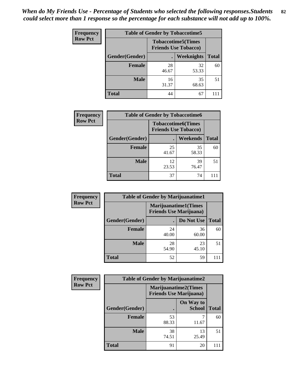| <b>Frequency</b> | <b>Table of Gender by Tobaccotime5</b> |             |                                                           |              |  |
|------------------|----------------------------------------|-------------|-----------------------------------------------------------|--------------|--|
| <b>Row Pct</b>   |                                        |             | <b>Tobaccotime5</b> (Times<br><b>Friends Use Tobacco)</b> |              |  |
|                  | Gender(Gender)                         |             | Weeknights                                                | <b>Total</b> |  |
|                  | <b>Female</b>                          | 28<br>46.67 | 32<br>53.33                                               | 60           |  |
|                  | <b>Male</b>                            | 16<br>31.37 | 35<br>68.63                                               | 51           |  |
|                  | Total                                  | 44          | 67                                                        |              |  |

| Frequency      | <b>Table of Gender by Tobaccotime6</b> |                             |                           |              |
|----------------|----------------------------------------|-----------------------------|---------------------------|--------------|
| <b>Row Pct</b> |                                        | <b>Friends Use Tobacco)</b> | <b>Tobaccotime6(Times</b> |              |
|                | Gender(Gender)                         |                             | <b>Weekends</b>           | <b>Total</b> |
|                | Female                                 | 25<br>41.67                 | 35<br>58.33               | 60           |
|                | <b>Male</b>                            | 12<br>23.53                 | 39<br>76.47               | 51           |
|                | <b>Total</b>                           | 37                          | 74                        |              |

| <b>Frequency</b> | <b>Table of Gender by Marijuanatime1</b> |                                |                             |              |
|------------------|------------------------------------------|--------------------------------|-----------------------------|--------------|
| <b>Row Pct</b>   |                                          | <b>Friends Use Marijuana</b> ) | <b>Marijuanatime1(Times</b> |              |
|                  | Gender(Gender)                           |                                | Do Not Use                  | <b>Total</b> |
|                  | <b>Female</b>                            | 24<br>40.00                    | 36<br>60.00                 | 60           |
|                  | <b>Male</b>                              | 28<br>54.90                    | 23<br>45.10                 | 51           |
|                  | <b>Total</b>                             | 52                             | 59                          |              |

| <b>Frequency</b> | <b>Table of Gender by Marijuanatime2</b> |                                                        |                            |              |
|------------------|------------------------------------------|--------------------------------------------------------|----------------------------|--------------|
| <b>Row Pct</b>   |                                          | Marijuanatime2(Times<br><b>Friends Use Marijuana</b> ) |                            |              |
|                  | Gender(Gender)                           |                                                        | On Way to<br><b>School</b> | <b>Total</b> |
|                  | <b>Female</b>                            | 53<br>88.33                                            | 11.67                      | 60           |
|                  | <b>Male</b>                              | 38<br>74.51                                            | 13<br>25.49                | 51           |
|                  | <b>Total</b>                             | 91                                                     | 20                         |              |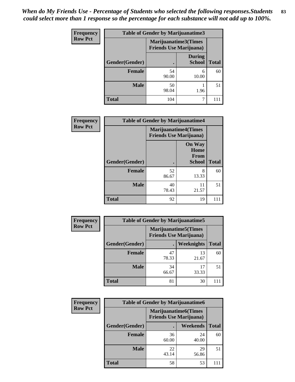| <b>Frequency</b> | Table of Gender by Marijuanatime3 |                                                        |                                |              |
|------------------|-----------------------------------|--------------------------------------------------------|--------------------------------|--------------|
| <b>Row Pct</b>   |                                   | Marijuanatime3(Times<br><b>Friends Use Marijuana</b> ) |                                |              |
|                  | Gender(Gender)                    |                                                        | <b>During</b><br><b>School</b> | <b>Total</b> |
|                  | Female                            | 54<br>90.00                                            | 6<br>10.00                     | 60           |
|                  | <b>Male</b>                       | 50<br>98.04                                            | 1.96                           | 51           |
|                  | <b>Total</b>                      | 104                                                    |                                | 111          |

| Frequency      | <b>Table of Gender by Marijuanatime4</b> |                             |                                                       |              |
|----------------|------------------------------------------|-----------------------------|-------------------------------------------------------|--------------|
| <b>Row Pct</b> |                                          | <b>Marijuanatime4(Times</b> | <b>Friends Use Marijuana</b> )                        |              |
|                | Gender(Gender)                           |                             | <b>On Way</b><br>Home<br><b>From</b><br><b>School</b> | <b>Total</b> |
|                | <b>Female</b>                            | 52<br>86.67                 | 8<br>13.33                                            | 60           |
|                | <b>Male</b>                              | 40<br>78.43                 | 11<br>21.57                                           | 51           |
|                | <b>Total</b>                             | 92                          | 19                                                    | 111          |

| Frequency      | <b>Table of Gender by Marijuanatime5</b> |             |                                                                |              |  |  |
|----------------|------------------------------------------|-------------|----------------------------------------------------------------|--------------|--|--|
| <b>Row Pct</b> |                                          |             | <b>Marijuanatime5</b> (Times<br><b>Friends Use Marijuana</b> ) |              |  |  |
|                | Gender(Gender)                           |             | Weeknights                                                     | <b>Total</b> |  |  |
|                | <b>Female</b>                            | 47<br>78.33 | 13<br>21.67                                                    | 60           |  |  |
|                | <b>Male</b>                              | 34<br>66.67 | 17<br>33.33                                                    | 51           |  |  |
|                | <b>Total</b>                             | 81          | 30                                                             |              |  |  |

| Frequency      | <b>Table of Gender by Marijuanatime6</b> |                                                               |                 |              |  |  |
|----------------|------------------------------------------|---------------------------------------------------------------|-----------------|--------------|--|--|
| <b>Row Pct</b> |                                          | <b>Marijuanatime6(Times</b><br><b>Friends Use Marijuana</b> ) |                 |              |  |  |
|                | Gender(Gender)                           |                                                               | <b>Weekends</b> | <b>Total</b> |  |  |
|                | <b>Female</b>                            | 36<br>60.00                                                   | 24<br>40.00     | 60           |  |  |
|                | <b>Male</b>                              | 22<br>43.14                                                   | 29<br>56.86     | 51           |  |  |
|                | <b>Total</b>                             | 58                                                            | 53              |              |  |  |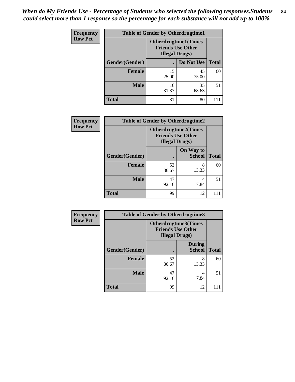*When do My Friends Use - Percentage of Students who selected the following responses.Students could select more than 1 response so the percentage for each substance will not add up to 100%.* **84**

| <b>Frequency</b> | <b>Table of Gender by Otherdrugtime1</b> |                                                                                   |             |              |  |  |
|------------------|------------------------------------------|-----------------------------------------------------------------------------------|-------------|--------------|--|--|
| <b>Row Pct</b>   |                                          | <b>Otherdrugtime1(Times</b><br><b>Friends Use Other</b><br><b>Illegal Drugs</b> ) |             |              |  |  |
|                  | Gender(Gender)                           |                                                                                   | Do Not Use  | <b>Total</b> |  |  |
|                  | <b>Female</b>                            | 15<br>25.00                                                                       | 45<br>75.00 | 60           |  |  |
|                  | <b>Male</b>                              | 16<br>31.37                                                                       | 35<br>68.63 | 51           |  |  |
|                  | <b>Total</b>                             | 31                                                                                | 80          | 111          |  |  |

| Frequency      | <b>Table of Gender by Otherdrugtime2</b> |                                                                                   |                            |              |  |  |
|----------------|------------------------------------------|-----------------------------------------------------------------------------------|----------------------------|--------------|--|--|
| <b>Row Pct</b> |                                          | <b>Otherdrugtime2(Times</b><br><b>Friends Use Other</b><br><b>Illegal Drugs</b> ) |                            |              |  |  |
|                | Gender(Gender)                           |                                                                                   | On Way to<br><b>School</b> | <b>Total</b> |  |  |
|                | Female                                   | 52<br>86.67                                                                       | 8<br>13.33                 | 60           |  |  |
|                | <b>Male</b>                              | 47<br>92.16                                                                       | 4<br>7.84                  | 51           |  |  |
|                | <b>Total</b>                             | 99                                                                                | 12                         |              |  |  |

| Frequency      | <b>Table of Gender by Otherdrugtime3</b> |                                                                            |                                |              |  |
|----------------|------------------------------------------|----------------------------------------------------------------------------|--------------------------------|--------------|--|
| <b>Row Pct</b> |                                          | Otherdrugtime3(Times<br><b>Friends Use Other</b><br><b>Illegal Drugs</b> ) |                                |              |  |
|                | Gender(Gender)                           |                                                                            | <b>During</b><br><b>School</b> | <b>Total</b> |  |
|                | <b>Female</b>                            | 52<br>86.67                                                                | 8<br>13.33                     | 60           |  |
|                | <b>Male</b>                              | 47<br>92.16                                                                | 4<br>7.84                      | 51           |  |
|                | <b>Total</b>                             | 99                                                                         | 12                             | 111          |  |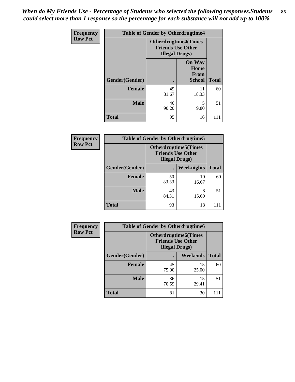*When do My Friends Use - Percentage of Students who selected the following responses.Students could select more than 1 response so the percentage for each substance will not add up to 100%.* **85**

| Frequency      | <b>Table of Gender by Otherdrugtime4</b> |                                                                                   |                                                       |              |  |
|----------------|------------------------------------------|-----------------------------------------------------------------------------------|-------------------------------------------------------|--------------|--|
| <b>Row Pct</b> |                                          | <b>Otherdrugtime4(Times</b><br><b>Friends Use Other</b><br><b>Illegal Drugs</b> ) |                                                       |              |  |
|                | Gender(Gender)                           |                                                                                   | <b>On Way</b><br>Home<br><b>From</b><br><b>School</b> | <b>Total</b> |  |
|                | <b>Female</b>                            | 49<br>81.67                                                                       | 11<br>18.33                                           | 60           |  |
|                | <b>Male</b>                              | 46<br>90.20                                                                       | 5<br>9.80                                             | 51           |  |
|                | <b>Total</b>                             | 95                                                                                | 16                                                    | 111          |  |

| <b>Frequency</b> | <b>Table of Gender by Otherdrugtime5</b> |                                                                                    |                   |              |  |
|------------------|------------------------------------------|------------------------------------------------------------------------------------|-------------------|--------------|--|
| <b>Row Pct</b>   |                                          | <b>Otherdrugtime5</b> (Times<br><b>Friends Use Other</b><br><b>Illegal Drugs</b> ) |                   |              |  |
|                  | Gender(Gender)                           |                                                                                    | <b>Weeknights</b> | <b>Total</b> |  |
|                  | <b>Female</b>                            | 50<br>83.33                                                                        | 10<br>16.67       | 60           |  |
|                  | <b>Male</b>                              | 43<br>84.31                                                                        | 8<br>15.69        | 51           |  |
|                  | Total                                    | 93                                                                                 | 18                |              |  |

| <b>Frequency</b> | <b>Table of Gender by Otherdrugtime6</b> |                                                                                   |             |              |  |
|------------------|------------------------------------------|-----------------------------------------------------------------------------------|-------------|--------------|--|
| <b>Row Pct</b>   |                                          | <b>Otherdrugtime6(Times</b><br><b>Friends Use Other</b><br><b>Illegal Drugs</b> ) |             |              |  |
|                  | Gender(Gender)                           |                                                                                   | Weekends    | <b>Total</b> |  |
|                  | Female                                   | 45<br>75.00                                                                       | 15<br>25.00 | 60           |  |
|                  | <b>Male</b>                              | 36<br>70.59                                                                       | 15<br>29.41 | 51           |  |
|                  | <b>Total</b>                             | 81                                                                                | 30          | 111          |  |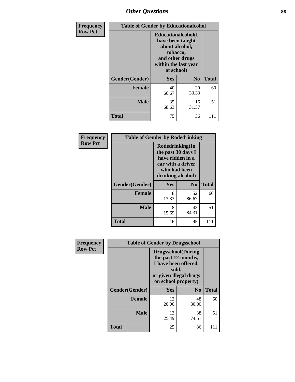# *Other Questions* **86**

| <b>Frequency</b> | <b>Table of Gender by Educationalcohol</b> |                                                                                                                                       |                |              |
|------------------|--------------------------------------------|---------------------------------------------------------------------------------------------------------------------------------------|----------------|--------------|
| <b>Row Pct</b>   |                                            | <b>Educationalcohol</b> (I<br>have been taught<br>about alcohol,<br>tobacco,<br>and other drugs<br>within the last year<br>at school) |                |              |
|                  | Gender(Gender)                             | <b>Yes</b>                                                                                                                            | N <sub>0</sub> | <b>Total</b> |
|                  | <b>Female</b>                              | 40<br>66.67                                                                                                                           | 20<br>33.33    | 60           |
|                  | <b>Male</b>                                | 35<br>68.63                                                                                                                           | 16<br>31.37    | 51           |
|                  | <b>Total</b>                               | 75                                                                                                                                    | 36             | 111          |

| Frequency      | <b>Table of Gender by Rodedrinking</b> |                                                                                                                     |                |              |  |  |
|----------------|----------------------------------------|---------------------------------------------------------------------------------------------------------------------|----------------|--------------|--|--|
| <b>Row Pct</b> |                                        | Rodedrinking(In<br>the past 30 days I<br>have ridden in a<br>car with a driver<br>who had been<br>drinking alcohol) |                |              |  |  |
|                | Gender(Gender)                         | Yes                                                                                                                 | N <sub>0</sub> | <b>Total</b> |  |  |
|                | <b>Female</b>                          | 8<br>13.33                                                                                                          | 52<br>86.67    | 60           |  |  |
|                | <b>Male</b>                            | 8<br>15.69                                                                                                          | 43<br>84.31    | 51           |  |  |
|                | <b>Total</b>                           | 16                                                                                                                  | 95             | 111          |  |  |

| Frequency      | <b>Table of Gender by Drugsschool</b> |                                                                                                                                     |                |              |  |
|----------------|---------------------------------------|-------------------------------------------------------------------------------------------------------------------------------------|----------------|--------------|--|
| <b>Row Pct</b> |                                       | <b>Drugsschool</b> (During<br>the past 12 months,<br>I have been offered,<br>sold,<br>or given illegal drugs<br>on school property) |                |              |  |
|                | Gender(Gender)                        | <b>Yes</b>                                                                                                                          | N <sub>0</sub> | <b>Total</b> |  |
|                | <b>Female</b>                         | 12<br>20.00                                                                                                                         | 48<br>80.00    | 60           |  |
|                | <b>Male</b>                           | 13<br>25.49                                                                                                                         | 38<br>74.51    | 51           |  |
|                | <b>Total</b>                          | 25                                                                                                                                  | 86             | 111          |  |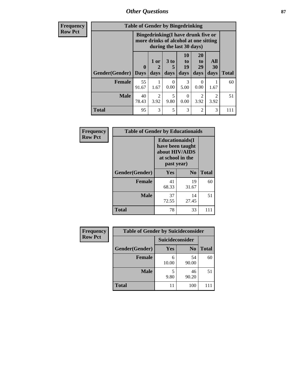*Other Questions* **87**

**Frequency Row Pct**

| <b>Table of Gender by Bingedrinking</b> |                             |                                                                                                                |              |                        |                        |                   |              |
|-----------------------------------------|-----------------------------|----------------------------------------------------------------------------------------------------------------|--------------|------------------------|------------------------|-------------------|--------------|
|                                         |                             | <b>Bingedrinking(I have drunk five or</b><br>more drinks of alcohol at one sitting<br>during the last 30 days) |              |                        |                        |                   |              |
| <b>Gender</b> (Gender)                  | $\mathbf{0}$<br><b>Days</b> | 1 or<br>2<br>days                                                                                              | 3 to<br>days | 10<br>to<br>19<br>days | 20<br>to<br>29<br>days | All<br>30<br>days | <b>Total</b> |
| <b>Female</b>                           | 55<br>91.67                 | 1.67                                                                                                           | 0<br>0.00    | 3<br>5.00              | 0.00                   | 1.67              | 60           |
| <b>Male</b>                             | 40<br>78.43                 | $\mathfrak{D}$<br>3.92                                                                                         | 5<br>9.80    | 0<br>0.00              | $\mathfrak{D}$<br>3.92 | 2<br>3.92         | 51           |
|                                         |                             |                                                                                                                |              |                        |                        |                   |              |

| Frequency      | <b>Table of Gender by Educationaids</b> |                                                                                                 |                |              |
|----------------|-----------------------------------------|-------------------------------------------------------------------------------------------------|----------------|--------------|
| <b>Row Pct</b> |                                         | <b>Educationaids</b> (I<br>have been taught<br>about HIV/AIDS<br>at school in the<br>past year) |                |              |
|                | Gender(Gender)                          | Yes                                                                                             | N <sub>0</sub> | <b>Total</b> |
|                | <b>Female</b>                           | 41<br>68.33                                                                                     | 19<br>31.67    | 60           |
|                | <b>Male</b>                             | 37<br>72.55                                                                                     | 14<br>27.45    | 51           |
|                | <b>Total</b>                            | 78                                                                                              | 33             | 111          |

| <b>Frequency</b> | <b>Table of Gender by Suicideconsider</b> |                 |                |              |
|------------------|-------------------------------------------|-----------------|----------------|--------------|
| <b>Row Pct</b>   |                                           | Suicideconsider |                |              |
|                  | Gender(Gender)                            | Yes             | N <sub>0</sub> | <b>Total</b> |
|                  | <b>Female</b>                             | 10.00           | 54<br>90.00    | 60           |
|                  | <b>Male</b>                               | 9.80            | 46<br>90.20    | 51           |
|                  | <b>Total</b>                              | 11              | 100            | 111          |